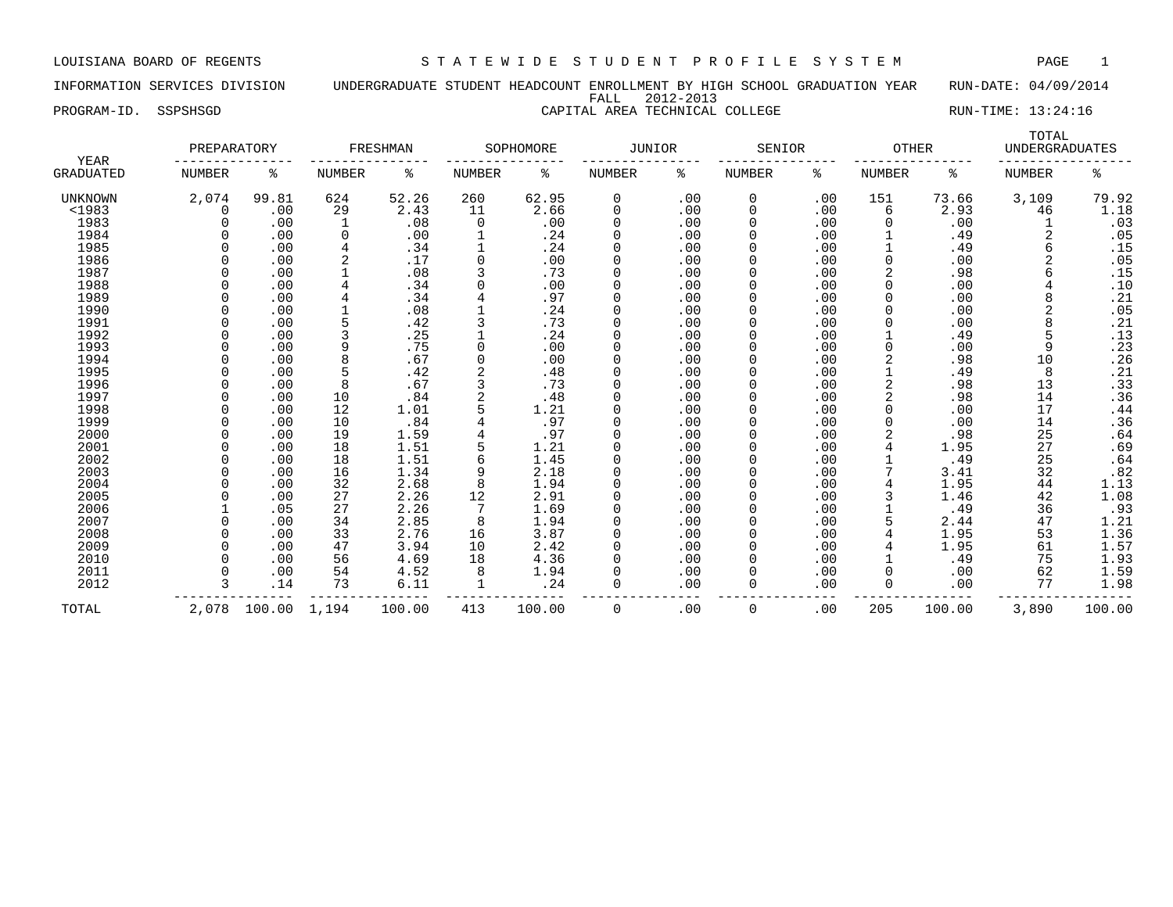INFORMATION SERVICES DIVISION UNDERGRADUATE STUDENT HEADCOUNT ENROLLMENT BY HIGH SCHOOL GRADUATION YEAR RUN-DATE: 04/09/2014 FALL 2012-2013

## PROGRAM-ID. SSPSHSGD CAPITAL AREA TECHNICAL COLLEGE RUN-TIME: 13:24:16

| YEAR             | PREPARATORY |              |                | FRESHMAN |          | SOPHOMORE | <b>JUNIOR</b> |     | SENIOR        |     | <b>OTHER</b> |        | TOTAL<br><b>UNDERGRADUATES</b> |        |
|------------------|-------------|--------------|----------------|----------|----------|-----------|---------------|-----|---------------|-----|--------------|--------|--------------------------------|--------|
| <b>GRADUATED</b> | NUMBER      | နွ           | <b>NUMBER</b>  | ႜ        | NUMBER   | နွ        | <b>NUMBER</b> | နွ  | <b>NUMBER</b> | ႜ   | NUMBER       | ႜ      | NUMBER                         | ి      |
| UNKNOWN          | 2,074       | 99.81        | 624            | 52.26    | 260      | 62.95     | 0             | .00 | 0             | .00 | 151          | 73.66  | 3,109                          | 79.92  |
| <1983            | $\Omega$    | .00          | 29             | 2.43     | 11       | 2.66      | 0             | .00 | 0             | .00 | 6            | 2.93   | 46                             | 1.18   |
| 1983             |             | .00          | 1              | .08      | 0        | .00       | 0             | .00 | 0             | .00 |              | .00    |                                | .03    |
| 1984             |             | .00          | 0              | .00      |          | .24       | 0             | .00 | 0             | .00 |              | .49    | 2                              | .05    |
| 1985             |             | .00          | 4              | .34      |          | .24       | 0             | .00 | 0             | .00 |              | .49    | 6                              | .15    |
| 1986             |             | .00          | $\overline{2}$ | .17      |          | .00       | 0             | .00 | 0             | .00 |              | .00    | 2                              | .05    |
| 1987             |             | .00          |                | .08      |          | .73       | 0             | .00 | 0             | .00 |              | .98    |                                | .15    |
| 1988             |             | .00          |                | .34      |          | .00       | <sup>0</sup>  | .00 | <sup>0</sup>  | .00 |              | .00    |                                | .10    |
| 1989             |             | .00          |                | .34      |          | .97       | 0             | .00 |               | .00 |              | .00    | 8                              | .21    |
| 1990             |             | .00          |                | .08      |          | .24       | 0             | .00 |               | .00 |              | .00    | 2                              | .05    |
| 1991             |             | .00          |                | .42      |          | .73       | $\Omega$      | .00 | O             | .00 |              | .00    | 8                              | .21    |
| 1992             |             | .00          |                | .25      |          | .24       | 0             | .00 | <sup>0</sup>  | .00 |              | .49    | 5                              | .13    |
| 1993             |             | .00          | 9              | .75      |          | .00       | $\Omega$      | .00 | <sup>0</sup>  | .00 |              | .00    | 9                              | .23    |
| 1994             |             | .00          | 8              | .67      | $\Omega$ | .00       | <sup>0</sup>  | .00 | 0             | .00 | 2            | .98    | 10                             | .26    |
| 1995             |             | .00          | 5              | .42      |          | .48       | 0             | .00 | 0             | .00 |              | .49    | 8                              | .21    |
| 1996             |             | .00          | 8              | .67      | 3        | .73       | 0             | .00 | 0             | .00 | 2            | .98    | 13                             | .33    |
| 1997             |             | .00          | 10             | .84      | 2        | .48       | 0             | .00 | 0             | .00 | 2            | .98    | 14                             | .36    |
| 1998             |             | .00          | 12             | 1.01     |          | 1.21      | 0             | .00 | 0             | .00 |              | .00    | 17                             | .44    |
| 1999             |             | .00          | 10             | .84      |          | .97       | 0             | .00 | 0             | .00 |              | .00    | 14                             | .36    |
| 2000             |             | .00          | 19             | 1.59     |          | .97       | <sup>0</sup>  | .00 | 0             | .00 |              | .98    | 25                             | .64    |
| 2001             |             | .00          | 18             | 1.51     |          | 1.21      | <sup>0</sup>  | .00 | <sup>0</sup>  | .00 |              | 1.95   | 27                             | .69    |
| 2002             |             | .00          | 18             | 1.51     |          | 1.45      | $\Omega$      | .00 |               | .00 |              | .49    | 25                             | .64    |
| 2003             |             | .00          | 16             | 1.34     |          | 2.18      | 0             | .00 |               | .00 |              | 3.41   | 32                             | .82    |
| 2004             |             | .00          | 32             | 2.68     | 8        | 1.94      | <sup>0</sup>  | .00 | <sup>0</sup>  | .00 |              | 1.95   | 44                             | 1.13   |
| 2005             |             | .00          | 27             | 2.26     | 12       | 2.91      | $\Omega$      | .00 | <sup>0</sup>  | .00 |              | 1.46   | 42                             | 1.08   |
| 2006             |             | .05          | 27             | 2.26     |          | 1.69      | <sup>0</sup>  | .00 | <sup>0</sup>  | .00 |              | .49    | 36                             | .93    |
| 2007             |             | .00          | 34             | 2.85     | 8        | 1.94      | <sup>0</sup>  | .00 | <sup>0</sup>  | .00 |              | 2.44   | 47                             | 1.21   |
| 2008             |             | .00          | 33             | 2.76     | 16       | 3.87      | 0             | .00 | 0             | .00 |              | 1.95   | 53                             | 1.36   |
| 2009             |             | .00          | 47             | 3.94     | 10       | 2.42      | 0             | .00 | 0             | .00 |              | 1.95   | 61                             | 1.57   |
| 2010             |             | .00          | 56             | 4.69     | 18       | 4.36      | 0             | .00 | 0             | .00 |              | .49    | 75                             | 1.93   |
| 2011             |             | .00          | 54             | 4.52     | 8        | 1.94      | 0             | .00 | 0             | .00 |              | .00    | 62                             | 1.59   |
| 2012             |             | .14          | 73             | 6.11     |          | .24       | <sup>0</sup>  | .00 | 0             | .00 | $\Omega$     | .00    | 77                             | 1.98   |
| TOTAL            |             | 2,078 100.00 | 1,194          | 100.00   | 413      | 100.00    | 0             | .00 | 0             | .00 | 205          | 100.00 | 3,890                          | 100.00 |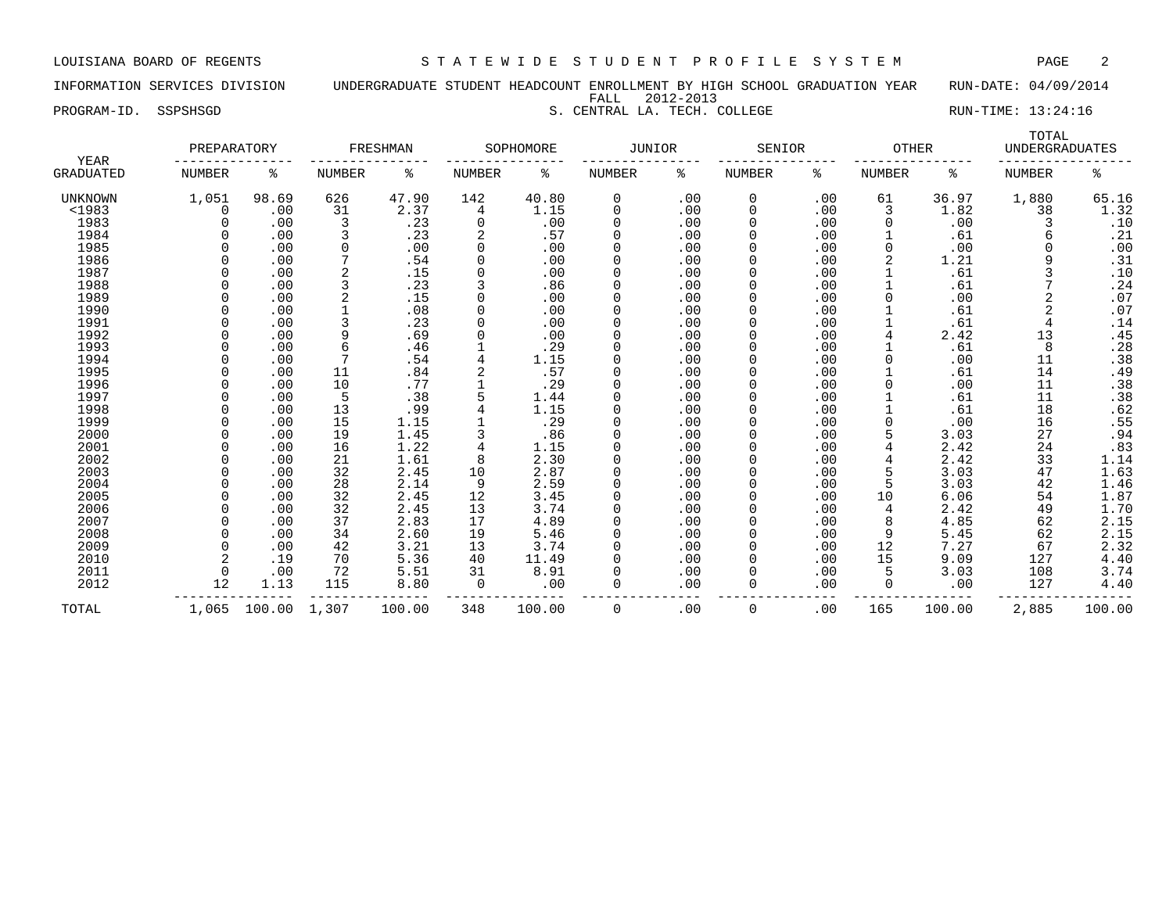INFORMATION SERVICES DIVISION UNDERGRADUATE STUDENT HEADCOUNT ENROLLMENT BY HIGH SCHOOL GRADUATION YEAR RUN-DATE: 04/09/2014 FALL 2012-2013

PROGRAM-ID. SSPSHSGD S. CENTRAL LA. TECH. COLLEGE S. CENTRAL COLLEGE RUN-TIME: 13:24:16

| YEAR             | PREPARATORY |       |        | FRESHMAN |          | SOPHOMORE | JUNIOR        |     | SENIOR |     | <b>OTHER</b> |       | TOTAL<br><b>UNDERGRADUATES</b> |       |
|------------------|-------------|-------|--------|----------|----------|-----------|---------------|-----|--------|-----|--------------|-------|--------------------------------|-------|
| <b>GRADUATED</b> | NUMBER      | ႜ     | NUMBER | ႜ        | NUMBER   | ႜ         | <b>NUMBER</b> | ႜ   | NUMBER | ႜ   | NUMBER       | ႜ     | NUMBER                         | နွ    |
| UNKNOWN          | 1,051       | 98.69 | 626    | 47.90    | 142      | 40.80     | 0             | .00 | 0      | .00 | 61           | 36.97 | 1,880                          | 65.16 |
| $1983$           |             | .00   | 31     | 2.37     | 4        | 1.15      | 0             | .00 | 0      | .00 | 3            | 1.82  | 38                             | 1.32  |
| 1983             |             | .00   | 3      | .23      | 0        | .00       |               | .00 |        | .00 |              | .00   |                                | .10   |
| 1984             |             | .00   |        | .23      |          | .57       |               | .00 |        | .00 |              | .61   |                                | .21   |
| 1985             |             | .00   |        | .00      | $\Omega$ | .00       |               | .00 |        | .00 | <sup>0</sup> | .00   |                                | .00   |
| 1986             |             | .00   |        | .54      | $\Omega$ | .00       |               | .00 |        | .00 |              | 1.21  |                                | .31   |
| 1987             |             | .00   |        | .15      |          | .00       |               | .00 |        | .00 |              | .61   |                                | .10   |
| 1988             |             | .00   |        | .23      |          | .86       |               | .00 |        | .00 |              | .61   |                                | .24   |
| 1989             |             | .00   | 2      | .15      | 0        | .00       |               | .00 |        | .00 |              | .00   |                                | .07   |
| 1990             |             | .00   |        | .08      | $\Omega$ | .00       |               | .00 |        | .00 |              | .61   | $\overline{2}$                 | .07   |
| 1991             |             | .00   |        | .23      | $\Omega$ | .00       |               | .00 |        | .00 |              | .61   |                                | .14   |
| 1992             |             | .00   | 9      | .69      |          | .00       |               | .00 |        | .00 |              | 2.42  | 13                             | .45   |
| 1993             |             | .00   |        | .46      |          | .29       |               | .00 |        | .00 |              | .61   | 8                              | .28   |
| 1994             |             | .00   |        | .54      |          | 1.15      |               | .00 |        | .00 |              | .00   | 11                             | .38   |
| 1995             |             | .00   | 11     | .84      |          | .57       |               | .00 |        | .00 |              | .61   | 14                             | .49   |
| 1996             |             | .00   | 10     | .77      |          | .29       |               | .00 |        | .00 |              | .00   | 11                             | .38   |
| 1997             |             | .00   | 5      | .38      |          | 1.44      |               | .00 |        | .00 |              | .61   | 11                             | .38   |
| 1998             |             | .00   | 13     | .99      |          | 1.15      |               | .00 |        | .00 |              | .61   | 18                             | .62   |
| 1999             |             | .00   | 15     | 1.15     |          | .29       |               | .00 |        | .00 |              | .00   | 16                             | .55   |
| 2000             |             | .00   | 19     | 1.45     |          | .86       |               | .00 |        | .00 |              | 3.03  | 27                             | .94   |
| 2001             |             | .00   | 16     | 1.22     |          | 1.15      |               | .00 |        | .00 |              | 2.42  | 24                             | .83   |
| 2002             |             | .00   | 21     | 1.61     | 8        | 2.30      |               | .00 |        | .00 |              | 2.42  | 33                             | 1.14  |
| 2003             |             | .00   | 32     | 2.45     | 10       | 2.87      |               | .00 |        | .00 |              | 3.03  | 47                             | 1.63  |
| 2004             |             | .00   | 28     | 2.14     | 9        | 2.59      |               | .00 |        | .00 |              | 3.03  | 42                             | 1.46  |
| 2005             |             | .00   | 32     | 2.45     | 12       | 3.45      |               | .00 |        | .00 | 10           | 6.06  | 54                             | 1.87  |
| 2006             |             | .00   | 32     | 2.45     | 13       | 3.74      |               | .00 |        | .00 | 4            | 2.42  | 49                             | 1.70  |
| 2007             |             | .00   | 37     | 2.83     | 17       | 4.89      |               | .00 |        | .00 | 8            | 4.85  | 62                             | 2.15  |
| 2008             |             | .00   | 34     | 2.60     | 19       | 5.46      |               | .00 |        | .00 | q            | 5.45  | 62                             | 2.15  |
| 2009             |             | .00   | 42     | 3.21     | 13       | 3.74      | $\Omega$      | .00 |        | .00 | 12           | 7.27  | 67                             | 2.32  |

 2010 2 .19 70 5.36 40 11.49 0 .00 0 .00 15 9.09 127 4.40 2011 0 .00 72 5.51 31 8.91 0 .00 0 .00 5 3.03 108 3.74 2011 108 108 108 108 108 108 12 1.13 115 12.80 10<br>4.40 127 1.13 115 8.80 0 .00 0 .00 0 .00 0 .00 127 4.40

TOTAL 1,065 100.00 1,307 100.00 348 100.00 0 .00 0 .00 165 100.00 2,885 100.00

--------------- --------------- --------------- --------------- --------------- --------------- -----------------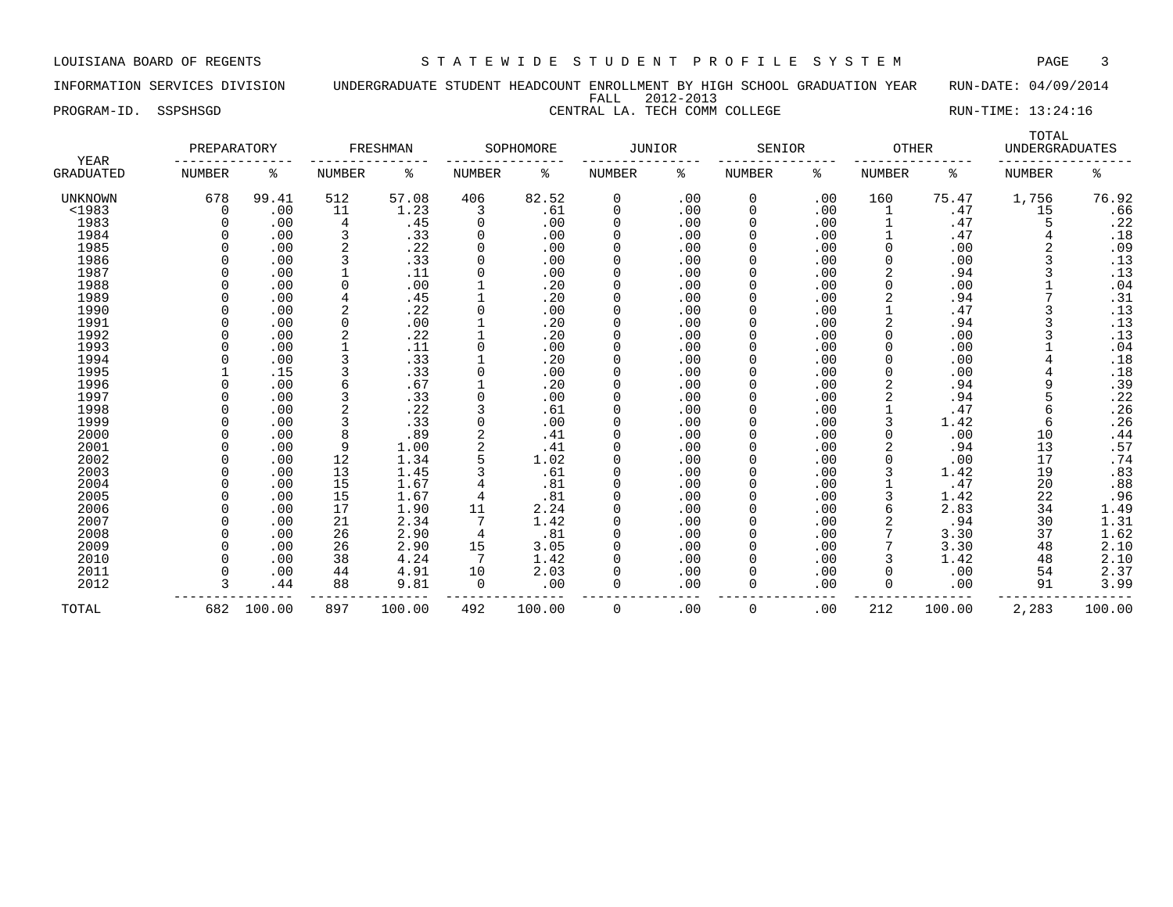INFORMATION SERVICES DIVISION UNDERGRADUATE STUDENT HEADCOUNT ENROLLMENT BY HIGH SCHOOL GRADUATION YEAR RUN-DATE: 04/09/2014 FALL 2012-2013

PROGRAM-ID. SSPSHSGD CENTRAL LA. TECH COMM COLLEGE RUN-TIME: 13:24:16

| <b>YEAR</b>      | PREPARATORY   |        |                | FRESHMAN |               | SOPHOMORE | <b>JUNIOR</b> |     | SENIOR        |     | <b>OTHER</b>  |        | TOTAL<br><b>UNDERGRADUATES</b> |        |
|------------------|---------------|--------|----------------|----------|---------------|-----------|---------------|-----|---------------|-----|---------------|--------|--------------------------------|--------|
| <b>GRADUATED</b> | <b>NUMBER</b> | ႜ      | NUMBER         | ႜ        | <b>NUMBER</b> | ి         | <b>NUMBER</b> | ႜ   | <b>NUMBER</b> | ႜ   | <b>NUMBER</b> | ి      | <b>NUMBER</b>                  | နွ     |
| UNKNOWN          | 678           | 99.41  | 512            | 57.08    | 406           | 82.52     | 0             | .00 | 0             | .00 | 160           | 75.47  | 1,756                          | 76.92  |
| <1983            | 0             | .00    | 11             | 1.23     | 3             | .61       | 0             | .00 | 0             | .00 | 1             | .47    | 15                             | .66    |
| 1983             | $\Omega$      | .00    | $\overline{4}$ | .45      | 0             | .00       | $\mathbf 0$   | .00 | $\Omega$      | .00 |               | .47    | 5                              | .22    |
| 1984             |               | .00    | 3              | .33      | 0             | .00       | 0             | .00 |               | .00 |               | .47    |                                | .18    |
| 1985             |               | .00    | 2              | .22      | 0             | .00       | 0             | .00 |               | .00 | $\Omega$      | .00    |                                | .09    |
| 1986             |               | .00    | 3              | .33      | 0             | .00       | $\mathbf 0$   | .00 |               | .00 | $\Omega$      | .00    |                                | .13    |
| 1987             |               | .00    |                | .11      | 0             | .00       | $\Omega$      | .00 | $\Omega$      | .00 |               | .94    |                                | .13    |
| 1988             |               | .00    | $\Omega$       | .00      |               | .20       | 0             | .00 |               | .00 |               | .00    |                                | .04    |
| 1989             |               | .00    |                | .45      |               | .20       | 0             | .00 |               | .00 |               | .94    |                                | .31    |
| 1990             |               | .00    | 2              | .22      | 0             | .00       | $\Omega$      | .00 |               | .00 |               | .47    |                                | .13    |
| 1991             |               | .00    | $\Omega$       | .00      |               | .20       | $\Omega$      | .00 |               | .00 |               | .94    |                                | .13    |
| 1992             |               | .00    | 2              | .22      |               | .20       | 0             | .00 |               | .00 |               | .00    |                                | $.13$  |
| 1993             |               | .00    |                | .11      | 0             | .00       | $\Omega$      | .00 |               | .00 | $\Omega$      | .00    |                                | .04    |
| 1994             |               | .00    | 3              | .33      |               | .20       | $\Omega$      | .00 |               | .00 |               | .00    |                                | .18    |
| 1995             |               | .15    | 3              | .33      | 0             | .00       | 0             | .00 | $\Omega$      | .00 | $\Omega$      | .00    |                                | .18    |
| 1996             |               | .00    | 6              | .67      |               | .20       | 0             | .00 |               | .00 |               | .94    |                                | .39    |
| 1997             |               | .00    | 3              | .33      | 0             | .00       | $\mathbf 0$   | .00 |               | .00 |               | .94    |                                | .22    |
| 1998             | $\Omega$      | .00    | $\overline{2}$ | .22      | 3             | .61       | $\mathbf 0$   | .00 |               | .00 |               | .47    | 6                              | .26    |
| 1999             |               | .00    | 3              | .33      | 0             | .00       | $\mathbf 0$   | .00 | $\Omega$      | .00 | 3             | 1.42   | 6                              | .26    |
| 2000             | $\Omega$      | .00    | 8              | .89      | 2             | .41       | 0             | .00 | 0             | .00 |               | .00    | 10                             | .44    |
| 2001             |               | .00    | 9              | 1.00     | 2             | .41       | O             | .00 |               | .00 |               | .94    | 13                             | .57    |
| 2002             |               | .00    | 12             | 1.34     | 5             | 1.02      | $\Omega$      | .00 |               | .00 |               | .00    | 17                             | .74    |
| 2003             |               | .00    | 13             | 1.45     |               | .61       | 0             | .00 |               | .00 |               | 1.42   | 19                             | .83    |
| 2004             |               | .00    | 15             | 1.67     |               | .81       | $\Omega$      | .00 |               | .00 |               | .47    | 20                             | .88    |
| 2005             |               | .00    | 15             | 1.67     | 4             | .81       | $\Omega$      | .00 |               | .00 |               | 1.42   | 22                             | .96    |
| 2006             |               | .00    | 17             | 1.90     | 11            | 2.24      | 0             | .00 |               | .00 | 6             | 2.83   | 34                             | 1.49   |
| 2007             |               | .00    | 21             | 2.34     |               | 1.42      | $\Omega$      | .00 | $\Omega$      | .00 |               | .94    | 30                             | 1.31   |
| 2008             |               | .00    | 26             | 2.90     | 4             | .81       | $\Omega$      | .00 | $\Omega$      | .00 |               | 3.30   | 37                             | 1.62   |
| 2009             |               | .00    | 26             | 2.90     | 15            | 3.05      | 0             | .00 | $\Omega$      | .00 |               | 3.30   | 48                             | 2.10   |
| 2010             |               | .00    | 38             | 4.24     | 7             | 1.42      | $\mathbf 0$   | .00 |               | .00 |               | 1.42   | 48                             | 2.10   |
| 2011             |               | .00    | 44             | 4.91     | 10            | 2.03      | $\Omega$      | .00 |               | .00 | $\Omega$      | .00    | 54                             | 2.37   |
| 2012             |               | .44    | 88             | 9.81     | 0             | .00       | $\Omega$      | .00 | 0             | .00 | 0             | .00    | 91                             | 3.99   |
| TOTAL            | 682           | 100.00 | 897            | 100.00   | 492           | 100.00    | 0             | .00 | $\Omega$      | .00 | 212           | 100.00 | 2,283                          | 100.00 |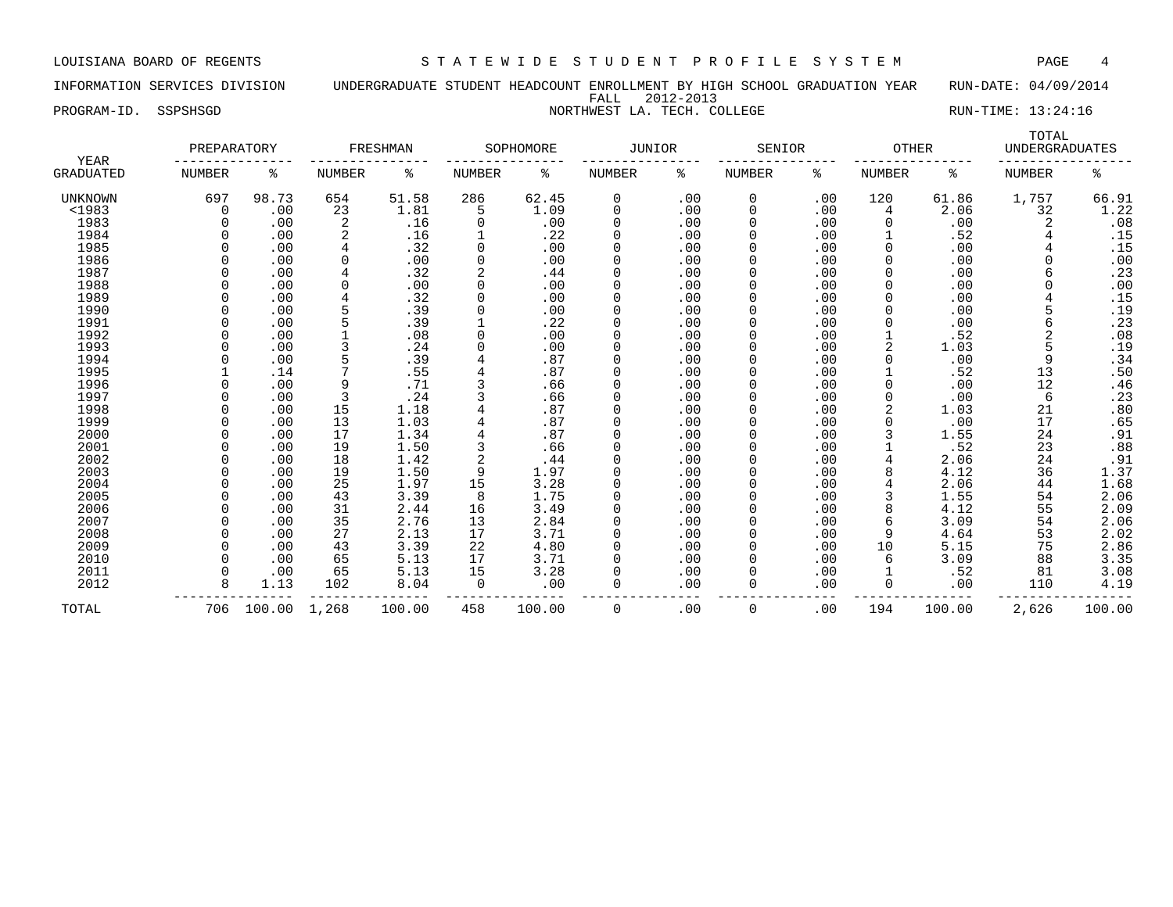INFORMATION SERVICES DIVISION UNDERGRADUATE STUDENT HEADCOUNT ENROLLMENT BY HIGH SCHOOL GRADUATION YEAR RUN-DATE: 04/09/2014 FALL 2012-2013

PROGRAM-ID. SSPSHSGD NORTHWEST LA. TECH. COLLEGE NORTHWEST LA SERVIT RUN-TIME: 13:24:16

| <b>YEAR</b>      | PREPARATORY   |        |                | FRESHMAN |          | SOPHOMORE | <b>JUNIOR</b> |     | SENIOR |     | <b>OTHER</b> |        | TOTAL<br><b>UNDERGRADUATES</b> |        |
|------------------|---------------|--------|----------------|----------|----------|-----------|---------------|-----|--------|-----|--------------|--------|--------------------------------|--------|
| <b>GRADUATED</b> | <b>NUMBER</b> | ႜ      | NUMBER         | ႜ        | NUMBER   | ి         | NUMBER        | ႜ   | NUMBER | ႜ   | NUMBER       | ႜ      | NUMBER                         | နွ     |
| <b>UNKNOWN</b>   | 697           | 98.73  | 654            | 51.58    | 286      | 62.45     | 0             | .00 | 0      | .00 | 120          | 61.86  | 1,757                          | 66.91  |
| <1983            | 0             | .00    | 23             | 1.81     | 5        | 1.09      | 0             | .00 | 0      | .00 | 4            | 2.06   | 32                             | 1.22   |
| 1983             |               | .00    | $\overline{2}$ | .16      | $\Omega$ | .00       | 0             | .00 | 0      | .00 |              | .00    |                                | .08    |
| 1984             |               | .00    |                | .16      |          | .22       | 0             | .00 | 0      | .00 |              | .52    |                                | .15    |
| 1985             |               | .00    | 4              | .32      | $\Omega$ | .00       | 0             | .00 | 0      | .00 |              | .00    |                                | .15    |
| 1986             |               | .00    | $\Omega$       | .00      | $\Omega$ | .00       | 0             | .00 | 0      | .00 |              | .00    |                                | .00    |
| 1987             |               | .00    | 4              | .32      |          | .44       | 0             | .00 | 0      | .00 |              | .00    |                                | .23    |
| 1988             |               | .00    | $\Omega$       | .00      | $\Omega$ | .00       | 0             | .00 | 0      | .00 |              | .00    |                                | .00    |
| 1989             |               | .00    |                | .32      | $\Omega$ | .00       | 0             | .00 | 0      | .00 | ∩            | .00    |                                | .15    |
| 1990             |               | .00    | 5              | .39      | $\Omega$ | .00       | 0             | .00 | 0      | .00 |              | .00    |                                | .19    |
| 1991             |               | .00    | 5              | .39      |          | .22       | 0             | .00 | 0      | .00 |              | .00    | 6                              | .23    |
| 1992             |               | .00    |                | .08      | $\Omega$ | .00       | 0             | .00 | 0      | .00 |              | .52    | 2                              | .08    |
| 1993             |               | .00    |                | .24      | $\Omega$ | .00       | $\Omega$      | .00 | 0      | .00 |              | 1.03   |                                | .19    |
| 1994             |               | .00    |                | .39      |          | .87       | $\Omega$      | .00 | 0      | .00 |              | .00    | 9                              | .34    |
| 1995             |               | .14    |                | .55      |          | .87       | $\Omega$      | .00 | 0      | .00 |              | .52    | 13                             | .50    |
| 1996             |               | .00    | 9              | .71      |          | .66       | 0             | .00 | 0      | .00 |              | .00    | 12                             | .46    |
| 1997             |               | .00    | 3              | .24      |          | .66       | 0             | .00 | 0      | .00 |              | .00    | 6                              | .23    |
| 1998             |               | .00    | 15             | 1.18     |          | .87       | $\Omega$      | .00 | 0      | .00 |              | 1.03   | 21                             | .80    |
| 1999             |               | .00    | 13             | 1.03     |          | .87       | 0             | .00 | 0      | .00 |              | .00    | 17                             | .65    |
| 2000             |               | .00    | 17             | 1.34     |          | .87       | 0             | .00 | 0      | .00 |              | 1.55   | 24                             | .91    |
| 2001             |               | .00    | 19             | 1.50     |          | .66       | 0             | .00 | 0      | .00 |              | .52    | 23                             | .88    |
| 2002             |               | .00    | 18             | 1.42     | 2        | .44       | 0             | .00 | 0      | .00 |              | 2.06   | 24                             | .91    |
| 2003             |               | .00    | 19             | 1.50     | 9        | 1.97      | 0             | .00 | 0      | .00 |              | 4.12   | 36                             | 1.37   |
| 2004             |               | .00    | 25             | 1.97     | 15       | 3.28      | 0             | .00 | 0      | .00 |              | 2.06   | 44                             | 1.68   |
| 2005             |               | .00    | 43             | 3.39     | 8        | 1.75      | 0             | .00 | 0      | .00 |              | 1.55   | 54                             | 2.06   |
| 2006             |               | .00    | 31             | 2.44     | 16       | 3.49      | 0             | .00 | 0      | .00 |              | 4.12   | 55                             | 2.09   |
| 2007             |               | .00    | 35             | 2.76     | 13       | 2.84      | 0             | .00 | 0      | .00 |              | 3.09   | 54                             | 2.06   |
| 2008             |               | .00    | 27             | 2.13     | 17       | 3.71      | 0             | .00 | 0      | .00 |              | 4.64   | 53                             | 2.02   |
| 2009             |               | .00    | 43             | 3.39     | 22       | 4.80      | 0             | .00 | 0      | .00 | 10           | 5.15   | 75                             | 2.86   |
| 2010             |               | .00    | 65             | 5.13     | 17       | 3.71      | 0             | .00 | 0      | .00 | 6            | 3.09   | 88                             | 3.35   |
| 2011             |               | .00    | 65             | 5.13     | 15       | 3.28      | 0             | .00 | 0      | .00 |              | .52    | 81                             | 3.08   |
| 2012             | 8             | 1.13   | 102            | 8.04     | $\Omega$ | .00       | 0             | .00 | 0      | .00 | $\Omega$     | .00    | 110                            | 4.19   |
| TOTAL            | 706           | 100.00 | 1,268          | 100.00   | 458      | 100.00    | 0             | .00 | 0      | .00 | 194          | 100.00 | 2,626                          | 100.00 |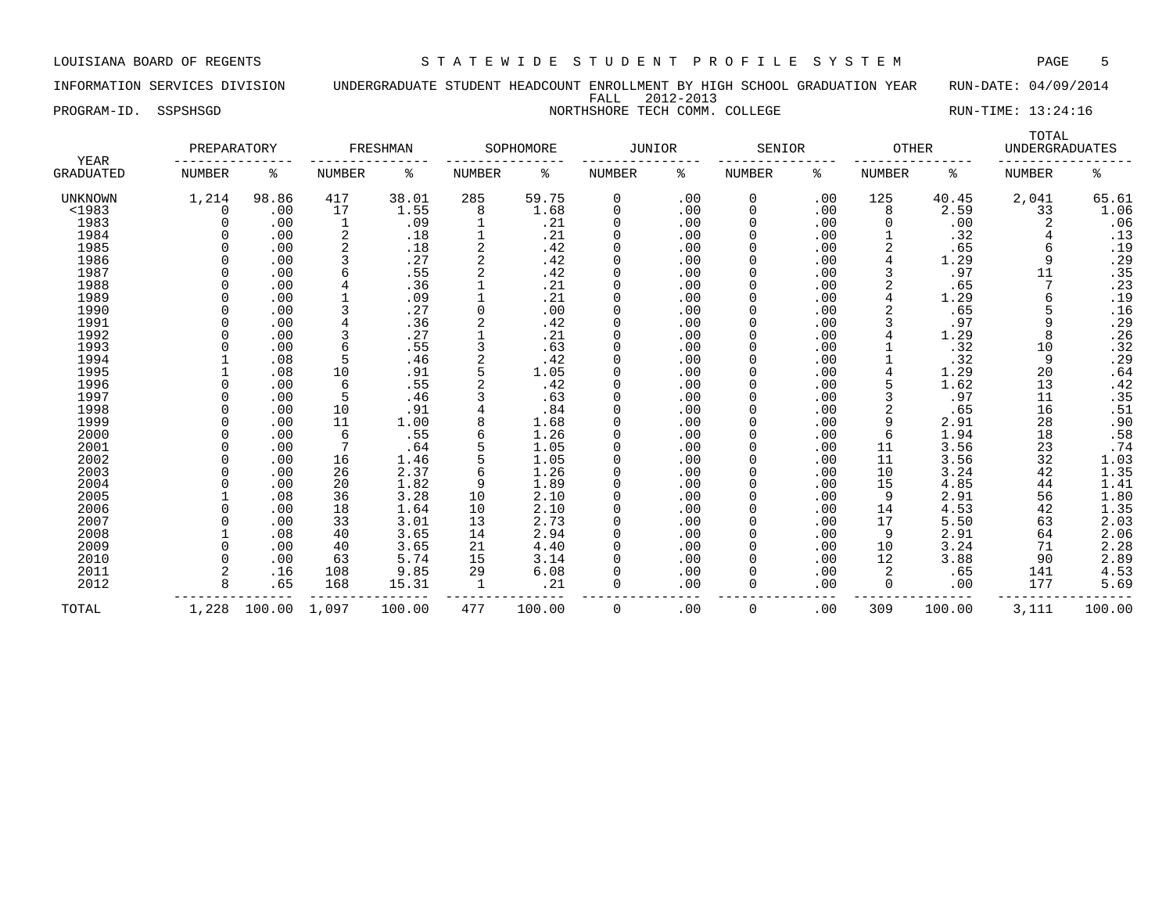INFORMATION SERVICES DIVISION UNDERGRADUATE STUDENT HEADCOUNT ENROLLMENT BY HIGH SCHOOL GRADUATION YEAR RUN-DATE: 04/09/2014 FALL 2012-2013

PROGRAM-ID. SSPSHSGD NORTHSHORE TECH COMM. COLLEGE RUN-TIME: 13:24:16

| YEAR           | PREPARATORY   |        |               | FRESHMAN |               | SOPHOMORE | <b>JUNIOR</b> |     | SENIOR        |     | <b>OTHER</b>  |        | TOTAL<br><b>UNDERGRADUATES</b> |                 |
|----------------|---------------|--------|---------------|----------|---------------|-----------|---------------|-----|---------------|-----|---------------|--------|--------------------------------|-----------------|
| GRADUATED      | <b>NUMBER</b> | ႜ      | <b>NUMBER</b> | ႜ        | <b>NUMBER</b> | ႜ         | NUMBER        | ႜ   | <b>NUMBER</b> | ႜ   | <b>NUMBER</b> | ႜ      | <b>NUMBER</b>                  | ి               |
| <b>UNKNOWN</b> | 1,214         | 98.86  | 417           | 38.01    | 285           | 59.75     | 0             | .00 | 0             | .00 | 125           | 40.45  | 2,041                          | 65.61           |
| $1983$         | $\Omega$      | .00    | 17            | 1.55     | 8             | 1.68      | $\Omega$      | .00 | 0             | .00 | 8             | 2.59   | 33                             | 1.06            |
| 1983           | $\cap$        | .00    | 1             | .09      |               | .21       | $\Omega$      | .00 | $\Omega$      | .00 | <sup>0</sup>  | .00    |                                | .06             |
| 1984           |               | .00    | 2             | .18      |               | .21       | $\Omega$      | .00 | 0             | .00 |               | .32    |                                | .13             |
| 1985           |               | .00    | 2             | .18      | 2             | .42       |               | .00 |               | .00 | 2             | .65    |                                | .19             |
| 1986           |               | .00    | 3             | .27      | 2             | .42       |               | .00 |               | .00 |               | 1.29   |                                | .29             |
| 1987           |               | .00    | 6             | .55      |               | .42       | $\Omega$      | .00 | $\Omega$      | .00 |               | .97    | 11                             | .35             |
| 1988           |               | .00    | 4             | .36      |               | .21       | $\Omega$      | .00 | 0             | .00 |               | .65    |                                | .23             |
| 1989           |               | .00    |               | .09      |               | .21       |               | .00 | O             | .00 |               | 1.29   |                                | .19             |
| 1990           |               | .00    | 3             | .27      | 0             | .00       |               | .00 | 0             | .00 |               | .65    |                                | .16             |
| 1991           |               | .00    | 4             | .36      |               | .42       |               | .00 | 0             | .00 |               | .97    | 9                              | .29             |
| 1992           |               | .00    | 3             | .27      |               | .21       |               | .00 | 0             | .00 |               | 1.29   |                                | .26             |
| 1993           |               | .00    | 6             | .55      |               | .63       | $\Omega$      | .00 | 0             | .00 |               | .32    | 10                             | .32             |
| 1994           |               | .08    | 5             | .46      |               | .42       | $\Omega$      | .00 | 0             | .00 |               | .32    | 9                              | .29             |
| 1995           |               | .08    | 10            | .91      |               | 1.05      | $\Omega$      | .00 | $\Omega$      | .00 |               | 1.29   | 20                             | .64             |
| 1996           |               | .00    | 6             | .55      |               | .42       | 0             | .00 |               | .00 |               | 1.62   | 13                             | .42             |
| 1997           |               | .00    | 5             | .46      |               | .63       |               | .00 | 0             | .00 |               | .97    | 11                             | .35             |
| 1998           |               | .00    | 10            | .91      |               | .84       |               | .00 | 0             | .00 |               | .65    | 16                             | $: 51$<br>$.90$ |
| 1999           |               | .00    | 11            | 1.00     | 8             | 1.68      | $\Omega$      | .00 | $\Omega$      | .00 | 9             | 2.91   | 28                             |                 |
| 2000           | $\cap$        | .00    | 6             | .55      | 6             | 1.26      | $\Omega$      | .00 | 0             | .00 | 6             | 1.94   | 18                             | .58             |
| 2001           |               | .00    | 7             | .64      |               | 1.05      |               | .00 | O             | .00 | 11            | 3.56   | 23                             | .74             |
| 2002           |               | .00    | 16            | 1.46     |               | 1.05      |               | .00 | 0             | .00 | 11            | 3.56   | 32                             | 1.03            |
| 2003           |               | .00    | 26            | 2.37     | 6             | 1.26      |               | .00 | 0             | .00 | 10            | 3.24   | 42                             | 1.35            |
| 2004           |               | .00    | 20            | 1.82     | 9             | 1.89      |               | .00 | 0             | .00 | 15            | 4.85   | 44                             | 1.41            |
| 2005           |               | .08    | 36            | 3.28     | 10            | 2.10      | $\Omega$      | .00 | 0             | .00 | 9             | 2.91   | 56                             | 1.80            |
| 2006           |               | .00    | 18            | 1.64     | 10            | 2.10      | 0             | .00 | 0             | .00 | 14            | 4.53   | 42                             | 1.35            |
| 2007           |               | .00    | 33            | 3.01     | 13            | 2.73      | $\Omega$      | .00 | 0             | .00 | 17            | 5.50   | 63                             | 2.03            |
| 2008           |               | .08    | 40            | 3.65     | 14            | 2.94      | $\Omega$      | .00 | 0             | .00 | 9             | 2.91   | 64                             | 2.06            |
| 2009           |               | .00    | 40            | 3.65     | 21            | 4.40      |               | .00 | 0             | .00 | 10            | 3.24   | 71                             | 2.28            |
| 2010           |               | .00    | 63            | 5.74     | 15            | 3.14      |               | .00 | 0             | .00 | 12            | 3.88   | 90                             | 2.89            |
| 2011           |               | .16    | 108           | 9.85     | 29            | 6.08      |               | .00 | 0             | .00 | 2             | .65    | 141                            | 4.53            |
| 2012           | 8             | .65    | 168           | 15.31    | 1             | .21       | $\Omega$      | .00 | 0             | .00 | 0             | .00    | 177                            | 5.69            |
| TOTAL          | 1,228         | 100.00 | 1,097         | 100.00   | 477           | 100.00    | $\Omega$      | .00 | 0             | .00 | 309           | 100.00 | 3,111                          | 100.00          |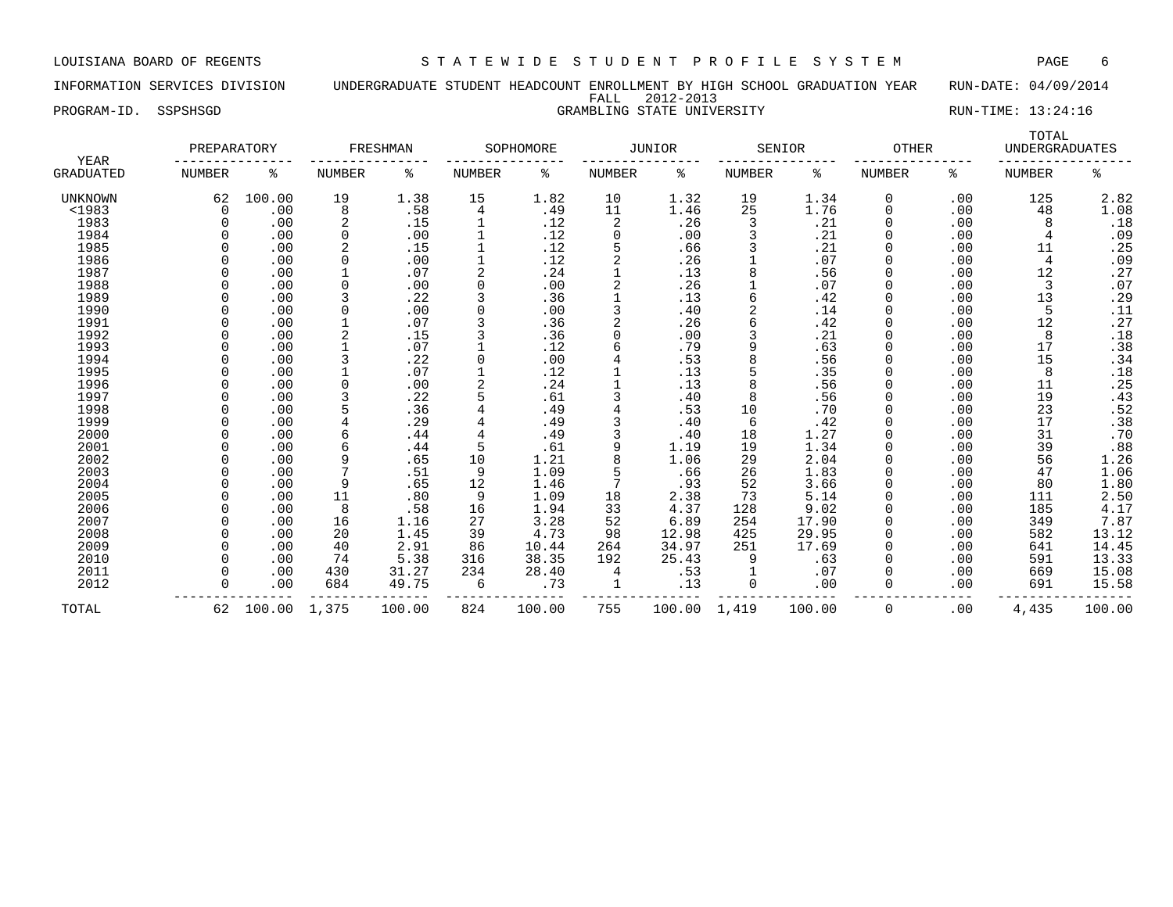### INFORMATION SERVICES DIVISION UNDERGRADUATE STUDENT HEADCOUNT ENROLLMENT BY HIGH SCHOOL GRADUATION YEAR RUN-DATE: 04/09/2014 FALL 2012-2013 PROGRAM-ID. SSPSHSGD SAMELING STATE UNIVERSITY STATE UNIVERSITY RUN-TIME: 13:24:16

| <b>YEAR</b>      | PREPARATORY   |        |              | FRESHMAN |               | SOPHOMORE |          | <b>JUNIOR</b> |        | SENIOR | <b>OTHER</b> |     | TOTAL<br><b>UNDERGRADUATES</b> |                |
|------------------|---------------|--------|--------------|----------|---------------|-----------|----------|---------------|--------|--------|--------------|-----|--------------------------------|----------------|
| <b>GRADUATED</b> | <b>NUMBER</b> | ႜ      | NUMBER       | နွ       | <b>NUMBER</b> | ి         | NUMBER   | ႜ             | NUMBER | ႜ      | NUMBER       | နွ  | <b>NUMBER</b>                  | နွ             |
| UNKNOWN          | 62            | 100.00 | 19           | 1.38     | 15            | 1.82      | 10       | 1.32          | 19     | 1.34   | 0            | .00 | 125                            | 2.82           |
| <1983            | $\Omega$      | .00    | 8            | .58      | 4             | .49       | 11       | 1.46          | 25     | 1.76   | $\Omega$     | .00 | 48                             | 1.08           |
| 1983             |               | .00    | 2            | .15      |               | .12       | 2        | .26           | 3      | .21    | $\Omega$     | .00 | 8                              | .18            |
| 1984             |               | .00    | $\Omega$     | .00      |               | .12       | $\Omega$ | .00           |        | .21    |              | .00 | 4                              | .09            |
| 1985             |               | .00    | 2            | .15      |               | .12       | 5        | .66           |        | .21    |              | .00 | 11                             | .25            |
| 1986             |               | .00    | $\Omega$     | .00      |               | .12       | 2        | .26           |        | .07    |              | .00 | 4                              | .09            |
| 1987             |               | .00    |              | .07      |               | .24       |          | .13           |        | .56    |              | .00 | 12                             | .27            |
| 1988             |               | .00    | $\Omega$     | .00      | $\Omega$      | .00       | 2        | .26           |        | .07    | $\Omega$     | .00 | 3                              | .07            |
| 1989             |               | .00    | 3            | .22      |               | .36       |          | .13           |        | .42    |              | .00 | 13                             | .29            |
| 1990             |               | .00    | $\Omega$     | .00      | $\Omega$      | .00       | 3        | .40           |        | .14    |              | .00 | 5                              | .11            |
| 1991             |               | .00    |              | .07      |               | .36       | 2        | .26           |        | .42    |              | .00 | 12                             | .27            |
| 1992             |               | .00    | 2            | .15      |               | .36       | $\Omega$ | .00           |        | .21    |              | .00 | 8                              | .18            |
| 1993             |               | .00    |              | .07      |               | .12       | 6        | .79           |        | .63    |              | .00 | 17                             | .38            |
| 1994             |               | .00    |              | .22      | 0             | .00       |          | .53           |        | .56    |              | .00 | 15                             | .34            |
| 1995             |               | .00    |              | .07      |               | .12       |          | .13           |        | .35    |              | .00 | 8                              | .18            |
| 1996             |               | .00    |              | .00      |               | .24       |          | .13           |        | .56    |              | .00 | 11                             | .25            |
| 1997             |               | .00    |              | .22      |               | .61       | ζ        | .40           | 8      | .56    |              | .00 | 19                             | .43            |
| 1998             |               | .00    |              | .36      |               | .49       |          | .53           | 10     | .70    |              | .00 | 23                             | $.52$<br>$.38$ |
| 1999             |               | .00    |              | .29      |               | .49       |          | .40           | 6      | .42    |              | .00 | 17                             |                |
| 2000             |               | .00    |              | .44      |               | .49       | 3        | .40           | 18     | 1.27   |              | .00 | 31                             | .70            |
| 2001             |               | .00    |              | .44      | 5             | .61       | 9        | 1.19          | 19     | 1.34   |              | .00 | 39                             | .88            |
| 2002             |               | .00    | 9            | .65      | 10            | 1.21      | 8        | 1.06          | 29     | 2.04   |              | .00 | 56                             | 1.26           |
| 2003             |               | .00    | $\mathbf{r}$ | .51      | 9             | 1.09      | 5        | .66           | 26     | 1.83   |              | .00 | 47                             | 1.06           |
| 2004             |               | .00    | 9            | .65      | 12            | 1.46      | 7        | .93           | 52     | 3.66   | $\Omega$     | .00 | 80                             | 1.80           |
| 2005             |               | .00    | 11           | .80      | 9             | 1.09      | 18       | 2.38          | 73     | 5.14   |              | .00 | 111                            | 2.50           |
| 2006             |               | .00    | 8            | .58      | 16            | 1.94      | 33       | 4.37          | 128    | 9.02   |              | .00 | 185                            | 4.17           |
| 2007             |               | .00    | 16           | 1.16     | 27            | 3.28      | 52       | 6.89          | 254    | 17.90  |              | .00 | 349                            | 7.87           |
| 2008             |               | .00    | 20           | 1.45     | 39            | 4.73      | 98       | 12.98         | 425    | 29.95  |              | .00 | 582                            | 13.12          |
| 2009             | <sup>n</sup>  | .00    | 40           | 2.91     | 86            | 10.44     | 264      | 34.97         | 251    | 17.69  | O            | .00 | 641                            | 14.45          |
| 2010             |               | .00    | 74           | 5.38     | 316           | 38.35     | 192      | 25.43         | 9      | .63    |              | .00 | 591                            | 13.33          |
| 2011             |               | .00    | 430          | 31.27    | 234           | 28.40     | 4        | .53           |        | .07    |              | .00 | 669                            | 15.08          |
| 2012             |               | .00    | 684          | 49.75    | 6             | .73       |          | .13           | 0      | .00    |              | .00 | 691                            | 15.58          |
| TOTAL            | 62            | 100.00 | 1,375        | 100.00   | 824           | 100.00    | 755      | 100.00        | 1,419  | 100.00 | $\Omega$     | .00 | 4,435                          | 100.00         |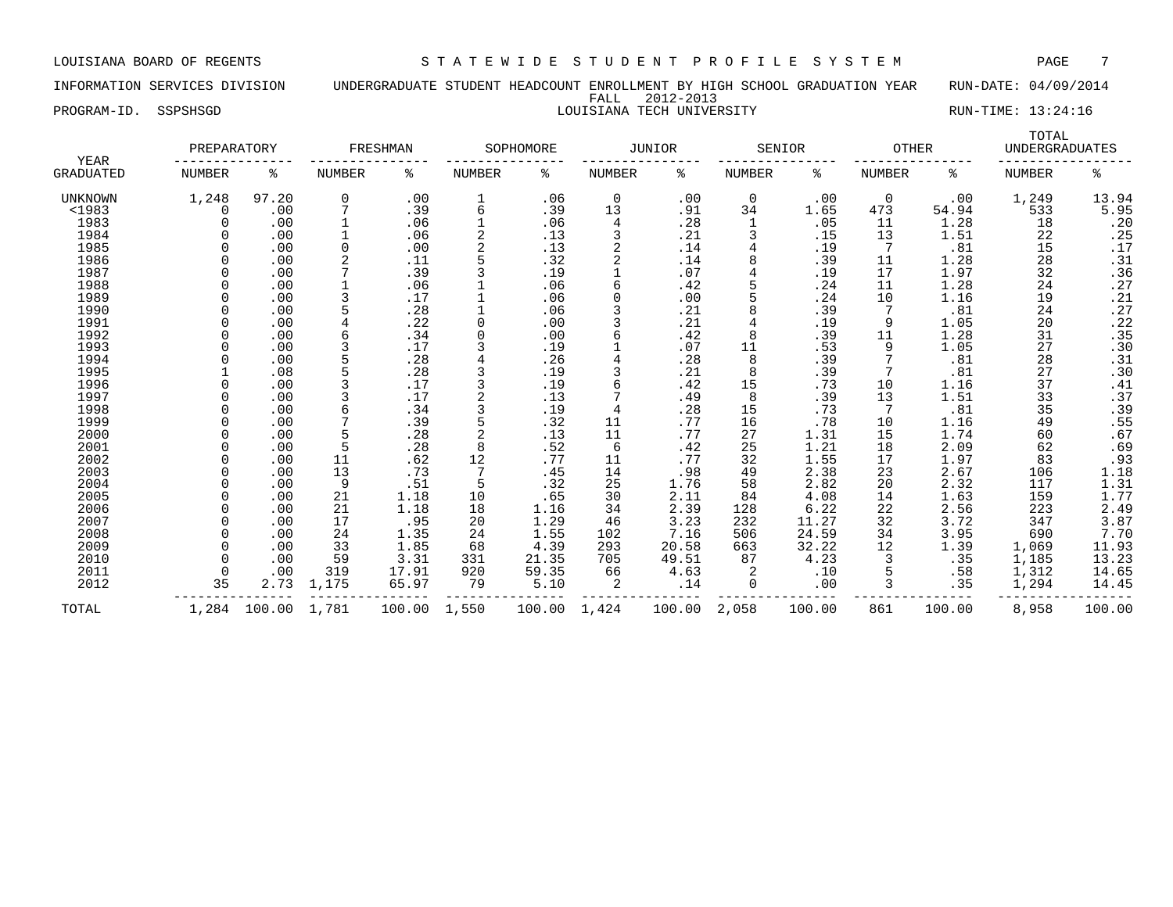INFORMATION SERVICES DIVISION UNDERGRADUATE STUDENT HEADCOUNT ENROLLMENT BY HIGH SCHOOL GRADUATION YEAR RUN-DATE: 04/09/2014 FALL 2012-2013 PROGRAM-ID. SSPSHSGD **RUN-TIME: 13:24:16** LOUISIANA TECH UNIVERSITY RUN-TIME: 13:24:16

|                   | PREPARATORY   |        |               | FRESHMAN |               | SOPHOMORE |               | <b>JUNIOR</b> |               | SENIOR | <b>OTHER</b>  |        | TOTAL<br><b>UNDERGRADUATES</b> |                  |
|-------------------|---------------|--------|---------------|----------|---------------|-----------|---------------|---------------|---------------|--------|---------------|--------|--------------------------------|------------------|
| YEAR<br>GRADUATED | <b>NUMBER</b> | ႜ      | <b>NUMBER</b> | ి        | <b>NUMBER</b> | ႜ         | <b>NUMBER</b> | ి             | <b>NUMBER</b> | ి      | <b>NUMBER</b> | ႜ      | <b>NUMBER</b>                  | ి                |
| UNKNOWN           | 1,248         | 97.20  | $\mathbf 0$   | .00      | 1             | .06       | 0             | .00           | 0             | .00    | 0             | .00    | 1,249                          | 13.94            |
| $<$ 1983          | 0             | .00    |               | .39      | 6             | .39       | 13            | .91           | 34            | 1.65   | 473           | 54.94  | 533                            | 5.95             |
| 1983              |               | .00    |               | .06      |               | .06       | 4             | .28           |               | .05    | 11            | 1.28   | 18                             | .20              |
| 1984              |               | .00    | 1             | .06      | 2             | .13       | 3             | .21           |               | .15    | 13            | 1.51   | 22                             | .25              |
| 1985              |               | .00    | 0             | .00      | 2             | .13       |               | .14           |               | .19    | -7            | .81    | 15                             | .17              |
| 1986              |               | .00    | 2             | .11      | 5             | .32       |               | .14           |               | .39    | 11            | 1.28   | 28                             | .31              |
| 1987              |               | .00    |               | .39      |               | .19       |               | .07           |               | .19    | 17            | 1.97   | 32                             | .36              |
| 1988              |               | .00    |               | .06      |               | .06       |               | .42           |               | .24    | 11            | 1.28   | 24                             | .27              |
| 1989              |               | .00    | 3             | .17      |               | .06       |               | .00           |               | .24    | 10            | 1.16   | 19                             |                  |
| 1990              |               | .00    | 5             | .28      |               | .06       |               | .21           |               | .39    |               | .81    | 24                             | $.21$<br>$.27$   |
| 1991              | ∩             | .00    | 4             | .22      | 0             | .00       |               | .21           |               | .19    | 9             | 1.05   | 20                             | .22              |
| 1992              |               | .00    | 6             | .34      | 0             | .00       |               | .42           | 8             | .39    | 11            | 1.28   | 31                             | .35              |
| 1993              |               | .00    | 3             | .17      | 3             | .19       |               | .07           | 11            | .53    | 9             | 1.05   | 27                             | .30              |
| 1994              |               | .00    | 5             | .28      |               | .26       |               | .28           | 8             | .39    |               | .81    | 28                             | .31              |
| 1995              |               | .08    | 5             | .28      |               | .19       |               | .21           | 8             | .39    |               | .81    | 27                             | .30              |
| 1996              |               | .00    |               | .17      |               | .19       |               | .42           | 15            | .73    | 10            | 1.16   | 37                             | .41              |
| 1997              |               | .00    | 3             | .17      |               | .13       |               | .49           | 8             | .39    | 13            | 1.51   | 33                             | .37              |
| 1998              |               | .00    | 6             | .34      | 3             | .19       |               | .28           | 15            | .73    |               | .81    | 35                             | .39              |
| 1999              |               | .00    |               | .39      | 5             | .32       | 11            | .77           | 16            | .78    | 10            | 1.16   | 49                             |                  |
| 2000              |               | .00    | 5             | .28      | 2             | .13       | 11            | .77           | 27            | 1.31   | 15            | 1.74   | 60                             | $.55$<br>$.67$   |
| 2001              |               | .00    | 5             | .28      | 8             | .52       | 6             | .42           | 25            | 1.21   | 18            | 2.09   | 62                             | .69              |
| 2002              |               | .00    | 11            | .62      | 12            | .77       | 11            | .77           | 32            | 1.55   | 17            | 1.97   | 83                             | .93              |
| 2003              |               | .00    | 13            | .73      |               | .45       | 14            | .98           | 49            | 2.38   | 23            | 2.67   | 106                            | 1.18             |
| 2004              |               | .00    | 9             | .51      | 5             | .32       | 25            | 1.76          | 58            | 2.82   | 20            | 2.32   | 117                            |                  |
| 2005              |               | .00    | 21            | 1.18     | 10            | .65       | 30            | 2.11          | 84            | 4.08   | 14            | 1.63   | 159                            | $1.31$<br>$1.77$ |
| 2006              |               | .00    | 21            | 1.18     | 18            | 1.16      | 34            | 2.39          | 128           | 6.22   | 22            | 2.56   | 223                            | 2.49             |
| 2007              |               | .00    | 17            | .95      | 20            | 1.29      | 46            | 3.23          | 232           | 11.27  | 32            | 3.72   | 347                            | 3.87             |
| 2008              |               | .00    | 24            | 1.35     | 24            | 1.55      | 102           | 7.16          | 506           | 24.59  | 34            | 3.95   | 690                            | 7.70             |
| 2009              |               | .00    | 33            | 1.85     | 68            | 4.39      | 293           | 20.58         | 663           | 32.22  | 12            | 1.39   | 1,069                          | 11.93            |
| 2010              | $\cap$        | .00    | 59            | 3.31     | 331           | 21.35     | 705           | 49.51         | 87            | 4.23   |               | .35    | 1,185                          | 13.23            |
| 2011              | $\Omega$      | .00    | 319           | 17.91    | 920           | 59.35     | 66            | 4.63          |               | .10    |               | .58    | 1,312                          | 14.65            |
| 2012              | 35            | 2.73   | 1,175         | 65.97    | 79            | 5.10      | 2             | .14           | 0             | .00    | 3             | .35    | 1,294                          | 14.45            |
| TOTAL             | 1,284         | 100.00 | 1,781         | 100.00   | 1,550         | 100.00    | 1,424         | 100.00        | 2,058         | 100.00 | 861           | 100.00 | 8,958                          | 100.00           |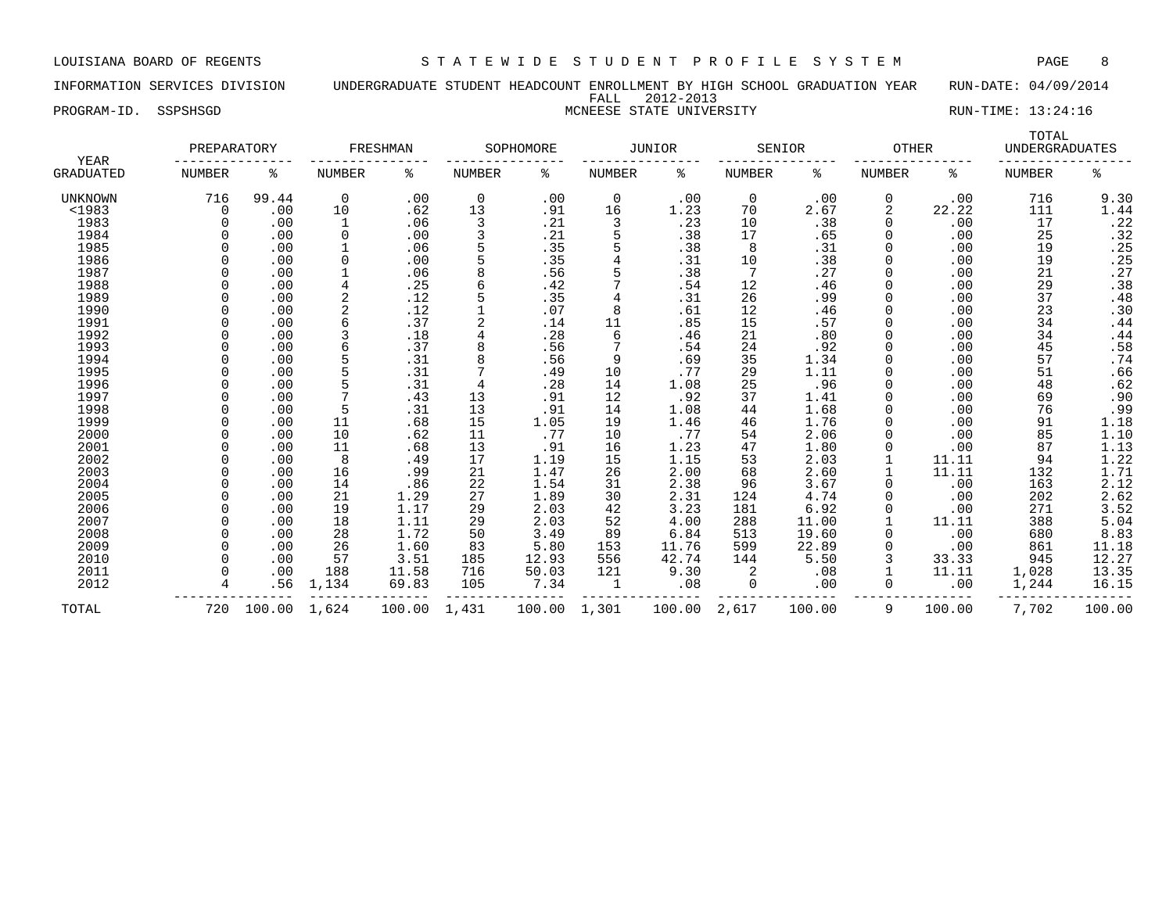INFORMATION SERVICES DIVISION UNDERGRADUATE STUDENT HEADCOUNT ENROLLMENT BY HIGH SCHOOL GRADUATION YEAR RUN-DATE: 04/09/2014 FALL 2012-2013

# PROGRAM-ID. SSPSHSGD NORTHER STATE UNIVERSITY NUMERAL PROGRAM-ID. SSPSHSGD RUN-TIME: 13:24:16

| YEAR             | PREPARATORY   |        |               | FRESHMAN |               | SOPHOMORE |               | JUNIOR |               | SENIOR | <b>OTHER</b>  |        | TOTAL<br><b>UNDERGRADUATES</b> |                         |
|------------------|---------------|--------|---------------|----------|---------------|-----------|---------------|--------|---------------|--------|---------------|--------|--------------------------------|-------------------------|
| <b>GRADUATED</b> | <b>NUMBER</b> | ిక     | <b>NUMBER</b> | ႜ        | <b>NUMBER</b> | ႜ         | <b>NUMBER</b> | ిక     | <b>NUMBER</b> | ႜ      | <b>NUMBER</b> | နွ     | <b>NUMBER</b>                  | ి                       |
| <b>UNKNOWN</b>   | 716           | 99.44  | 0             | .00      | 0             | .00       | 0             | .00    | 0             | .00    | 0             | .00    | 716                            | 9.30                    |
| <1983            | $\mathbf 0$   | .00    | 10            | .62      | 13            | .91       | 16            | 1.23   | 70            | 2.67   | 2             | 22.22  | 111                            | 1.44                    |
| 1983             |               | .00    | 1             | .06      | 3             | .21       | 3             | .23    | 10            | .38    | $\Omega$      | .00    | 17                             |                         |
| 1984             |               | .00    | 0             | .00      | 3             | .21       |               | .38    | 17            | .65    | 0             | .00    | 25                             |                         |
| 1985             |               | .00    |               | .06      |               | .35       |               | .38    | 8             | .31    | 0             | .00    | 19                             | $.22$<br>$.32$<br>$.25$ |
| 1986             |               | .00    | $\Omega$      | .00      | 5             | .35       |               | .31    | 10            | .38    | 0             | .00    | 19                             | .25                     |
| 1987             |               | .00    |               | .06      |               | .56       |               | .38    | 7             | .27    | 0             | .00    | 21                             | .27                     |
| 1988             |               | .00    | 4             | .25      |               | .42       |               | .54    | 12            | .46    | <sup>0</sup>  | .00    | 29                             | $: 38$<br>$: 48$        |
| 1989             |               | .00    |               | .12      |               | .35       |               | .31    | 26            | .99    | 0             | .00    | 37                             |                         |
| 1990             |               | .00    |               | .12      |               | .07       |               | .61    | 12            | .46    |               | .00    | 23                             | .30                     |
| 1991             |               | .00    |               | .37      |               | .14       | 11            | .85    | 15            | .57    |               | .00    | 34                             | .44                     |
| 1992             |               | .00    |               | .18      | 4             | .28       | 6             | .46    | 21            | .80    | <sup>0</sup>  | .00    | 34                             | .44                     |
| 1993             |               | .00    |               | .37      |               | .56       |               | .54    | 24            | .92    | 0             | .00    | 45                             | .58                     |
| 1994             | U             | .00    |               | .31      | 8             | .56       | 9             | .69    | 35            | 1.34   | 0             | .00    | 57                             |                         |
| 1995             |               | .00    |               | .31      |               | .49       | 10            | .77    | 29            | 1.11   | 0             | .00    | 51                             | $.74$<br>.66            |
| 1996             |               | .00    |               | .31      | 4             | .28       | 14            | 1.08   | 25            | .96    | 0             | .00    | 48                             | $.62$<br>$.90$          |
| 1997             |               | .00    |               | .43      | 13            | .91       | 12            | .92    | 37            | 1.41   | 0             | .00    | 69                             |                         |
| 1998             |               | .00    | 5             | .31      | 13            | .91       | 14            | 1.08   | 44            | 1.68   | 0             | .00    | 76                             | $.99$<br>1.18<br>1.10   |
| 1999             |               | .00    | 11            | .68      | 15            | 1.05      | 19            | 1.46   | 46            | 1.76   | 0             | .00    | 91                             |                         |
| 2000             | n             | .00    | 10            | .62      | 11            | .77       | 10            | .77    | 54            | 2.06   | 0             | .00    | 85                             |                         |
| 2001             |               | .00    | 11            | .68      | 13            | .91       | 16            | 1.23   | 47            | 1.80   | 0             | .00    | 87                             | 1.13                    |
| 2002             |               | .00    | 8             | .49      | 17            | 1.19      | 15            | 1.15   | 53            | 2.03   |               | 11.11  | 94                             | $\frac{1}{2}$ . 22      |
| 2003             |               | .00    | 16            | .99      | 21            | 1.47      | 26            | 2.00   | 68            | 2.60   |               | 11.11  | 132                            | 1.71                    |
| 2004             | $\Omega$      | .00    | 14            | .86      | 22            | 1.54      | 31            | 2.38   | 96            | 3.67   | 0             | .00    | 163                            | 2.12                    |
| 2005             | <sup>n</sup>  | .00    | 21            | 1.29     | 27            | 1.89      | 30            | 2.31   | 124           | 4.74   | <sup>0</sup>  | .00    | 202                            | 2.62                    |
| 2006             | U             | .00    | 19            | 1.17     | 29            | 2.03      | 42            | 3.23   | 181           | 6.92   | 0             | .00    | 271                            | 3.52                    |
| 2007             | <sup>n</sup>  | .00    | 18            | 1.11     | 29            | 2.03      | 52            | 4.00   | 288           | 11.00  |               | 11.11  | 388                            | 5.04                    |
| 2008             | <sup>n</sup>  | .00    | 28            | 1.72     | 50            | 3.49      | 89            | 6.84   | 513           | 19.60  | 0             | .00    | 680                            | 8.83                    |
| 2009             | $\Omega$      | .00    | 26            | 1.60     | 83            | 5.80      | 153           | 11.76  | 599           | 22.89  | 0             | .00    | 861                            | 11.18                   |
| 2010             |               | .00    | 57            | 3.51     | 185           | 12.93     | 556           | 42.74  | 144           | 5.50   | 3             | 33.33  | 945                            | 12.27                   |
| 2011             |               | .00    | 188           | 11.58    | 716           | 50.03     | 121           | 9.30   | 2             | .08    |               | 11.11  | 1,028                          | 13.35                   |
| 2012             |               | .56    | 1,134         | 69.83    | 105           | 7.34      | 1             | .08    | 0             | .00    | 0             | .00    | 1,244                          | 16.15                   |
| TOTAL            | 720           | 100.00 | 1,624         | 100.00   | 1,431         | 100.00    | 1,301         | 100.00 | 2,617         | 100.00 | 9             | 100.00 | 7,702                          | 100.00                  |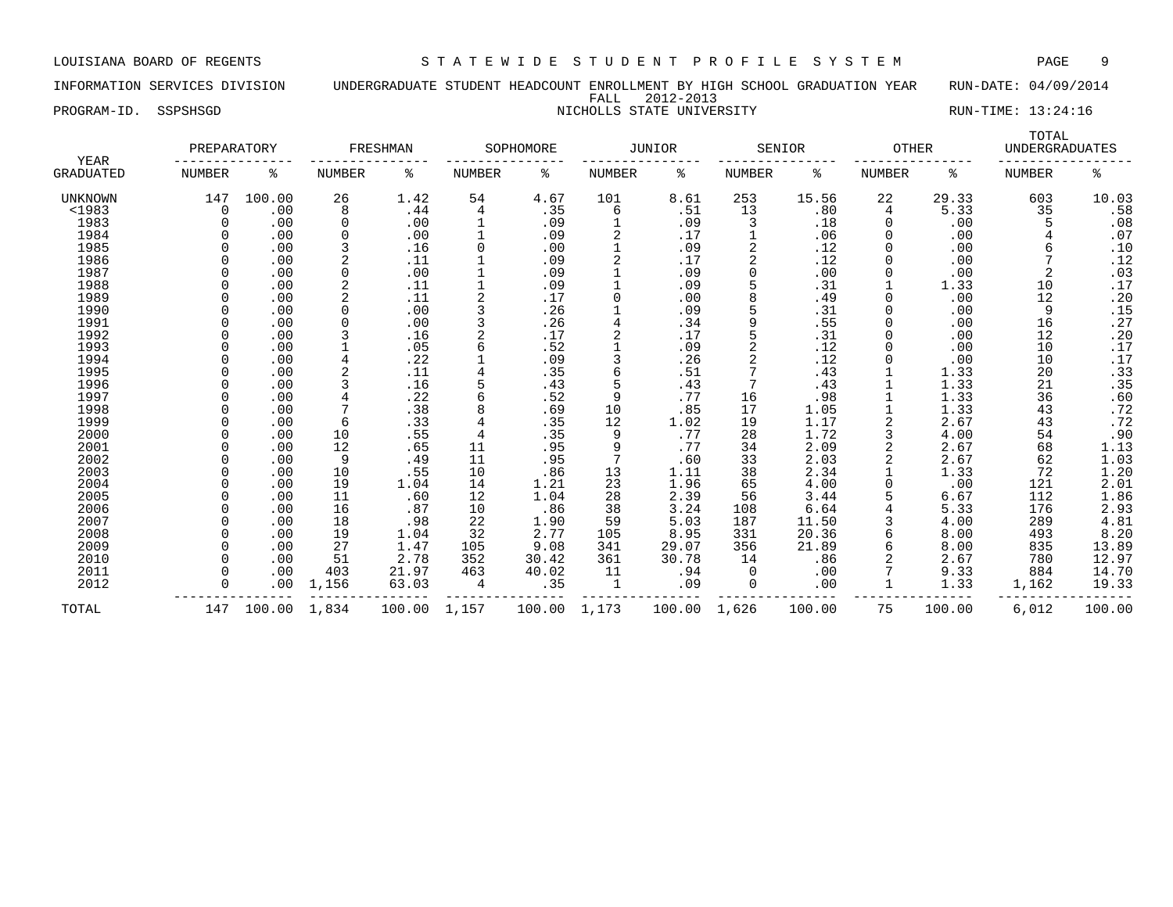INFORMATION SERVICES DIVISION UNDERGRADUATE STUDENT HEADCOUNT ENROLLMENT BY HIGH SCHOOL GRADUATION YEAR RUN-DATE: 04/09/2014 FALL 2012-2013 PROGRAM-ID. SSPSHSGD NICHOLLS STATE UNIVERSITY NICHOLLS STATE UNIVERSITY RUN-TIME: 13:24:16

| YEAR           | PREPARATORY |        |               | FRESHMAN |               | SOPHOMORE |               | <b>JUNIOR</b> |               | SENIOR | <b>OTHER</b>  |        | TOTAL<br><b>UNDERGRADUATES</b> |                  |
|----------------|-------------|--------|---------------|----------|---------------|-----------|---------------|---------------|---------------|--------|---------------|--------|--------------------------------|------------------|
| GRADUATED      | NUMBER      | ి      | <b>NUMBER</b> | ႜ        | <b>NUMBER</b> | ి         | <b>NUMBER</b> | နွ            | <b>NUMBER</b> | နွ     | <b>NUMBER</b> | နွ     | <b>NUMBER</b>                  | နွ               |
| <b>UNKNOWN</b> | 147         | 100.00 | 26            | 1.42     | 54            | 4.67      | 101           | 8.61          | 253           | 15.56  | 22            | 29.33  | 603                            | 10.03            |
| $1983$         | $\Omega$    | .00    | 8             | .44      | 4             | .35       | 6             | .51           | 13            | .80    | 4             | 5.33   | 35                             | .58              |
| 1983           |             | .00    | $\Omega$      | .00      |               | .09       |               | .09           | 3             | .18    | $\Omega$      | .00    | 5                              | .08              |
| 1984           |             | .00    | $\Omega$      | .00      |               | .09       | 2             | .17           |               | .06    | 0             | .00    |                                | .07              |
| 1985           |             | .00    |               | .16      | 0             | .00       |               | .09           | 2             | .12    |               | .00    | 6                              | .10              |
| 1986           |             | .00    |               | .11      |               | .09       | 2             | .17           | 2             | .12    |               | .00    |                                | .12              |
| 1987           |             | .00    | 0             | .00      |               | .09       |               | .09           | 0             | .00    |               | .00    | 2                              | .03              |
| 1988           |             | .00    | 2             | .11      |               | .09       |               | .09           |               | .31    |               | 1.33   | 10                             | .17              |
| 1989           |             | .00    |               | .11      |               | .17       | 0             | .00           |               | .49    | O             | .00    | 12                             | .20              |
| 1990           |             | .00    | $\Omega$      | .00      |               | .26       |               | .09           |               | .31    |               | .00    | 9                              | .15              |
| 1991           |             | .00    | $\Omega$      | .00      |               | .26       | 4             | .34           | q             | .55    |               | .00    | 16                             | .27              |
| 1992           |             | .00    | 3             | .16      |               | .17       |               | .17           |               | .31    |               | .00    | 12                             | .20              |
| 1993           |             | .00    |               | .05      | 6             | .52       |               | .09           |               | .12    |               | .00    | 10                             | .17              |
| 1994           |             | .00    |               | .22      |               | .09       | 3             | .26           |               | .12    |               | .00    | 10                             | .17              |
| 1995           |             | .00    | 2             | .11      |               | .35       | б             | .51           |               | .43    |               | 1.33   | 20                             | .33              |
| 1996           |             | .00    | 3             | .16      |               | .43       | 5             | .43           |               | .43    |               | 1.33   | 21                             | $.35$<br>.60     |
| 1997           |             | .00    | 4             | .22      | 6             | .52       | 9             | .77           | 16            | .98    |               | 1.33   | 36                             |                  |
| 1998           |             | .00    |               | .38      | 8             | .69       | 10            | .85           | 17            | 1.05   |               | 1.33   | 43                             | .72              |
| 1999           |             | .00    | 6             | .33      | 4             | .35       | 12            | 1.02          | 19            | 1.17   | 2             | 2.67   | 43                             | .72              |
| 2000           |             | .00    | 10            | .55      | 4             | .35       | 9             | .77           | 28            | 1.72   | 3             | 4.00   | 54                             | .90              |
| 2001           |             | .00    | 12            | .65      | 11            | .95       | 9             | .77           | 34            | 2.09   | 2             | 2.67   | 68                             | $1.13$<br>$1.03$ |
| 2002           |             | .00    | 9             | .49      | 11            | .95       | 7             | .60           | 33            | 2.03   |               | 2.67   | 62                             |                  |
| 2003           |             | .00    | 10            | .55      | 10            | .86       | 13            | 1.11          | 38            | 2.34   |               | 1.33   | 72                             | 1.20             |
| 2004           |             | .00    | 19            | 1.04     | 14            | 1.21      | 23            | 1.96          | 65            | 4.00   |               | .00    | 121                            | 2.01             |
| 2005           |             | .00    | 11            | .60      | 12            | 1.04      | 28            | 2.39          | 56            | 3.44   |               | 6.67   | 112                            | 1.86             |
| 2006           |             | .00    | 16            | .87      | 10            | .86       | 38            | 3.24          | 108           | 6.64   |               | 5.33   | 176                            | 2.93             |
| 2007           |             | .00    | 18            | .98      | 22            | 1.90      | 59            | 5.03          | 187           | 11.50  |               | 4.00   | 289                            | 4.81             |
| 2008           |             | .00    | 19            | 1.04     | 32            | 2.77      | 105           | 8.95          | 331           | 20.36  | 6             | 8.00   | 493                            | 8.20             |
| 2009           |             | .00    | 27            | 1.47     | 105           | 9.08      | 341           | 29.07         | 356           | 21.89  | 6             | 8.00   | 835                            | 13.89            |
| 2010           |             | .00    | 51            | 2.78     | 352           | 30.42     | 361           | 30.78         | 14            | .86    |               | 2.67   | 780                            | 12.97            |
| 2011           |             | .00    | 403           | 21.97    | 463           | 40.02     | 11            | .94           | $\Omega$      | .00    |               | 9.33   | 884                            | 14.70            |
| 2012           |             | .00    | 1,156         | 63.03    | 4             | .35       | 1             | .09           | 0             | .00    |               | 1.33   | 1,162                          | 19.33            |
| TOTAL          | 147         | 100.00 | 1,834         | 100.00   | 1,157         | 100.00    | 1,173         | 100.00        | 1,626         | 100.00 | 75            | 100.00 | 6,012                          | 100.00           |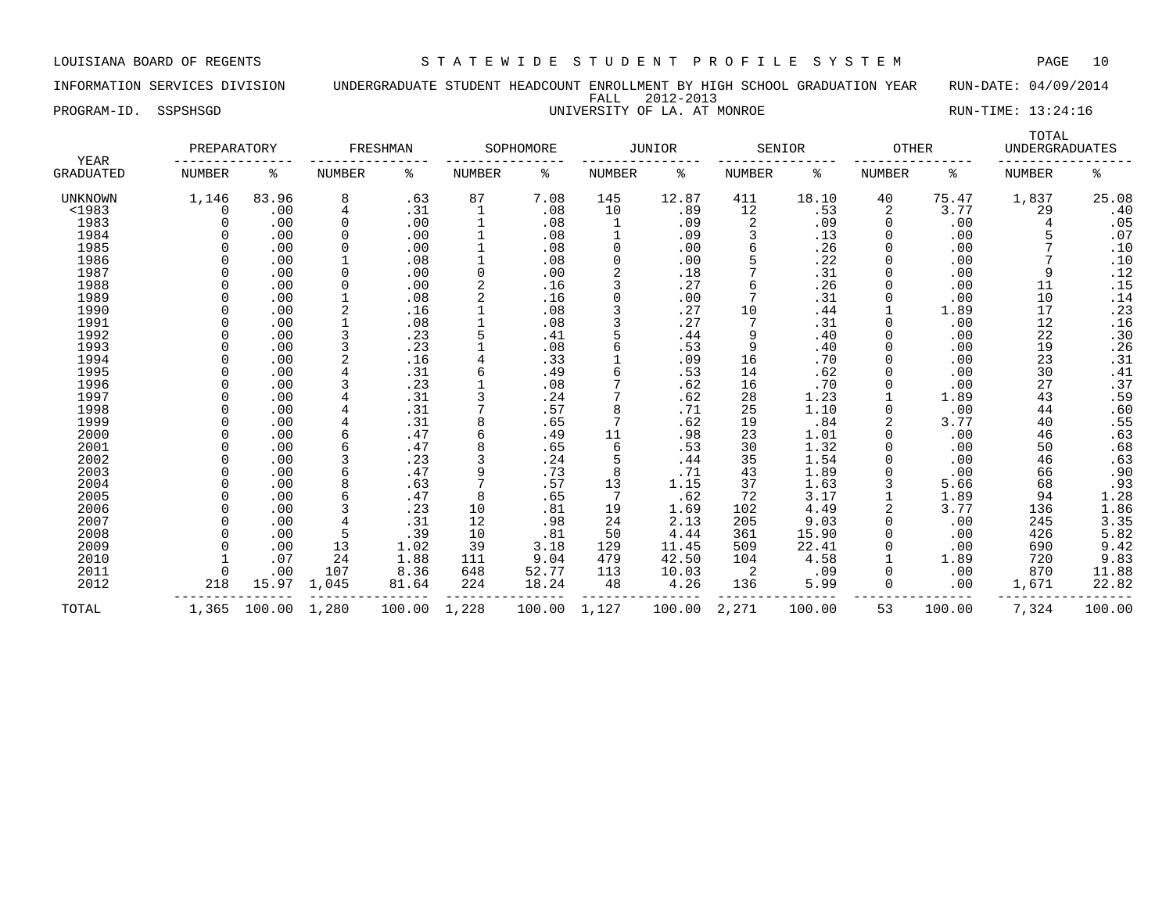INFORMATION SERVICES DIVISION UNDERGRADUATE STUDENT HEADCOUNT ENROLLMENT BY HIGH SCHOOL GRADUATION YEAR RUN-DATE: 04/09/2014 FALL 2012-2013 PROGRAM-ID. SSPSHSGD UNIVERSITY OF LA. AT MONROE RUN-TIME: 13:24:16

| <b>YEAR</b>      | PREPARATORY   |        |             | FRESHMAN |        | SOPHOMORE |                | <b>JUNIOR</b> |               | SENIOR | <b>OTHER</b> |        | TOTAL<br><b>UNDERGRADUATES</b> |                |
|------------------|---------------|--------|-------------|----------|--------|-----------|----------------|---------------|---------------|--------|--------------|--------|--------------------------------|----------------|
| <b>GRADUATED</b> | <b>NUMBER</b> | ႜ      | NUMBER      | ႜ        | NUMBER | ႜ         | NUMBER         | ႜ             | <b>NUMBER</b> | နွ     | NUMBER       | ႜ      | <b>NUMBER</b>                  | နွ             |
| UNKNOWN          | 1,146         | 83.96  | 8           | .63      | 87     | 7.08      | 145            | 12.87         | 411           | 18.10  | 40           | 75.47  | 1,837                          | 25.08          |
| <1983            |               | .00    | 4           | .31      |        | .08       | 10             | .89           | 12            | .53    | 2            | 3.77   | 29                             | .40            |
| 1983             |               | .00    | 0           | .00      |        | .08       | 1              | .09           | 2             | .09    | 0            | .00    |                                | .05            |
| 1984             |               | .00    | $\Omega$    | .00      |        | .08       |                | .09           |               | .13    | 0            | .00    |                                | .07            |
| 1985             |               | .00    | 0           | .00      |        | .08       | $\Omega$       | .00           | 6             | .26    |              | .00    |                                | .10            |
| 1986             |               | .00    |             | .08      |        | .08       | $\Omega$       | .00           |               | .22    | 0            | .00    |                                | .10            |
| 1987             |               | .00    | $\Omega$    | .00      |        | .00       | $\overline{2}$ | .18           |               | .31    | 0            | .00    | 9                              | .12            |
| 1988             |               | .00    | $\mathbf 0$ | .00      |        | .16       | 3              | .27           | 6             | .26    | O            | .00    | 11                             | .15            |
| 1989             |               | .00    |             | .08      |        | .16       | $\Omega$       | .00           |               | .31    | O            | .00    | 10                             | .14            |
| 1990             |               | .00    |             | .16      |        | .08       | 3              | .27           | 10            | .44    |              | 1.89   | 17                             | .23            |
| 1991             |               | .00    |             | .08      |        | .08       |                | .27           |               | .31    | 0            | .00    | 12                             | .16            |
| 1992             |               | .00    |             | .23      |        | .41       |                | .44           | 9             | .40    | 0            | .00    | 22                             | .30            |
| 1993             |               | .00    |             | .23      |        | .08       | 6              | .53           | 9             | .40    | 0            | .00    | 19                             | .26            |
| 1994             |               | .00    |             | .16      |        | .33       |                | .09           | 16            | .70    | 0            | .00    | 23                             | .31            |
| 1995             |               | .00    |             | .31      |        | .49       |                | .53           | 14            | .62    |              | .00    | 30                             | .41            |
| 1996             |               | .00    |             | .23      |        | .08       |                | .62           | 16            | .70    |              | .00    | 27                             | .37            |
| 1997             |               | .00    |             | .31      |        | .24       |                | .62           | 28            | 1.23   |              | 1.89   | 43                             | .59            |
| 1998             |               | .00    |             | .31      |        | .57       | 8              | .71           | 25            | 1.10   |              | .00    | 44                             | .60            |
| 1999             |               | .00    |             | .31      |        | .65       | 7              | .62           | 19            | .84    |              | 3.77   | 40                             |                |
| 2000             |               | .00    |             | .47      |        | .49       | 11             | .98           | 23            | 1.01   | O            | .00    | 46                             | $.55$<br>$.63$ |
| 2001             |               | .00    |             | .47      |        | .65       | 6              | .53           | 30            | 1.32   | O            | .00    | 50                             | .68            |
| 2002             |               | .00    |             | .23      |        | .24       | 5              | .44           | 35            | 1.54   |              | .00    | 46                             | .63            |
| 2003             |               | .00    |             | .47      |        | .73       | 8              | .71           | 43            | 1.89   |              | .00    | 66                             | .90            |
| 2004             |               | .00    | 8           | .63      |        | .57       | 13             | 1.15          | 37            | 1.63   |              | 5.66   | 68                             | .93            |
| 2005             |               | .00    |             | .47      |        | .65       | 7              | .62           | 72            | 3.17   |              | 1.89   | 94                             | 1.28           |
| 2006             |               | .00    |             | .23      | 10     | .81       | 19             | 1.69          | 102           | 4.49   |              | 3.77   | 136                            | 1.86           |
| 2007             |               | .00    |             | .31      | 12     | .98       | 24             | 2.13          | 205           | 9.03   | 0            | .00    | 245                            | 3.35           |
| 2008             |               | .00    |             | .39      | 10     | .81       | 50             | 4.44          | 361           | 15.90  |              | .00    | 426                            | 5.82           |
| 2009             |               | .00    | 13          | 1.02     | 39     | 3.18      | 129            | 11.45         | 509           | 22.41  |              | .00    | 690                            | 9.42           |
| 2010             |               | .07    | 24          | 1.88     | 111    | 9.04      | 479            | 42.50         | 104           | 4.58   |              | 1.89   | 720                            | 9.83           |
| 2011             |               | .00    | 107         | 8.36     | 648    | 52.77     | 113            | 10.03         | 2             | .09    | 0            | .00    | 870                            | 11.88          |
| 2012             | 218           | 15.97  | 1,045       | 81.64    | 224    | 18.24     | 48             | 4.26          | 136           | 5.99   | 0            | .00    | 1,671                          | 22.82          |
| TOTAL            | 1,365         | 100.00 | 1,280       | 100.00   | 1,228  | 100.00    | 1,127          | 100.00        | 2,271         | 100.00 | 53           | 100.00 | 7,324                          | 100.00         |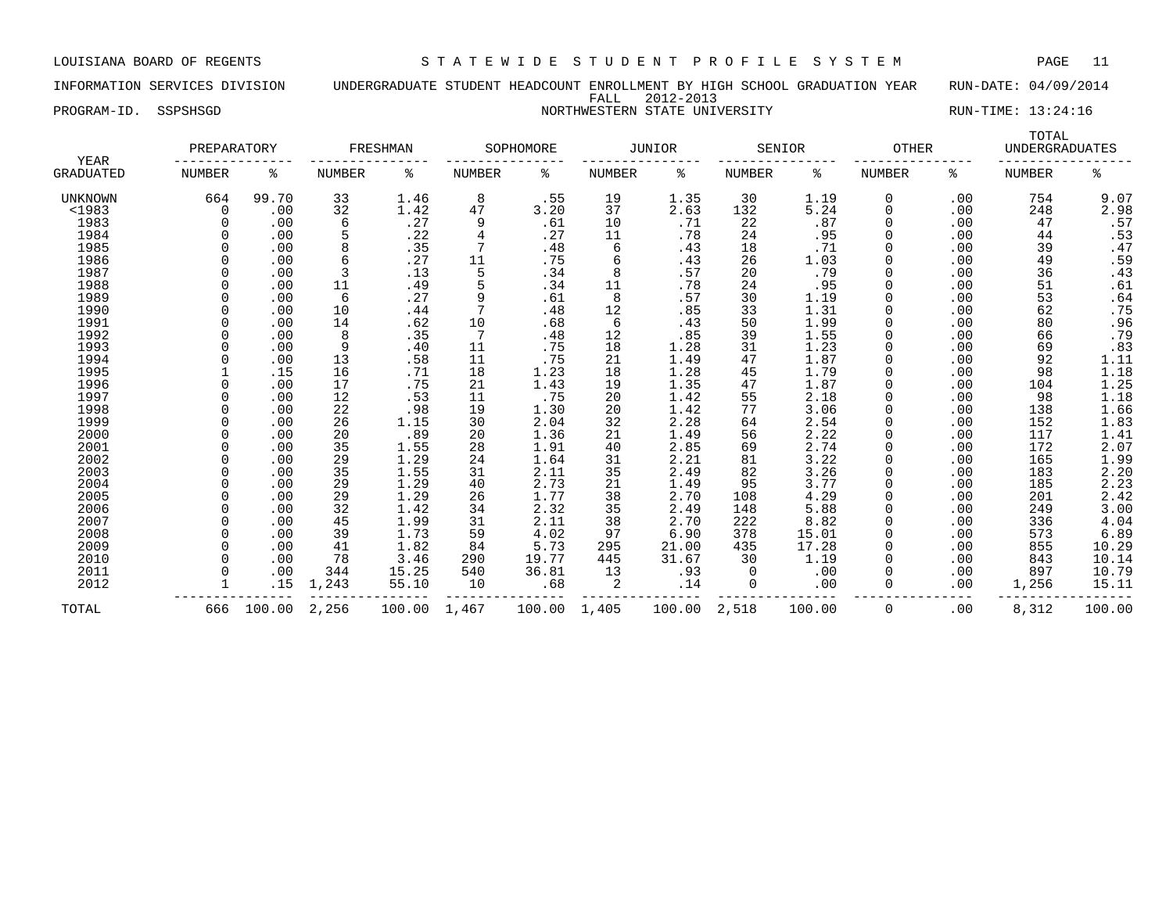INFORMATION SERVICES DIVISION UNDERGRADUATE STUDENT HEADCOUNT ENROLLMENT BY HIGH SCHOOL GRADUATION YEAR RUN-DATE: 04/09/2014 FALL 2012-2013 PROGRAM-ID. SSPSHSGD NORTHWESTERN STATE UNIVERSITY NORTHWESTERN STATE UNIVERSITY

| YEAR           | PREPARATORY   |        |               | FRESHMAN |        | SOPHOMORE |               | <b>JUNIOR</b> |               | SENIOR | <b>OTHER</b>  |     | TOTAL<br><b>UNDERGRADUATES</b> |                     |
|----------------|---------------|--------|---------------|----------|--------|-----------|---------------|---------------|---------------|--------|---------------|-----|--------------------------------|---------------------|
| GRADUATED      | <b>NUMBER</b> | ႜ      | <b>NUMBER</b> | ႜ        | NUMBER | ి         | <b>NUMBER</b> | နွ            | <b>NUMBER</b> | နွ     | <b>NUMBER</b> | ႜ   | <b>NUMBER</b>                  | ి                   |
| <b>UNKNOWN</b> | 664           | 99.70  | 33            | 1.46     | 8      | .55       | 19            | 1.35          | 30            | 1.19   | 0             | .00 | 754                            | 9.07                |
| $<$ 1983       | $\Omega$      | .00    | 32            | 1.42     | 47     | 3.20      | 37            | 2.63          | 132           | 5.24   | 0             | .00 | 248                            | 2.98                |
| 1983           |               | .00    | 6             | .27      | 9      | .61       | 10            | .71           | 22            | .87    | 0             | .00 | 47                             | .57                 |
| 1984           |               | .00    |               | .22      | 4      | .27       | 11            | .78           | 24            | .95    | 0             | .00 | 44                             |                     |
| 1985           |               | .00    | 8             | .35      | 7      | .48       | 6             | .43           | 18            | .71    |               | .00 | 39                             | $.53$<br>$.47$      |
| 1986           |               | .00    | 6             | .27      | 11     | .75       | 6             | .43           | 26            | 1.03   |               | .00 | 49                             | .59                 |
| 1987           |               | .00    | 3             | .13      | 5      | .34       | 8             | .57           | 20            | .79    |               | .00 | 36                             | .43                 |
| 1988           |               | .00    | 11            | .49      | 5      | .34       | 11            | .78           | 24            | .95    | 0             | .00 | 51                             | .61                 |
| 1989           |               | .00    | 6             | .27      | 9      | .61       | 8             | .57           | 30            | 1.19   | O             | .00 | 53                             | .64                 |
| 1990           |               | .00    | 10            | .44      | 7      | .48       | 12            | .85           | 33            | 1.31   |               | .00 | 62                             | .75                 |
| 1991           |               | .00    | 14            | .62      | 10     | .68       | 6             | .43           | 50            | 1.99   |               | .00 | 80                             | .96                 |
| 1992           |               | .00    | 8             | .35      |        | .48       | 12            | .85           | 39            | 1.55   |               | .00 | 66                             | .79                 |
| 1993           |               | .00    | 9             | .40      | 11     | .75       | 18            | 1.28          | 31            | 1.23   |               | .00 | 69                             | .83                 |
| 1994           |               | .00    | 13            | .58      | 11     | .75       | 21            | 1.49          | 47            | 1.87   |               | .00 | 92                             | $\frac{1}{1}.11$    |
| 1995           |               | .15    | 16            | .71      | 18     | 1.23      | 18            | 1.28          | 45            | 1.79   | O             | .00 | 98                             |                     |
| 1996           |               | .00    | 17            | .75      | 21     | 1.43      | 19            | 1.35          | 47            | 1.87   | 0             | .00 | 104                            | $\frac{1.25}{1.18}$ |
| 1997           |               | .00    | 12            | .53      | 11     | .75       | 20            | 1.42          | 55            | 2.18   | $\Omega$      | .00 | 98                             |                     |
| 1998           |               | .00    | 22            | .98      | 19     | 1.30      | 20            | 1.42          | 77            | 3.06   | $\Omega$      | .00 | 138                            | 1.66                |
| 1999           |               | .00    | 26            | 1.15     | 30     | 2.04      | 32            | 2.28          | 64            | 2.54   |               | .00 | 152                            | 1.83                |
| 2000           |               | .00    | 20            | .89      | 20     | 1.36      | 21            | 1.49          | 56            | 2.22   |               | .00 | 117                            |                     |
| 2001           |               | .00    | 35            | 1.55     | 28     | 1.91      | 40            | 2.85          | 69            | 2.74   |               | .00 | 172                            | $\frac{1.41}{2.07}$ |
| 2002           |               | .00    | 29            | 1.29     | 24     | 1.64      | 31            | 2.21          | 81            | 3.22   | 0             | .00 | 165                            | 1.99                |
| 2003           |               | .00    | 35            | 1.55     | 31     | 2.11      | 35            | 2.49          | 82            | 3.26   | 0             | .00 | 183                            |                     |
| 2004           |               | .00    | 29            | 1.29     | 40     | 2.73      | 21            | 1.49          | 95            | 3.77   | 0             | .00 | 185                            | $2.20$<br>$2.23$    |
| 2005           |               | .00    | 29            | 1.29     | 26     | 1.77      | 38            | 2.70          | 108           | 4.29   | 0             | .00 | 201                            | $\frac{1}{2.42}$    |
| 2006           |               | .00    | 32            | 1.42     | 34     | 2.32      | 35            | 2.49          | 148           | 5.88   |               | .00 | 249                            | 3.00                |
| 2007           |               | .00    | 45            | 1.99     | 31     | 2.11      | 38            | 2.70          | 222           | 8.82   |               | .00 | 336                            | 4.04                |
| 2008           |               | .00    | 39            | 1.73     | 59     | 4.02      | 97            | 6.90          | 378           | 15.01  |               | .00 | 573                            | 6.89                |
| 2009           |               | .00    | 41            | 1.82     | 84     | 5.73      | 295           | 21.00         | 435           | 17.28  | 0             | .00 | 855                            | 10.29               |
| 2010           |               | .00    | 78            | 3.46     | 290    | 19.77     | 445           | 31.67         | 30            | 1.19   | $\Omega$      | .00 | 843                            | 10.14               |
| 2011           |               | .00    | 344           | 15.25    | 540    | 36.81     | 13            | .93           | $\Omega$      | .00    | $\Omega$      | .00 | 897                            | 10.79               |
| 2012           |               | .15    | 1,243         | 55.10    | 10     | .68       | 2             | .14           | 0             | .00    | $\Omega$      | .00 | 1,256                          | 15.11               |
| TOTAL          | 666           | 100.00 | 2,256         | 100.00   | 1,467  | 100.00    | 1,405         | 100.00        | 2,518         | 100.00 | 0             | .00 | 8,312                          | 100.00              |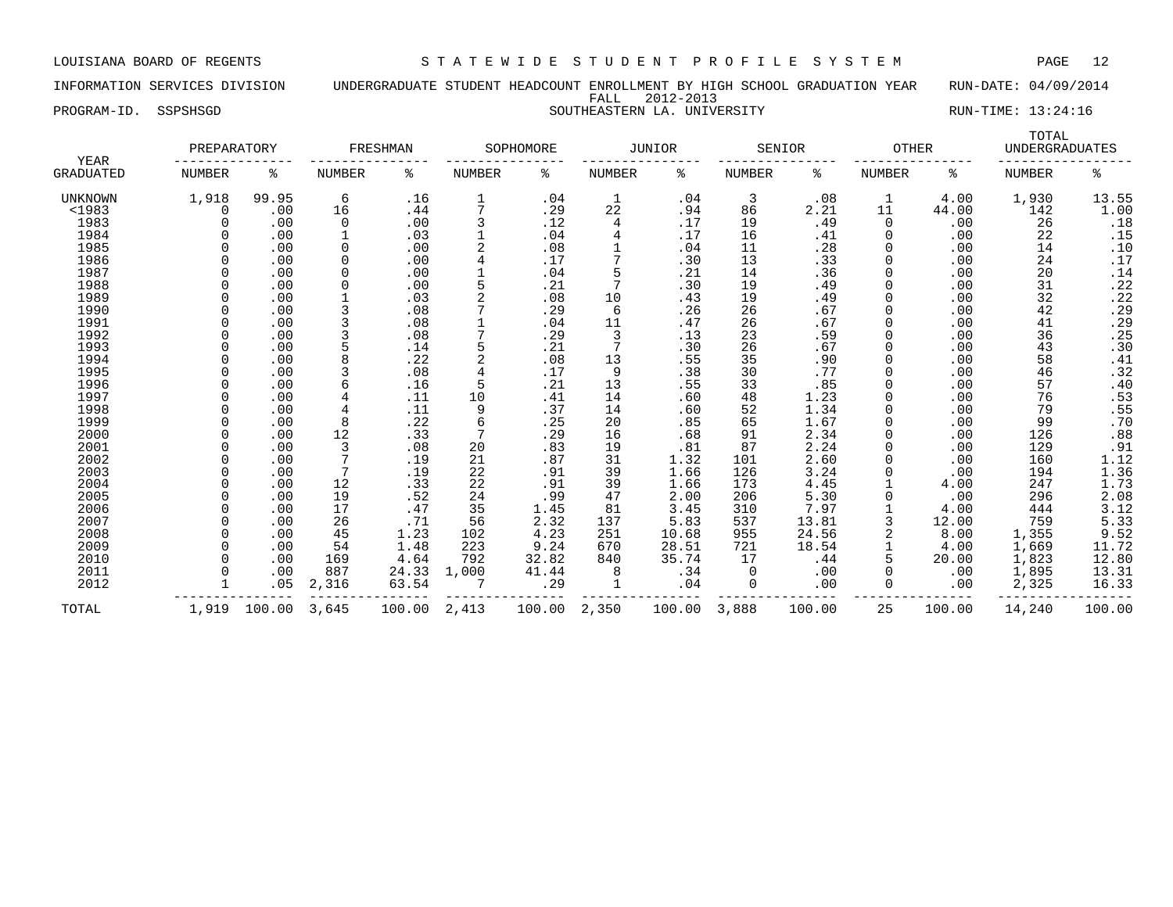INFORMATION SERVICES DIVISION UNDERGRADUATE STUDENT HEADCOUNT ENROLLMENT BY HIGH SCHOOL GRADUATION YEAR RUN-DATE: 04/09/2014 FALL 2012-2013 PROGRAM-ID. SSPSHSGD SOUTHEASTERN LA. UNIVERSITY RUN-TIME: 13:24:16

| YEAR           | PREPARATORY   |        |               | FRESHMAN |               | SOPHOMORE |        | <b>JUNIOR</b> |               | SENIOR | <b>OTHER</b>  |        | TOTAL<br><b>UNDERGRADUATES</b> |                              |
|----------------|---------------|--------|---------------|----------|---------------|-----------|--------|---------------|---------------|--------|---------------|--------|--------------------------------|------------------------------|
| GRADUATED      | <b>NUMBER</b> | နွ     | <b>NUMBER</b> | နွ       | <b>NUMBER</b> | ႜ         | NUMBER | နွ            | <b>NUMBER</b> | နွ     | <b>NUMBER</b> | ႜ      | <b>NUMBER</b>                  | ి                            |
| <b>UNKNOWN</b> | 1,918         | 99.95  | 6             | .16      | 1             | .04       |        | .04           | 3             | .08    | 1             | 4.00   | 1,930                          | 13.55                        |
| $1983$         | $\Omega$      | .00    | 16            | .44      | 7             | .29       | 22     | .94           | 86            | 2.21   | 11            | 44.00  | 142                            | 1.00                         |
| 1983           |               | .00    | 0             | .00      | 3             | .12       | 4      | .17           | 19            | .49    | $\Omega$      | .00    | 26                             | .18                          |
| 1984           |               | .00    | $\mathbf 1$   | .03      |               | .04       |        | .17           | 16            | .41    | $\Omega$      | .00    | 22                             | .15                          |
| 1985           |               | .00    | 0             | .00      |               | .08       |        | .04           | 11            | .28    | 0             | .00    | 14                             | .10                          |
| 1986           |               | .00    | 0             | .00      |               | .17       |        | .30           | 13            | .33    | 0             | .00    | 24                             | $\footnotesize\mathchar`-17$ |
| 1987           |               | .00    | 0             | .00      |               | .04       |        | .21           | 14            | .36    |               | .00    | 20                             | .14                          |
| 1988           |               | .00    | 0             | .00      | 5             | .21       |        | .30           | 19            | .49    |               | .00    | 31                             | .22                          |
| 1989           |               | .00    |               | .03      |               | .08       | 10     | .43           | 19            | .49    |               | .00    | 32                             | .22                          |
| 1990           |               | .00    | 3             | .08      |               | .29       | 6      | .26           | 26            | .67    |               | .00    | 42                             | .29                          |
| 1991           |               | .00    | 3             | .08      |               | .04       | 11     | .47           | 26            | .67    |               | .00    | 41                             | .29                          |
| 1992           |               | .00    | 3             | .08      |               | .29       | 3      | .13           | 23            | .59    |               | .00    | 36                             | .25                          |
| 1993           |               | .00    | 5             | .14      |               | .21       |        | .30           | 26            | .67    |               | .00    | 43                             | .30                          |
| 1994           |               | .00    | 8             | .22      |               | .08       | 13     | .55           | 35            | .90    |               | .00    | 58                             | .41                          |
| 1995           |               | .00    |               | .08      |               | .17       | 9      | .38           | 30            | .77    |               | .00    | 46                             | .32                          |
| 1996           |               | .00    | 6             | .16      | 5             | .21       | 13     | .55           | 33            | .85    |               | .00    | 57                             | .40                          |
| 1997           |               | .00    | 4             | .11      | 10            | .41       | 14     | .60           | 48            | 1.23   |               | .00    | 76                             | .53                          |
| 1998           |               | .00    | 4             | .11      | 9             | .37       | 14     | .60           | 52            | 1.34   |               | .00    | 79                             | .55                          |
| 1999           |               | .00    | 8             | .22      | 6             | .25       | 20     | .85           | 65            | 1.67   |               | .00    | 99                             | .70                          |
| 2000           |               | .00    | 12            | .33      | 7             | .29       | 16     | .68           | 91            | 2.34   |               | .00    | 126                            | .88                          |
| 2001           |               | .00    | 3             | .08      | 20            | .83       | 19     | .81           | 87            | 2.24   |               | .00    | 129                            | .91                          |
| 2002           |               | .00    | 7             | .19      | 21            | .87       | 31     | 1.32          | 101           | 2.60   |               | .00    | 160                            | 1.12                         |
| 2003           |               | .00    | 7             | .19      | 22            | .91       | 39     | 1.66          | 126           | 3.24   |               | .00    | 194                            | 1.36                         |
| 2004           |               | .00    | 12            | .33      | 22            | .91       | 39     | 1.66          | 173           | 4.45   |               | 4.00   | 247                            | 1.73                         |
| 2005           |               | .00    | 19            | .52      | 24            | .99       | 47     | 2.00          | 206           | 5.30   |               | .00    | 296                            | 2.08                         |
| 2006           |               | .00    | 17            | .47      | 35            | 1.45      | 81     | 3.45          | 310           | 7.97   |               | 4.00   | 444                            | 3.12                         |
| 2007           |               | .00    | 26            | .71      | 56            | 2.32      | 137    | 5.83          | 537           | 13.81  |               | 12.00  | 759                            | 5.33                         |
| 2008           |               | .00    | 45            | 1.23     | 102           | 4.23      | 251    | 10.68         | 955           | 24.56  |               | 8.00   | 1,355                          | 9.52                         |
| 2009           |               | .00    | 54            | 1.48     | 223           | 9.24      | 670    | 28.51         | 721           | 18.54  |               | 4.00   | 1,669                          | 11.72                        |
| 2010           |               | .00    | 169           | 4.64     | 792           | 32.82     | 840    | 35.74         | 17            | .44    |               | 20.00  | 1,823                          | 12.80                        |
| 2011           |               | .00    | 887           | 24.33    | 1,000         | 41.44     |        | .34           | 0             | .00    |               | .00    | 1,895                          | 13.31                        |
| 2012           |               | .05    | 2,316         | 63.54    |               | .29       |        | .04           | 0             | .00    | 0             | .00    | 2,325                          | 16.33                        |
| TOTAL          | 1,919         | 100.00 | 3,645         | 100.00   | 2,413         | 100.00    | 2,350  | 100.00        | 3,888         | 100.00 | 25            | 100.00 | 14,240                         | 100.00                       |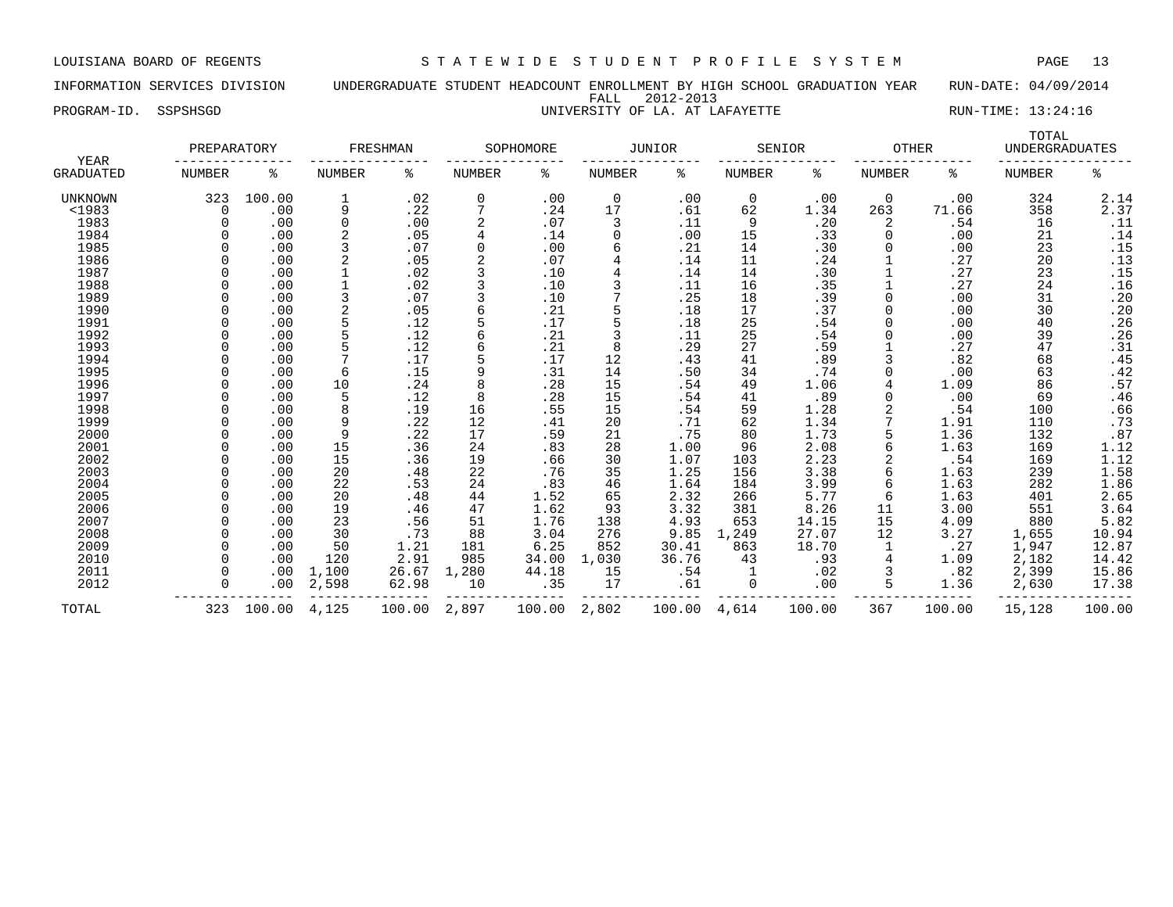INFORMATION SERVICES DIVISION UNDERGRADUATE STUDENT HEADCOUNT ENROLLMENT BY HIGH SCHOOL GRADUATION YEAR RUN-DATE: 04/09/2014 FALL 2012-2013 PROGRAM-ID. SSPSHSGD **EXECUTE:** 13:24:16 UNIVERSITY OF LA. AT LAFAYETTE RUN-TIME: 13:24:16

| YEAR           | PREPARATORY   |        |               | FRESHMAN |               | SOPHOMORE |               | JUNIOR |               | SENIOR | <b>OTHER</b>  |        | TOTAL<br><b>UNDERGRADUATES</b> |                  |
|----------------|---------------|--------|---------------|----------|---------------|-----------|---------------|--------|---------------|--------|---------------|--------|--------------------------------|------------------|
| GRADUATED      | <b>NUMBER</b> | ి      | <b>NUMBER</b> | ి        | <b>NUMBER</b> | ి         | <b>NUMBER</b> | %      | <b>NUMBER</b> | ە<br>ج | <b>NUMBER</b> | ႜ      | <b>NUMBER</b>                  | နွ               |
| <b>UNKNOWN</b> | 323           | 100.00 | 1             | .02      | 0             | .00       | $\mathbf 0$   | .00    | 0             | .00    | $\mathbf 0$   | .00    | 324                            | 2.14             |
| $<$ 1983       | 0             | .00    | 9             | .22      | 7             | .24       | 17            | .61    | 62            | 1.34   | 263           | 71.66  | 358                            | 2.37             |
| 1983           | O             | .00    | 0             | .00      |               | .07       | 3             | .11    | 9             | .20    | 2             | .54    | 16                             | .11              |
| 1984           |               | .00    | 2             | .05      |               | .14       |               | .00    | 15            | .33    |               | .00    | 21                             | .14              |
| 1985           |               | .00    | 3             | .07      | 0             | .00       |               | .21    | 14            | .30    |               | .00    | 23                             | .15              |
| 1986           |               | .00    | 2             | .05      |               | .07       |               | .14    | 11            | .24    |               | .27    | 20                             |                  |
| 1987           |               | .00    | 1             | .02      | 3             | .10       |               | .14    | 14            | .30    |               | .27    | 23                             | $: 13$<br>$: 15$ |
| 1988           |               | .00    |               | .02      |               | .10       |               | .11    | 16            | .35    |               | .27    | 24                             | .16              |
| 1989           |               | .00    | 3             | .07      |               | .10       |               | .25    | 18            | .39    |               | .00    | 31                             | .20              |
| 1990           |               | .00    | 2             | .05      |               | .21       |               | .18    | 17            | .37    |               | .00    | 30                             | .20              |
| 1991           |               | .00    | 5             | .12      | 5             | .17       |               | .18    | 25            | .54    |               | .00    | 40                             | .26              |
| 1992           |               | .00    | 5             | .12      |               | .21       |               | .11    | 25            | .54    |               | .00    | 39                             | .26              |
| 1993           |               | .00    | 5             | .12      |               | .21       |               | .29    | 27            | .59    |               | .27    | 47                             | .31              |
| 1994           |               | .00    |               | .17      | 5             | .17       | 12            | .43    | 41            | .89    |               | .82    | 68                             | .45              |
| 1995           |               | .00    | 6             | .15      | 9             | .31       | 14            | .50    | 34            | .74    |               | .00    | 63                             | .42              |
| 1996           |               | .00    | 10            | .24      | 8             | .28       | 15            | .54    | 49            | 1.06   |               | 1.09   | 86                             | .57              |
| 1997           |               | .00    | 5             | .12      | 8             | .28       | 15            | .54    | 41            | .89    |               | .00    | 69                             | .46              |
| 1998           |               | .00    | 8             | .19      | 16            | .55       | 15            | .54    | 59            | 1.28   |               | .54    | 100                            |                  |
| 1999           |               | .00    | 9             | .22      | 12            | .41       | 20            | .71    | 62            | 1.34   |               | 1.91   | 110                            | $.66$<br>$.73$   |
| 2000           |               | .00    | 9             | .22      | 17            | .59       | 21            | .75    | 80            | 1.73   |               | 1.36   | 132                            | .87              |
| 2001           |               | .00    | 15            | .36      | 24            | .83       | 28            | 1.00   | 96            | 2.08   | 6             | 1.63   | 169                            | 1.12             |
| 2002           |               | .00    | 15            | .36      | 19            | .66       | 30            | 1.07   | 103           | 2.23   |               | .54    | 169                            | 1.12             |
| 2003           |               | .00    | 20            | .48      | 22            | .76       | 35            | 1.25   | 156           | 3.38   |               | 1.63   | 239                            | 1.58             |
| 2004           |               | .00    | 22            | .53      | 24            | .83       | 46            | 1.64   | 184           | 3.99   |               | 1.63   | 282                            | 1.86             |
| 2005           |               | .00    | 20            | .48      | 44            | 1.52      | 65            | 2.32   | 266           | 5.77   | 6             | 1.63   | 401                            | 2.65             |
| 2006           |               | .00    | 19            | .46      | 47            | 1.62      | 93            | 3.32   | 381           | 8.26   | 11            | 3.00   | 551                            | 3.64             |
| 2007           |               | .00    | 23            | .56      | 51            | 1.76      | 138           | 4.93   | 653           | 14.15  | 15            | 4.09   | 880                            | 5.82             |
| 2008           |               | .00    | 30            | .73      | 88            | 3.04      | 276           | 9.85   | 1,249         | 27.07  | 12            | 3.27   | 1,655                          | 10.94            |
| 2009           |               | .00    | 50            | 1.21     | 181           | 6.25      | 852           | 30.41  | 863           | 18.70  |               | .27    | 1,947                          | 12.87            |
| 2010           |               | .00    | 120           | 2.91     | 985           | 34.00     | 1,030         | 36.76  | 43            | .93    |               | 1.09   | 2,182                          | 14.42            |
| 2011           |               | .00    | 1,100         | 26.67    | 1,280         | 44.18     | 15            | .54    |               | .02    |               | .82    | 2,399                          | 15.86            |
| 2012           | $\Omega$      | .00    | 2,598         | 62.98    | 10            | .35       | 17            | .61    | 0             | .00    | 5             | 1.36   | 2,630                          | 17.38            |
| TOTAL          | 323           | 100.00 | 4,125         | 100.00   | 2,897         | 100.00    | 2,802         | 100.00 | 4,614         | 100.00 | 367           | 100.00 | 15,128                         | 100.00           |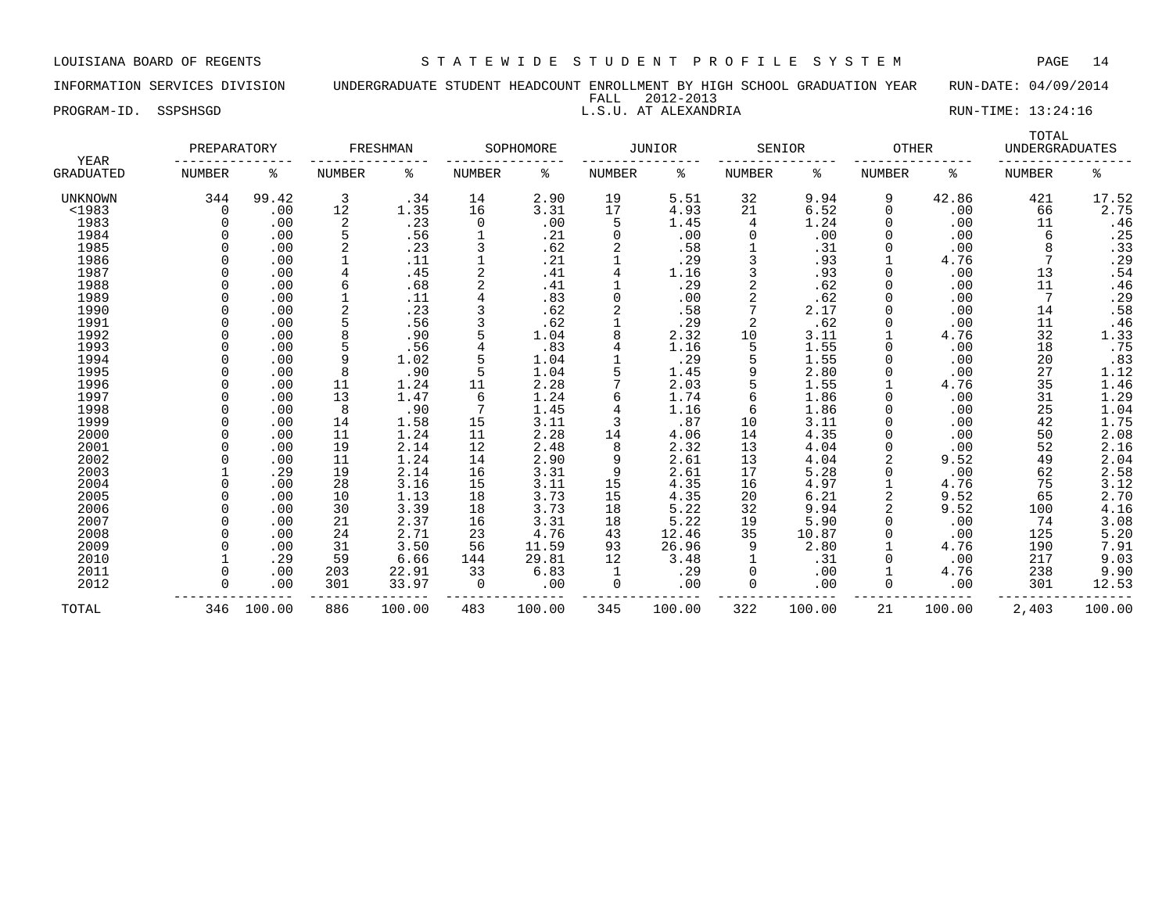INFORMATION SERVICES DIVISION UNDERGRADUATE STUDENT HEADCOUNT ENROLLMENT BY HIGH SCHOOL GRADUATION YEAR RUN-DATE: 04/09/2014 FALL 2012-2013

PROGRAM-ID. SSPSHSGD **RUN-TIME:** 13:24:16

|                                 | PREPARATORY   |        |                | FRESHMAN |               | SOPHOMORE |               | JUNIOR |               | SENIOR | <b>OTHER</b>  |        | TOTAL<br><b>UNDERGRADUATES</b> |                            |
|---------------------------------|---------------|--------|----------------|----------|---------------|-----------|---------------|--------|---------------|--------|---------------|--------|--------------------------------|----------------------------|
| <b>YEAR</b><br><b>GRADUATED</b> | <b>NUMBER</b> | ႜ      | <b>NUMBER</b>  | ႜ        | <b>NUMBER</b> | ႜ         | <b>NUMBER</b> | ႜ      | <b>NUMBER</b> | ႜ      | <b>NUMBER</b> | ႜ      | <b>NUMBER</b>                  | နွ                         |
| UNKNOWN                         | 344           | 99.42  | $\overline{3}$ | .34      | 14            | 2.90      | 19            | 5.51   | 32            | 9.94   | 9             | 42.86  | 421                            | 17.52                      |
| $<$ 1983                        | 0             | .00    | 12             | 1.35     | 16            | 3.31      | 17            | 4.93   | 21            | 6.52   | 0             | .00    | 66                             | 2.75                       |
| 1983                            |               | .00    | 2              | .23      | 0             | .00       | 5             | 1.45   | 4             | 1.24   |               | .00    | 11                             | .46                        |
| 1984                            |               | .00    |                | .56      |               | .21       | 0             | .00    | 0             | .00    | 0             | .00    | 6                              | .25                        |
| 1985                            |               | .00    |                | .23      |               | .62       |               | .58    |               | .31    | 0             | .00    | 8                              | .33                        |
| 1986                            |               | .00    |                | .11      |               | .21       |               | .29    |               | .93    |               | 4.76   |                                | .29                        |
| 1987                            |               | .00    | 4              | .45      |               | .41       | 4             | 1.16   |               | .93    | 0             | .00    | 13                             | .54                        |
| 1988                            |               | .00    | 6              | .68      |               | .41       |               | .29    |               | .62    | 0             | .00    | 11                             | .46                        |
| 1989                            |               | .00    |                | .11      |               | .83       | $\Omega$      | .00    |               | .62    | 0             | .00    | 7                              | .29                        |
| 1990                            |               | .00    | 2              | .23      |               | .62       | 2             | .58    |               | 2.17   | $\Omega$      | .00    | 14                             | .58                        |
| 1991                            |               | .00    |                | .56      |               | .62       |               | .29    | 2             | .62    | U             | .00    | 11                             | .46                        |
| 1992                            |               | .00    | 8              | .90      |               | 1.04      | 8             | 2.32   | 10            | 3.11   |               | 4.76   | 32                             | 1.33                       |
| 1993                            |               | .00    |                | .56      |               | .83       | 4             | 1.16   | 5             | 1.55   |               | .00    | 18                             | .75                        |
| 1994                            |               | .00    | 9              | 1.02     |               | 1.04      |               | .29    | 5             | 1.55   |               | .00    | 20                             | .83                        |
| 1995                            |               | .00    | 8              | .90      |               | 1.04      |               | 1.45   | 9             | 2.80   | 0             | .00    | 27                             | 1.12                       |
| 1996                            |               | .00    | 11             | 1.24     | 11            | 2.28      | 7             | 2.03   |               | 1.55   |               | 4.76   | 35                             | 1.46                       |
| 1997                            |               | .00    | 13             | 1.47     | 6             | 1.24      | 6             | 1.74   | 6             | 1.86   | 0             | .00    | 31                             | 1.29                       |
| 1998                            |               | .00    | 8              | .90      |               | 1.45      | 4             | 1.16   | 6             | 1.86   |               | .00    | 25                             | 1.04                       |
| 1999                            |               | .00    | 14             | 1.58     | 15            | 3.11      |               | .87    | 10            | 3.11   |               | .00    | 42                             | 1.75                       |
| 2000                            |               | .00    | 11             | 1.24     | 11            | 2.28      | 14            | 4.06   | 14            | 4.35   | O             | .00    | 50                             | 2.08                       |
| 2001                            |               | .00    | 19             | 2.14     | 12            | 2.48      | 8             | 2.32   | 13            | 4.04   | 0             | .00    | 52                             | 2.16                       |
| 2002                            |               | .00    | 11             | 1.24     | 14            | 2.90      | 9             | 2.61   | 13            | 4.04   | 2             | 9.52   | 49                             | 2.04                       |
| 2003                            |               | .29    | 19             | 2.14     | 16            | 3.31      | 9             | 2.61   | 17            | 5.28   | 0             | .00    | 62                             |                            |
| 2004                            |               | .00    | 28             | 3.16     | 15            | 3.11      | 15            | 4.35   | 16            | 4.97   |               | 4.76   | 75                             | $2.58$<br>$3.12$<br>$2.70$ |
| 2005                            |               | .00    | 10             | 1.13     | 18            | 3.73      | 15            | 4.35   | 20            | 6.21   | 2             | 9.52   | 65                             |                            |
| 2006                            |               | .00    | 30             | 3.39     | 18            | 3.73      | 18            | 5.22   | 32            | 9.94   | 2             | 9.52   | 100                            | 4.16                       |
| 2007                            |               | .00    | 21             | 2.37     | 16            | 3.31      | 18            | 5.22   | 19            | 5.90   | U             | .00    | 74                             | 3.08                       |
| 2008                            |               | .00    | 24             | 2.71     | 23            | 4.76      | 43            | 12.46  | 35            | 10.87  | O             | .00    | 125                            | 5.20                       |
| 2009                            |               | .00    | 31             | 3.50     | 56            | 11.59     | 93            | 26.96  | 9             | 2.80   |               | 4.76   | 190                            | 7.91                       |
| 2010                            |               | .29    | 59             | 6.66     | 144           | 29.81     | 12            | 3.48   |               | .31    | 0             | .00    | 217                            | 9.03                       |
| 2011                            |               | .00    | 203            | 22.91    | 33            | 6.83      | 1             | .29    | 0             | .00    |               | 4.76   | 238                            | 9.90                       |
| 2012                            |               | .00    | 301            | 33.97    | 0             | .00       | $\Omega$      | .00    | 0             | .00    | 0             | .00    | 301                            | 12.53                      |
| TOTAL                           | 346           | 100.00 | 886            | 100.00   | 483           | 100.00    | 345           | 100.00 | 322           | 100.00 | 21            | 100.00 | 2,403                          | 100.00                     |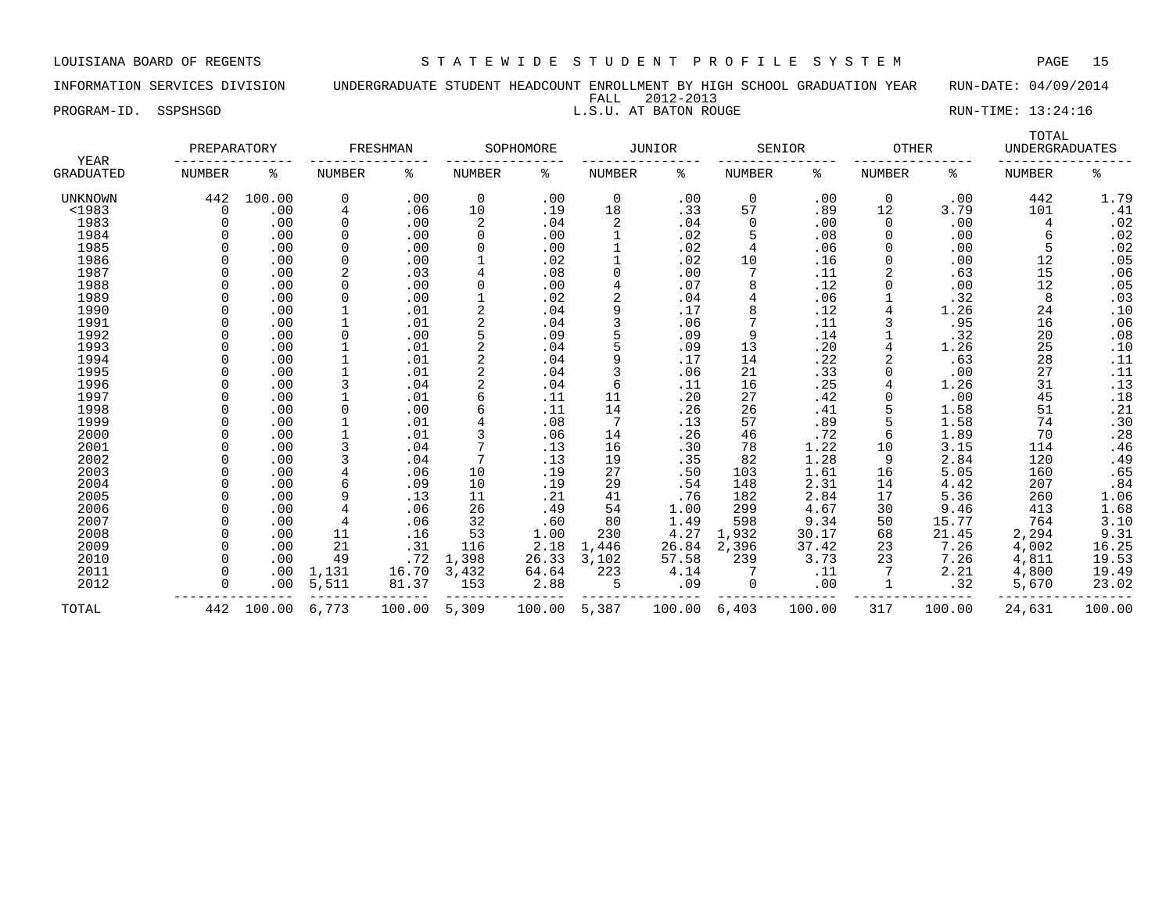### INFORMATION SERVICES DIVISION UNDERGRADUATE STUDENT HEADCOUNT ENROLLMENT BY HIGH SCHOOL GRADUATION YEAR RUN-DATE: 04/09/2014 FALL 2012-2013

PROGRAM-ID. SSPSHSGD **EXECUTE:** 13:24:16

| YEAR             | PREPARATORY |        |          | FRESHMAN |               | SOPHOMORE |                | JUNIOR |               | SENIOR | <b>OTHER</b>  |        | TOTAL<br><b>UNDERGRADUATES</b> |        |
|------------------|-------------|--------|----------|----------|---------------|-----------|----------------|--------|---------------|--------|---------------|--------|--------------------------------|--------|
| <b>GRADUATED</b> | NUMBER      | ి      | NUMBER   | နွ       | <b>NUMBER</b> | ႜ         | NUMBER         | နွ     | <b>NUMBER</b> | ႜ      | <b>NUMBER</b> | ႜ      | <b>NUMBER</b>                  | ႜ      |
| UNKNOWN          | 442         | 100.00 | 0        | .00      | $\mathbf 0$   | .00       | $\mathbf 0$    | .00    | $\mathbf 0$   | .00    | $\mathbf 0$   | .00    | 442                            | 1.79   |
| <1983            | $\Omega$    | .00    | 4        | .06      | 10            | .19       | 18             | .33    | 57            | .89    | 12            | 3.79   | 101                            | .41    |
| 1983             |             | .00    | 0        | .00      | 2             | .04       | 2              | .04    | 0             | .00    | 0             | .00    | 4                              | .02    |
| 1984             |             | .00    | $\Omega$ | .00      | $\Omega$      | .00       |                | .02    | 5             | .08    | $\Omega$      | .00    | 6                              | .02    |
| 1985             |             | .00    | $\Omega$ | .00      | $\Omega$      | .00       |                | .02    | 4             | .06    | 0             | .00    | 5                              | .02    |
| 1986             |             | .00    | $\Omega$ | .00      |               | .02       |                | .02    | 10            | .16    | 0             | .00    | 12                             | .05    |
| 1987             | U           | .00    | 2        | .03      | 4             | .08       | $\Omega$       | .00    | 7             | .11    | 2             | .63    | 15                             | .06    |
| 1988             |             | .00    | $\Omega$ | .00      | $\Omega$      | .00       | $\overline{4}$ | .07    | 8             | .12    | <sup>0</sup>  | .00    | 12                             | .05    |
| 1989             |             | .00    |          | .00      |               | .02       | $\overline{2}$ | .04    | 4             | .06    |               | .32    | 8                              | .03    |
| 1990             |             | .00    |          | .01      |               | .04       |                | .17    | 8             | .12    |               | 1.26   | 24                             | .10    |
| 1991             |             | .00    |          | .01      |               | .04       |                | .06    | 7             | .11    |               | .95    | 16                             | .06    |
| 1992             |             | .00    |          | .00      | 5             | .09       |                | .09    | 9             | .14    |               | .32    | 20                             | .08    |
| 1993             |             | .00    |          | .01      |               | .04       |                | .09    | 13            | .20    |               | 1.26   | 25                             | .10    |
| 1994             |             | .00    |          | .01      |               | .04       | 9              | .17    | 14            | .22    |               | .63    | 28                             | .11    |
| 1995             |             | .00    |          | .01      |               | .04       | 3              | .06    | 21            | .33    | <sup>0</sup>  | .00    | 27                             | .11    |
| 1996             |             | .00    | 3        | .04      |               | .04       | 6              | .11    | 16            | .25    |               | 1.26   | 31                             | .13    |
| 1997             |             | .00    |          | .01      | 6             | .11       | 11             | .20    | 27            | .42    | 0             | .00    | 45                             | .18    |
| 1998             |             | .00    |          | .00      |               | .11       | 14             | .26    | 26            | .41    |               | 1.58   | 51                             | .21    |
| 1999             |             | .00    |          | .01      |               | .08       | 7              | .13    | 57            | .89    |               | 1.58   | 74                             | .30    |
| 2000             |             | .00    |          | .01      |               | .06       | 14             | .26    | 46            | .72    | 6             | 1.89   | 70                             | .28    |
| 2001             |             | .00    |          | .04      |               | .13       | 16             | .30    | 78            | 1.22   | 10            | 3.15   | 114                            | .46    |
| 2002             |             | .00    |          | .04      |               | .13       | 19             | .35    | 82            | 1.28   | 9             | 2.84   | 120                            | .49    |
| 2003             |             | .00    |          | .06      | 10            | .19       | 27             | .50    | 103           | 1.61   | 16            | 5.05   | 160                            | .65    |
| 2004             |             | .00    |          | .09      | 10            | .19       | 29             | .54    | 148           | 2.31   | 14            | 4.42   | 207                            | .84    |
| 2005             |             | .00    | 9        | .13      | 11            | .21       | 41             | .76    | 182           | 2.84   | 17            | 5.36   | 260                            | 1.06   |
| 2006             |             | .00    |          | .06      | 26            | .49       | 54             | 1.00   | 299           | 4.67   | 30            | 9.46   | 413                            | 1.68   |
| 2007             |             | .00    | 4        | .06      | 32            | .60       | 80             | 1.49   | 598           | 9.34   | 50            | 15.77  | 764                            | 3.10   |
| 2008             |             | .00    | 11       | .16      | 53            | 1.00      | 230            | 4.27   | 1,932         | 30.17  | 68            | 21.45  | 2,294                          | 9.31   |
| 2009             |             | .00    | 21       | .31      | 116           | 2.18      | 1,446          | 26.84  | 2,396         | 37.42  | 23            | 7.26   | 4,002                          | 16.25  |
| 2010             |             | .00    | 49       | .72      | 1,398         | 26.33     | 3,102          | 57.58  | 239           | 3.73   | 23            | 7.26   | 4,811                          | 19.53  |
| 2011             |             | .00    | 1,131    | 16.70    | 3,432         | 64.64     | 223            | 4.14   |               | .11    |               | 2.21   | 4,800                          | 19.49  |
| 2012             |             | .00    | 5,511    | 81.37    | 153           | 2.88      | 5              | .09    | 0             | .00    |               | .32    | 5,670                          | 23.02  |
| TOTAL            | 442         | 100.00 | 6,773    | 100.00   | 5,309         | 100.00    | 5,387          | 100.00 | 6,403         | 100.00 | 317           | 100.00 | 24,631                         | 100.00 |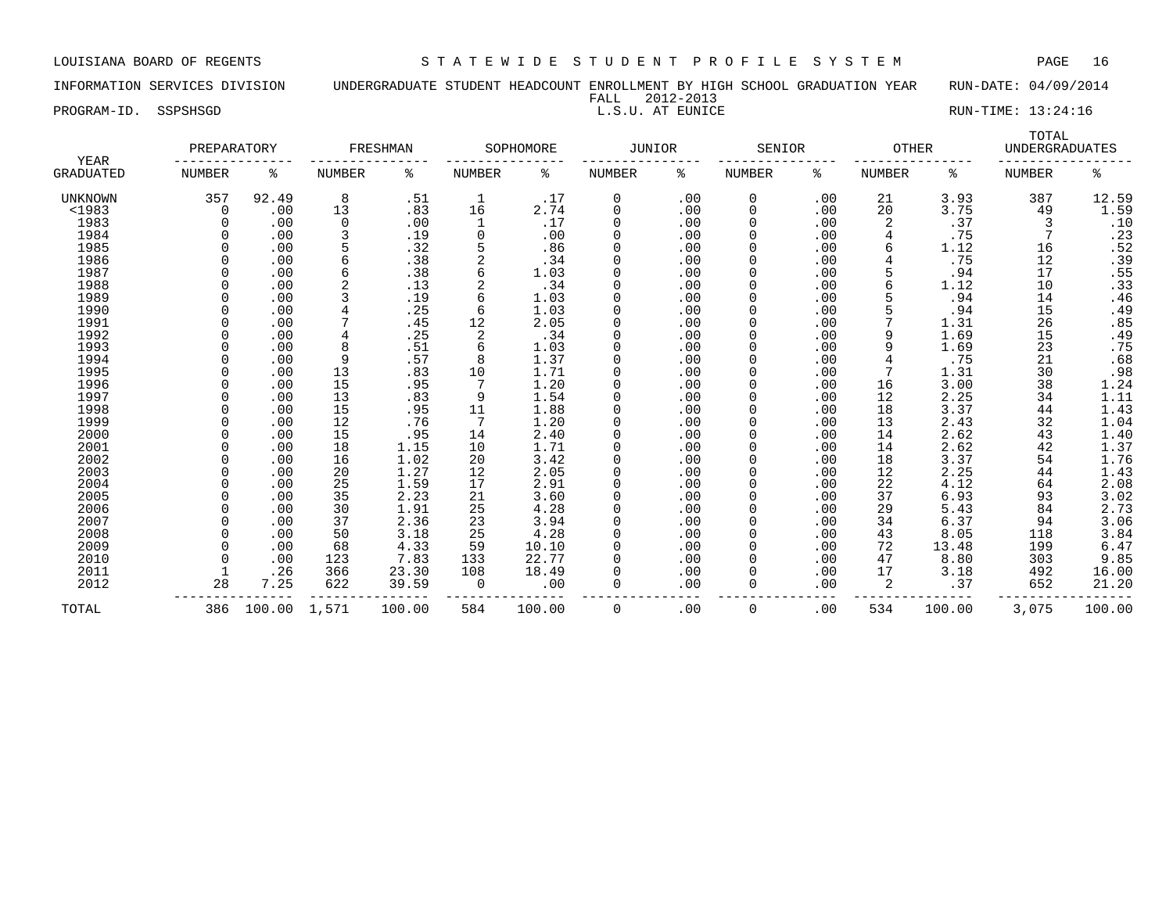INFORMATION SERVICES DIVISION UNDERGRADUATE STUDENT HEADCOUNT ENROLLMENT BY HIGH SCHOOL GRADUATION YEAR RUN-DATE: 04/09/2014 FALL 2012-2013

PROGRAM-ID. SSPSHSGD L.S.U. AT EUNICE RUN-TIME: 13:24:16

| YEAR           | PREPARATORY |        |             | FRESHMAN |               | SOPHOMORE | JUNIOR   |     | SENIOR      |     | <b>OTHER</b> |        | TOTAL<br><b>UNDERGRADUATES</b> |                |
|----------------|-------------|--------|-------------|----------|---------------|-----------|----------|-----|-------------|-----|--------------|--------|--------------------------------|----------------|
| GRADUATED      | NUMBER      | နွ     | NUMBER      | နွ       | <b>NUMBER</b> | နွ        | NUMBER   | ႜ   | NUMBER      | ి   | NUMBER       | ႜ      | <b>NUMBER</b>                  | နွ             |
| <b>UNKNOWN</b> | 357         | 92.49  | 8           | .51      | $\mathbf 1$   | .17       | 0        | .00 | 0           | .00 | 21           | 3.93   | 387                            | 12.59          |
| $<$ 1983       | 0           | .00    | 13          | .83      | 16            | 2.74      | $\Omega$ | .00 | $\mathbf 0$ | .00 | 20           | 3.75   | 49                             | 1.59           |
| 1983           | $\Omega$    | .00    | $\mathbf 0$ | .00      | 1             | .17       |          | .00 | $\Omega$    | .00 | 2            | .37    | 3                              | .10            |
| 1984           |             | .00    | 3           | .19      | $\Omega$      | .00       |          | .00 |             | .00 |              | .75    |                                | .23            |
| 1985           |             | .00    | 5           | .32      |               | .86       |          | .00 |             | .00 |              | 1.12   | 16                             | .52            |
| 1986           |             | .00    | 6           | .38      | 2             | .34       |          | .00 |             | .00 |              | .75    | 12                             | $.39$<br>$.55$ |
| 1987           |             | .00    | 6           | .38      | 6             | 1.03      |          | .00 | $\Omega$    | .00 |              | .94    | 17                             |                |
| 1988           |             | .00    | 2           | .13      |               | .34       | $\Omega$ | .00 | $\Omega$    | .00 |              | 1.12   | 10                             | .33            |
| 1989           |             | .00    |             | .19      | 6             | 1.03      | $\Omega$ | .00 | $\Omega$    | .00 |              | .94    | 14                             | .46            |
| 1990           |             | .00    | 4           | .25      | 6             | 1.03      |          | .00 | $\Omega$    | .00 |              | .94    | 15                             | .49            |
| 1991           |             | .00    |             | .45      | 12            | 2.05      |          | .00 | 0           | .00 |              | 1.31   | 26                             | .85            |
| 1992           |             | .00    | 4           | .25      | 2             | .34       |          | .00 |             | .00 | 9            | 1.69   | 15                             | .49            |
| 1993           |             | .00    | 8           | .51      | 6             | 1.03      |          | .00 |             | .00 | 9            | 1.69   | 23                             | .75            |
| 1994           |             | .00    | 9           | .57      | 8             | 1.37      |          | .00 |             | .00 |              | .75    | 21                             | .68            |
| 1995           |             | .00    | 13          | .83      | 10            | 1.71      | $\Omega$ | .00 | 0           | .00 |              | 1.31   | 30                             | .98            |
| 1996           |             | .00    | 15          | .95      |               | 1.20      | $\Omega$ | .00 | $\Omega$    | .00 | 16           | 3.00   | 38                             | 1.24           |
| 1997           |             | .00    | 13          | .83      | 9             | 1.54      | $\Omega$ | .00 | $\Omega$    | .00 | 12           | 2.25   | 34                             | 1.11           |
| 1998           |             | .00    | 15          | .95      | 11            | 1.88      |          | .00 | 0           | .00 | 18           | 3.37   | 44                             | 1.43           |
| 1999           |             | .00    | 12          | .76      | 7             | 1.20      |          | .00 | 0           | .00 | 13           | 2.43   | 32                             | 1.04           |
| 2000           |             | .00    | 15          | .95      | 14            | 2.40      |          | .00 |             | .00 | 14           | 2.62   | 43                             | 1.40           |
| 2001           |             | .00    | 18          | 1.15     | 10            | 1.71      |          | .00 |             | .00 | 14           | 2.62   | 42                             | 1.37           |
| 2002           |             | .00    | 16          | 1.02     | 20            | 3.42      |          | .00 |             | .00 | 18           | 3.37   | 54                             | 1.76           |
| 2003           |             | .00    | 20          | 1.27     | 12            | 2.05      | $\Omega$ | .00 | $\Omega$    | .00 | 12           | 2.25   | 44                             | 1.43           |
| 2004           | $\Omega$    | .00    | 25          | 1.59     | 17            | 2.91      | $\Omega$ | .00 | $\Omega$    | .00 | 22           | 4.12   | 64                             | 2.08           |
| 2005           |             | .00    | 35          | 2.23     | 21            | 3.60      |          | .00 | $\Omega$    | .00 | 37           | 6.93   | 93                             | 3.02           |
| 2006           |             | .00    | 30          | 1.91     | 25            | 4.28      |          | .00 | $\Omega$    | .00 | 29           | 5.43   | 84                             | 2.73           |
| 2007           |             | .00    | 37          | 2.36     | 23            | 3.94      |          | .00 | 0           | .00 | 34           | 6.37   | 94                             | 3.06           |
| 2008           |             | .00    | 50          | 3.18     | 25            | 4.28      |          | .00 |             | .00 | 43           | 8.05   | 118                            | 3.84           |
| 2009           |             | .00    | 68          | 4.33     | 59            | 10.10     |          | .00 | $\Omega$    | .00 | 72           | 13.48  | 199                            | 6.47           |
| 2010           |             | .00    | 123         | 7.83     | 133           | 22.77     |          | .00 | $\Omega$    | .00 | 47           | 8.80   | 303                            | 9.85           |
| 2011           |             | .26    | 366         | 23.30    | 108           | 18.49     |          | .00 | $\Omega$    | .00 | 17           | 3.18   | 492                            | 16.00          |
| 2012           | 28          | 7.25   | 622         | 39.59    | $\Omega$      | .00       | 0        | .00 | $\Omega$    | .00 | 2            | .37    | 652                            | 21.20          |
| TOTAL          | 386         | 100.00 | 1,571       | 100.00   | 584           | 100.00    | 0        | .00 | 0           | .00 | 534          | 100.00 | 3,075                          | 100.00         |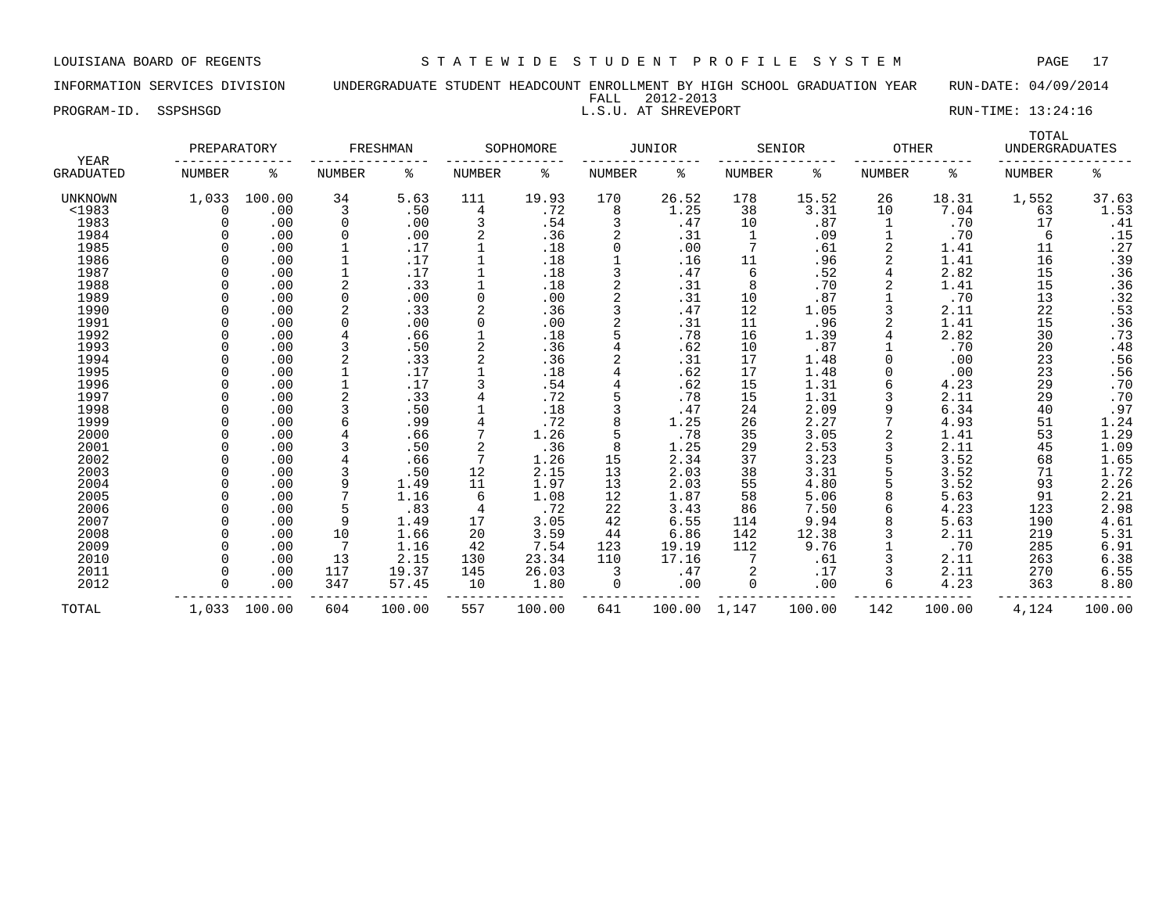INFORMATION SERVICES DIVISION UNDERGRADUATE STUDENT HEADCOUNT ENROLLMENT BY HIGH SCHOOL GRADUATION YEAR RUN-DATE: 04/09/2014 FALL 2012-2013

PROGRAM-ID. SSPSHSGD **EXECUTE:** 13:24:16

|                   | PREPARATORY   |        |                | FRESHMAN |               | SOPHOMORE |                | <b>JUNIOR</b> |               | SENIOR | <b>OTHER</b>  |        | TOTAL<br><b>UNDERGRADUATES</b> |        |
|-------------------|---------------|--------|----------------|----------|---------------|-----------|----------------|---------------|---------------|--------|---------------|--------|--------------------------------|--------|
| YEAR<br>GRADUATED | <b>NUMBER</b> | ႜ      | NUMBER         | ႜ        | <b>NUMBER</b> | ႜ         | <b>NUMBER</b>  | နွ            | <b>NUMBER</b> | နွ     | <b>NUMBER</b> | ႜ      | <b>NUMBER</b>                  | ిక     |
| UNKNOWN           | 1,033         | 100.00 | 34             | 5.63     | 111           | 19.93     | 170            | 26.52         | 178           | 15.52  | 26            | 18.31  | 1,552                          | 37.63  |
| $1983$            | 0             | .00    | 3              | .50      | 4             | .72       | 8              | 1.25          | 38            | 3.31   | 10            | 7.04   | 63                             | 1.53   |
| 1983              |               | .00    | 0              | .00      | 3             | .54       | 3              | .47           | 10            | .87    | 1             | .70    | 17                             | .41    |
| 1984              |               | .00    | 0              | .00      |               | .36       | 2              | .31           | 1             | .09    |               | .70    | 6                              | .15    |
| 1985              |               | .00    |                | .17      |               | .18       | O              | .00           | 7             | .61    | 2             | 1.41   | 11                             | .27    |
| 1986              |               | .00    |                | .17      |               | .18       |                | .16           | 11            | .96    |               | 1.41   | 16                             | .39    |
| 1987              |               | .00    |                | .17      |               | .18       | 3              | .47           | 6             | .52    | 4             | 2.82   | 15                             | .36    |
| 1988              |               | .00    | $\overline{2}$ | .33      |               | .18       | 2              | .31           | 8             | .70    |               | 1.41   | 15                             | .36    |
| 1989              |               | .00    | 0              | .00      | 0             | .00       | 2              | .31           | 10            | .87    |               | .70    | 13                             | .32    |
| 1990              |               | .00    | 2              | .33      |               | .36       | 3              | .47           | 12            | 1.05   |               | 2.11   | 22                             | .53    |
| 1991              |               | .00    | $\Omega$       | .00      | $\Omega$      | .00       | $\overline{2}$ | .31           | 11            | .96    | 2             | 1.41   | 15                             | .36    |
| 1992              |               | .00    | 4              | .66      |               | .18       | 5              | .78           | 16            | 1.39   |               | 2.82   | 30                             | .73    |
| 1993              |               | .00    | 3              | .50      |               | .36       |                | .62           | 10            | .87    |               | .70    | 20                             | .48    |
| 1994              |               | .00    |                | .33      |               | .36       | 2              | .31           | 17            | 1.48   |               | .00    | 23                             | .56    |
| 1995              |               | .00    |                | .17      |               | .18       |                | .62           | 17            | 1.48   |               | .00    | 23                             | .56    |
| 1996              |               | .00    |                | .17      |               | .54       | 4              | .62           | 15            | 1.31   |               | 4.23   | 29                             | .70    |
| 1997              |               | .00    |                | .33      |               | .72       |                | .78           | 15            | 1.31   |               | 2.11   | 29                             | .70    |
| 1998              |               | .00    |                | .50      |               | .18       | 3              | .47           | 24            | 2.09   | 9             | 6.34   | 40                             | .97    |
| 1999              |               | .00    |                | .99      |               | .72       |                | 1.25          | 26            | 2.27   |               | 4.93   | 51                             | 1.24   |
| 2000              |               | .00    |                | .66      |               | 1.26      | 5              | .78           | 35            | 3.05   |               | 1.41   | 53                             | 1.29   |
| 2001              |               | .00    | 3              | .50      |               | .36       | 8              | 1.25          | 29            | 2.53   |               | 2.11   | 45                             | 1.09   |
| 2002              |               | .00    |                | .66      | 7             | 1.26      | 15             | 2.34          | 37            | 3.23   |               | 3.52   | 68                             | 1.65   |
| 2003              |               | .00    | 3              | .50      | 12            | 2.15      | 13             | 2.03          | 38            | 3.31   |               | 3.52   | 71                             | 1.72   |
| 2004              |               | .00    | 9              | 1.49     | 11            | 1.97      | 13             | 2.03          | 55            | 4.80   |               | 3.52   | 93                             | 2.26   |
| 2005              |               | .00    |                | 1.16     | 6             | 1.08      | 12             | 1.87          | 58            | 5.06   | 8             | 5.63   | 91                             | 2.21   |
| 2006              |               | .00    |                | .83      | 4             | .72       | 22             | 3.43          | 86            | 7.50   | 6             | 4.23   | 123                            | 2.98   |
| 2007              |               | .00    | 9              | 1.49     | 17            | 3.05      | 42             | 6.55          | 114           | 9.94   |               | 5.63   | 190                            | 4.61   |
| 2008              |               | .00    | 10             | 1.66     | 20            | 3.59      | 44             | 6.86          | 142           | 12.38  |               | 2.11   | 219                            | 5.31   |
| 2009              |               | .00    |                | 1.16     | 42            | 7.54      | 123            | 19.19         | 112           | 9.76   |               | .70    | 285                            | 6.91   |
| 2010              |               | .00    | 13             | 2.15     | 130           | 23.34     | 110            | 17.16         |               | .61    |               | 2.11   | 263                            | 6.38   |
| 2011              |               | .00    | 117            | 19.37    | 145           | 26.03     | 3              | .47           |               | .17    |               | 2.11   | 270                            | 6.55   |
| 2012              | U             | .00    | 347            | 57.45    | 10            | 1.80      | 0              | .00           | $\mathbf 0$   | .00    | 6             | 4.23   | 363                            | 8.80   |
| TOTAL             | 1,033         | 100.00 | 604            | 100.00   | 557           | 100.00    | 641            | 100.00        | 1,147         | 100.00 | 142           | 100.00 | 4,124                          | 100.00 |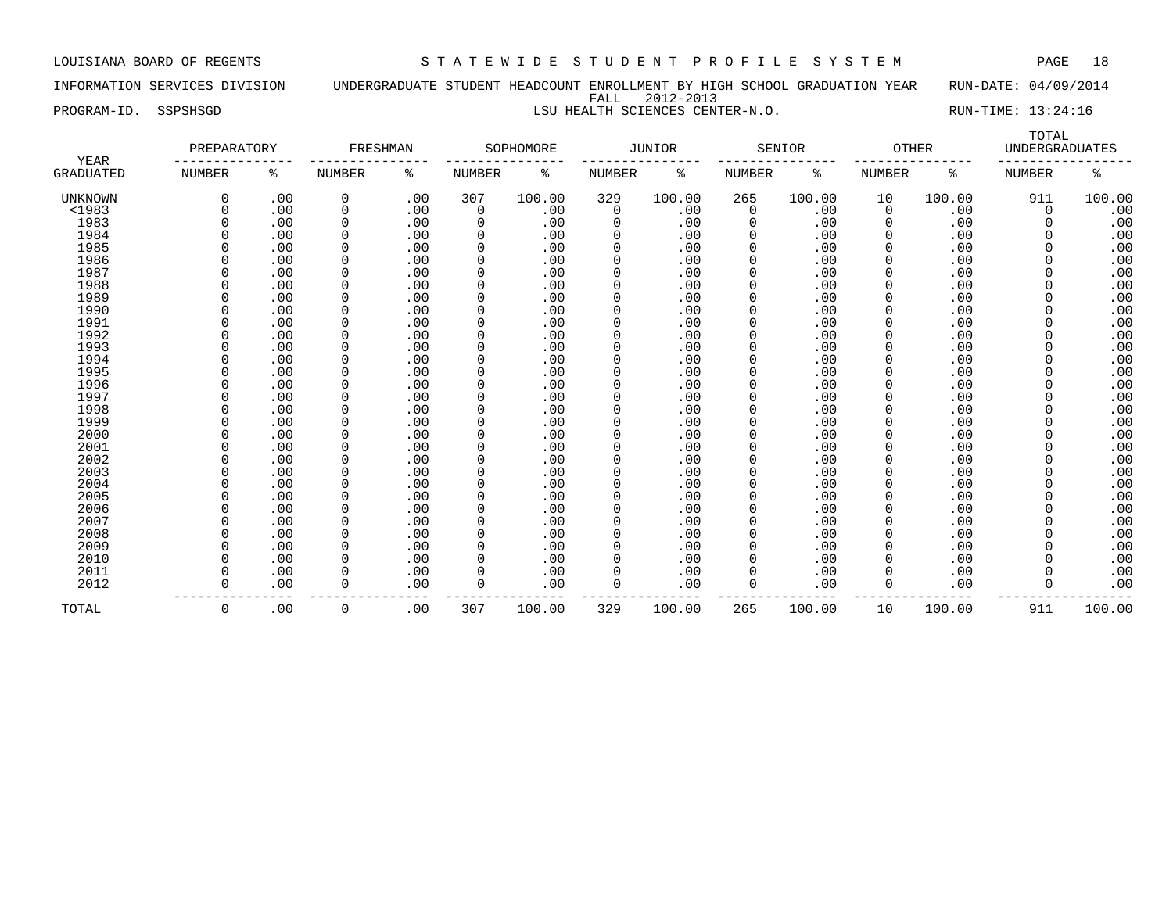INFORMATION SERVICES DIVISION UNDERGRADUATE STUDENT HEADCOUNT ENROLLMENT BY HIGH SCHOOL GRADUATION YEAR RUN-DATE: 04/09/2014 FALL 2012-2013 PROGRAM-ID. SSPSHSGD **LSU HEALTH SCIENCES CENTER-N.O.** RUN-TIME: 13:24:16

|                   | PREPARATORY   |     | FRESHMAN      |     |               | SOPHOMORE |               | JUNIOR |               | SENIOR | <b>OTHER</b>  |        | TOTAL<br><b>UNDERGRADUATES</b> |        |
|-------------------|---------------|-----|---------------|-----|---------------|-----------|---------------|--------|---------------|--------|---------------|--------|--------------------------------|--------|
| YEAR<br>GRADUATED | <b>NUMBER</b> | ႜ   | <b>NUMBER</b> | ႜ   | <b>NUMBER</b> | ႜ         | <b>NUMBER</b> | ႜ      | <b>NUMBER</b> | ႜ      | <b>NUMBER</b> | နွ     | <b>NUMBER</b>                  | ిన     |
| UNKNOWN           | <sup>0</sup>  | .00 | 0             | .00 | 307           | 100.00    | 329           | 100.00 | 265           | 100.00 | 10            | 100.00 | 911                            | 100.00 |
| $1983$            | $\Omega$      | .00 | $\mathbf 0$   | .00 | 0             | .00       | $\mathbf 0$   | .00    | 0             | .00    | $\mathbf 0$   | .00    | $\Omega$                       | .00    |
| 1983              |               | .00 | $\mathbf 0$   | .00 | $\Omega$      | .00       | 0             | .00    |               | .00    | 0             | .00    | $\Omega$                       | .00    |
| 1984              | $\Omega$      | .00 | $\Omega$      | .00 | $\Omega$      | .00       | $\Omega$      | .00    | $\Omega$      | .00    | $\Omega$      | .00    | $\Omega$                       | .00    |
| 1985              | $\Omega$      | .00 | 0             | .00 | $\Omega$      | .00       | $\Omega$      | .00    | 0             | .00    | $\Omega$      | .00    | $\Omega$                       | .00    |
| 1986              | $\Omega$      | .00 | 0             | .00 | 0             | .00       | $\mathbf 0$   | .00    | $\mathbf 0$   | .00    | 0             | .00    | $\mathbf 0$                    | .00    |
| 1987              | $\Omega$      | .00 | $\mathbf 0$   | .00 | 0             | .00       | 0             | .00    | 0             | .00    | 0             | .00    | $\Omega$                       | .00    |
| 1988              |               | .00 | 0             | .00 | $\Omega$      | .00       | 0             | .00    | 0             | .00    | 0             | .00    | $\Omega$                       | .00    |
| 1989              |               | .00 | $\mathbf 0$   | .00 | 0             | .00       | 0             | .00    |               | .00    | $\mathbf 0$   | .00    | $\Omega$                       | .00    |
| 1990              | $\Omega$      | .00 | 0             | .00 | $\Omega$      | .00       | $\Omega$      | .00    | 0             | .00    | $\Omega$      | .00    |                                | .00    |
| 1991              | $\Omega$      | .00 | $\mathbf 0$   | .00 | $\Omega$      | .00       | $\mathbf 0$   | .00    | 0             | .00    | 0             | .00    |                                | .00    |
| 1992              |               | .00 | $\mathbf 0$   | .00 | $\Omega$      | .00       | $\mathbf 0$   | .00    |               | .00    | $\Omega$      | .00    |                                | .00    |
| 1993              |               | .00 | $\mathbf 0$   | .00 | $\Omega$      | .00       | $\mathbf 0$   | .00    |               | .00    | 0             | .00    |                                | .00    |
| 1994              |               | .00 | $\Omega$      | .00 | $\Omega$      | .00       | $\Omega$      | .00    |               | .00    | $\Omega$      | .00    |                                | .00    |
| 1995              |               | .00 | $\mathbf 0$   | .00 | $\Omega$      | .00       | $\Omega$      | .00    |               | .00    | $\Omega$      | .00    | $\Omega$                       | .00    |
| 1996              |               | .00 | $\mathbf 0$   | .00 | $\Omega$      | .00       | 0             | .00    |               | .00    | 0             | .00    | $\Omega$                       | .00    |
| 1997              |               | .00 | $\Omega$      | .00 | 0             | .00       | $\Omega$      | .00    | $\Omega$      | .00    | $\Omega$      | .00    | $\Omega$                       | .00    |
| 1998              | $\Omega$      | .00 | $\Omega$      | .00 | $\Omega$      | .00       | $\Omega$      | .00    | $\Omega$      | .00    | $\Omega$      | .00    | $\Omega$                       | .00    |
| 1999              | $\Omega$      | .00 | $\Omega$      | .00 | $\Omega$      | .00       | $\Omega$      | .00    | $\Omega$      | .00    | $\Omega$      | .00    | $\Omega$                       | .00    |
| 2000              |               | .00 | $\mathbf 0$   | .00 | $\Omega$      | .00       | $\mathbf 0$   | .00    | 0             | .00    | 0             | .00    | $\Omega$                       | .00    |
| 2001              |               | .00 | $\mathbf 0$   | .00 | $\Omega$      | .00       | $\mathbf 0$   | .00    | 0             | .00    | $\mathbf 0$   | .00    | $\Omega$                       | .00    |
| 2002              |               | .00 | 0             | .00 | 0             | .00       | 0             | .00    |               | .00    | $\mathbf 0$   | .00    | $\Omega$                       | .00    |
| 2003              | $\Omega$      | .00 | $\mathbf 0$   | .00 | 0             | .00       | 0             | .00    | 0             | .00    | $\mathbf 0$   | .00    | $\mathbf 0$                    | .00    |
| 2004              | $\Omega$      | .00 | 0             | .00 | 0             | .00       | $\Omega$      | .00    | $\Omega$      | .00    | 0             | .00    | $\Omega$                       | .00    |
| 2005              | $\Omega$      | .00 | 0             | .00 | 0             | .00       | 0             | .00    | 0             | .00    | 0             | .00    |                                | .00    |
| 2006              |               | .00 | $\mathbf 0$   | .00 | $\Omega$      | .00       | $\Omega$      | .00    |               | .00    | $\Omega$      | .00    |                                | .00    |
| 2007              |               | .00 | $\mathbf 0$   | .00 | $\Omega$      | .00       | 0             | .00    |               | .00    | 0             | .00    |                                | .00    |
| 2008              |               | .00 | $\mathbf 0$   | .00 | $\Omega$      | .00       | $\mathbf 0$   | .00    | $\Omega$      | .00    | $\Omega$      | .00    |                                | .00    |
| 2009              |               | .00 | $\mathbf 0$   | .00 | $\Omega$      | .00       | $\Omega$      | .00    |               | .00    | $\Omega$      | .00    |                                | .00    |
| 2010              | $\Omega$      | .00 | $\Omega$      | .00 | 0             | .00       | $\Omega$      | .00    | $\Omega$      | .00    | $\Omega$      | .00    | $\Omega$                       | .00    |
| 2011              |               | .00 | $\Omega$      | .00 | $\Omega$      | .00       | $\Omega$      | .00    |               | .00    | $\Omega$      | .00    |                                | .00    |
| 2012              | $\Omega$      | .00 | $\Omega$      | .00 | 0             | .00       | $\Omega$      | .00    | $\Omega$      | .00    | $\Omega$      | .00    |                                | .00    |

TOTAL 0 .00 0 .00 307 100.00 329 100.00 265 100.00 10 100.00 911 100.00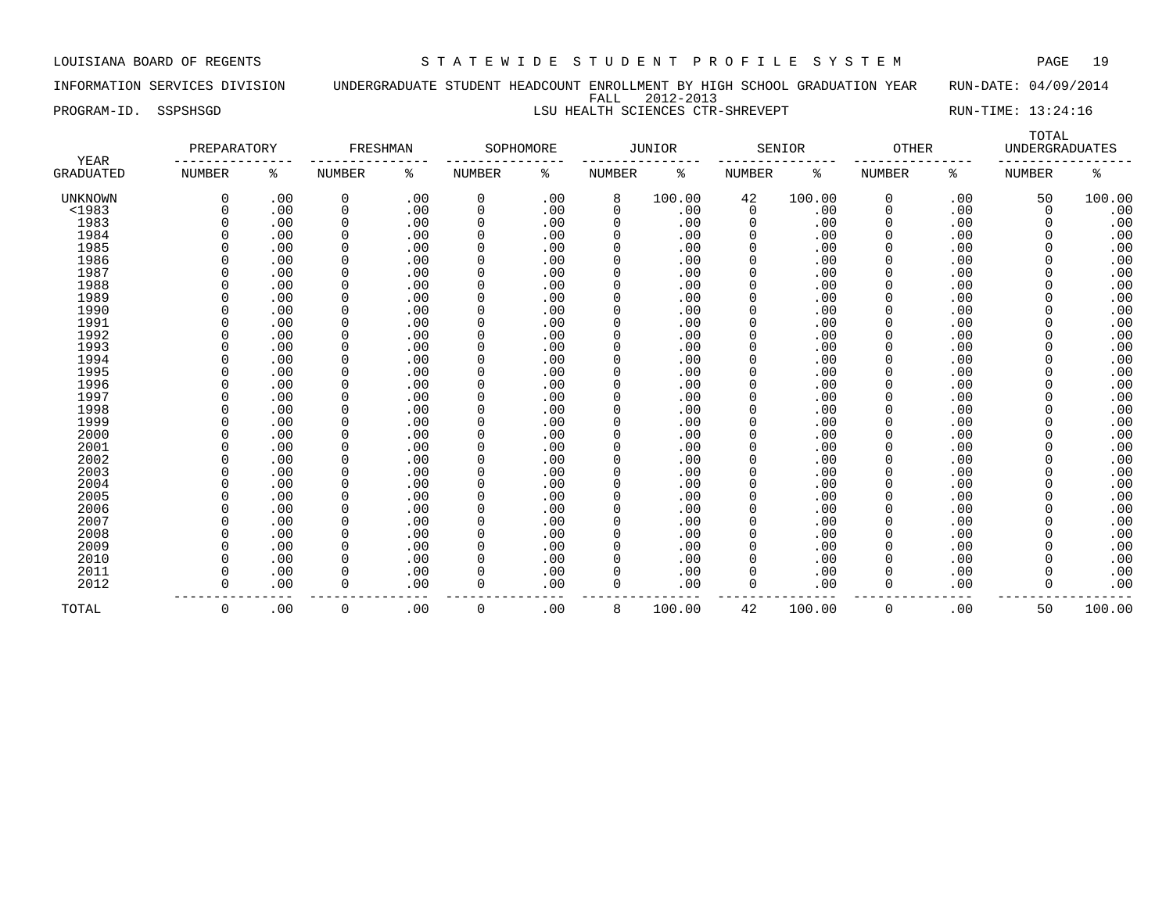### INFORMATION SERVICES DIVISION UNDERGRADUATE STUDENT HEADCOUNT ENROLLMENT BY HIGH SCHOOL GRADUATION YEAR RUN-DATE: 04/09/2014 FALL 2012-2013 PROGRAM-ID. SSPSHSGD **LSU HEALTH SCIENCES CTR-SHREVEPT** RUN-TIME: 13:24:16

TOTAL

| <b>YEAR</b>      | PREPARATORY   |     | FRESHMAN       |     |               | SOPHOMORE |               | <b>JUNIOR</b> |               | SENIOR | <b>OTHER</b>  |     | <b>UNDERGRADUATES</b> |        |
|------------------|---------------|-----|----------------|-----|---------------|-----------|---------------|---------------|---------------|--------|---------------|-----|-----------------------|--------|
| <b>GRADUATED</b> | <b>NUMBER</b> | ႜ   | <b>NUMBER</b>  | ್ಠಿ | <b>NUMBER</b> | နွ        | <b>NUMBER</b> | နွ            | <b>NUMBER</b> | နွ     | <b>NUMBER</b> | ៖   | <b>NUMBER</b>         | နွ     |
| UNKNOWN          | $\Omega$      | .00 | $\mathbf 0$    | .00 | 0             | .00       | 8             | 100.00        | 42            | 100.00 | 0             | .00 | 50                    | 100.00 |
| <1983            |               | .00 | 0              | .00 | $\Omega$      | .00       | 0             | .00           | $\mathbf 0$   | .00    | $\Omega$      | .00 | $\mathbf 0$           | .00    |
| 1983             |               | .00 | $\mathbf 0$    | .00 | $\Omega$      | .00       | 0             | .00           | 0             | .00    |               | .00 | $\Omega$              | .00    |
| 1984             |               | .00 | $\mathbf 0$    | .00 | $\Omega$      | .00       | 0             | .00           | 0             | .00    |               | .00 | 0                     | .00    |
| 1985             |               | .00 | $\mathbf 0$    | .00 | $\Omega$      | .00       | 0             | .00           | 0             | .00    |               | .00 |                       | .00    |
| 1986             |               | .00 | $\mathbf 0$    | .00 | $\Omega$      | .00       | 0             | .00           | 0             | .00    |               | .00 |                       | .00    |
| 1987             |               | .00 | $\mathbf 0$    | .00 | $\Omega$      | .00       | 0             | .00           | 0             | .00    |               | .00 | 0                     | .00    |
| 1988             |               | .00 | $\mathbf 0$    | .00 | 0             | .00       | 0             | .00           | 0             | .00    |               | .00 | 0                     | .00    |
| 1989             |               | .00 | $\mathbf 0$    | .00 | 0             | .00       | 0             | .00           | 0             | .00    |               | .00 | $\Omega$              | .00    |
| 1990             |               | .00 | 0              | .00 | 0             | .00       | 0             | .00           | 0             | .00    | $\Omega$      | .00 | 0                     | .00    |
| 1991             |               | .00 | $\mathbf 0$    | .00 | 0             | .00       | 0             | .00           | 0             | .00    |               | .00 | 0                     | .00    |
| 1992             |               | .00 | $\mathbf 0$    | .00 | $\Omega$      | .00       | 0             | .00           | 0             | .00    | $\Omega$      | .00 | 0                     | .00    |
| 1993             |               | .00 | $\mathbf 0$    | .00 | $\Omega$      | .00       | 0             | .00           | 0             | .00    |               | .00 |                       | .00    |
| 1994             |               | .00 | $\mathbf 0$    | .00 | 0             | .00       | 0             | .00           | 0             | .00    |               | .00 |                       | .00    |
| 1995             |               | .00 | $\mathbf 0$    | .00 | $\Omega$      | .00       | 0             | .00           | 0             | .00    |               | .00 |                       | .00    |
| 1996             |               | .00 | $\mathbf 0$    | .00 | $\Omega$      | .00       |               | .00           | 0             | .00    |               | .00 |                       | .00    |
| 1997             |               | .00 | $\mathbf 0$    | .00 | $\Omega$      | .00       |               | .00           | 0             | .00    |               | .00 |                       | .00    |
| 1998             |               | .00 | $\mathbf 0$    | .00 | $\Omega$      | .00       |               | .00           | 0             | .00    |               | .00 |                       | .00    |
| 1999             |               | .00 | $\mathbf 0$    | .00 | $\Omega$      | .00       |               | .00           | 0             | .00    |               | .00 |                       | .00    |
| 2000             |               | .00 | $\mathbf 0$    | .00 | $\Omega$      | .00       | 0             | .00           | 0             | .00    |               | .00 |                       | .00    |
| 2001             |               | .00 | $\overline{0}$ | .00 | $\Omega$      | .00       | 0             | .00           | 0             | .00    |               | .00 |                       | .00    |
| 2002             |               | .00 | $\Omega$       | .00 | $\Omega$      | .00       | 0             | .00           | 0             | .00    | $\Omega$      | .00 |                       | .00    |
| 2003             |               | .00 | $\mathbf 0$    | .00 | $\Omega$      | .00       | 0             | .00           | 0             | .00    | $\Omega$      | .00 |                       | .00    |
| 2004             |               | .00 | $\mathbf 0$    | .00 | $\Omega$      | .00       | 0             | .00           | 0             | .00    | $\Omega$      | .00 |                       | .00    |
| 2005             |               | .00 | $\mathbf 0$    | .00 | $\Omega$      | .00       | 0             | .00           | 0             | .00    | $\Omega$      | .00 |                       | .00    |
| 2006             |               | .00 | $\mathbf 0$    | .00 | $\Omega$      | .00       | 0             | .00           | <sup>0</sup>  | .00    | $\Omega$      | .00 |                       | .00    |
| 2007             |               | .00 | $\mathbf 0$    | .00 | $\Omega$      | .00       | 0             | .00           | 0             | .00    | $\Omega$      | .00 |                       | .00    |
| 2008             |               | .00 | $\mathbf 0$    | .00 | $\Omega$      | .00       | 0             | .00           | <sup>0</sup>  | .00    | $\Omega$      | .00 |                       | .00    |
| 2009             |               | .00 | $\mathbf 0$    | .00 | $\Omega$      | .00       | 0             | .00           | 0             | .00    | $\Omega$      | .00 |                       | .00    |
| 2010             |               | .00 | $\mathbf 0$    | .00 | $\Omega$      | .00       | 0             | .00           | 0             | .00    |               | .00 |                       | .00    |
| 2011             |               | .00 | $\mathbf 0$    | .00 | $\Omega$      | .00       | 0             | .00           | 0             | .00    |               | .00 |                       | .00    |
| 2012             |               | .00 | $\mathbf 0$    | .00 | $\Omega$      | .00       | 0             | .00           | 0             | .00    | $\Omega$      | .00 |                       | .00    |
| TOTAL            | $\Omega$      | .00 | 0              | .00 | $\mathbf 0$   | .00       | 8             | 100.00        | 42            | 100.00 | $\Omega$      | .00 | 50                    | 100.00 |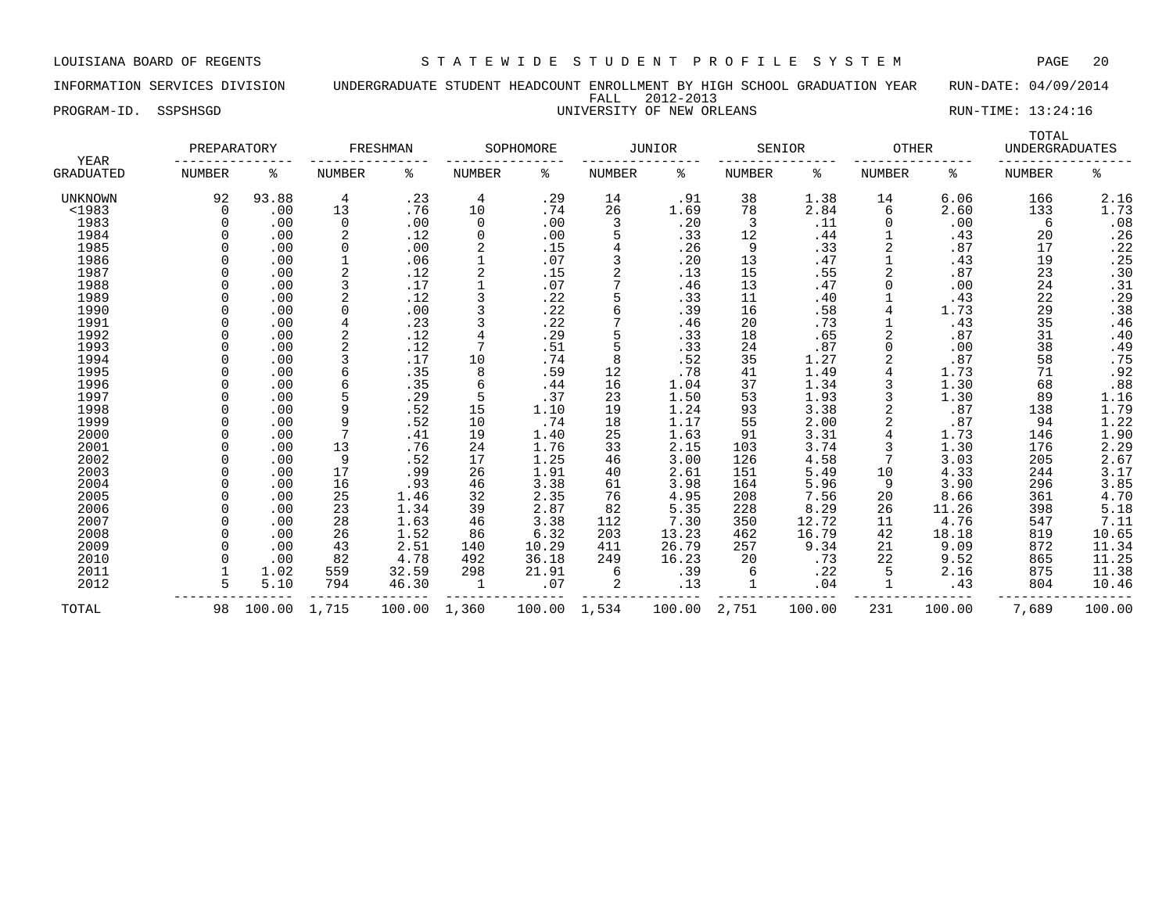INFORMATION SERVICES DIVISION UNDERGRADUATE STUDENT HEADCOUNT ENROLLMENT BY HIGH SCHOOL GRADUATION YEAR RUN-DATE: 04/09/2014 FALL 2012-2013 PROGRAM-ID. SSPSHSGD UNIVERSITY OF NEW ORLEANS RUN-TIME: 13:24:16

| <b>YEAR</b>      | PREPARATORY   |        |                | FRESHMAN |               | SOPHOMORE |                | JUNIOR |               | SENIOR | <b>OTHER</b>  |        | TOTAL<br><b>UNDERGRADUATES</b> |                  |
|------------------|---------------|--------|----------------|----------|---------------|-----------|----------------|--------|---------------|--------|---------------|--------|--------------------------------|------------------|
| <b>GRADUATED</b> | <b>NUMBER</b> | ႜ      | <b>NUMBER</b>  | ႜ        | <b>NUMBER</b> | နွ        | <b>NUMBER</b>  | ి      | <b>NUMBER</b> | နွ     | <b>NUMBER</b> | နွ     | <b>NUMBER</b>                  | ಕಿ               |
| <b>UNKNOWN</b>   | 92            | 93.88  | 4              | .23      | 4             | .29       | 14             | .91    | 38            | 1.38   | 14            | 6.06   | 166                            | 2.16             |
| $<$ 1983         | 0             | .00    | 13             | .76      | 10            | .74       | 26             | 1.69   | 78            | 2.84   | 6             | 2.60   | 133                            | 1.73             |
| 1983             |               | .00    | 0              | .00      | 0             | .00       | 3              | .20    | 3             | .11    | 0             | .00    | 6                              | .08              |
| 1984             |               | .00    | 2              | .12      | 0             | .00       |                | .33    | 12            | .44    |               | .43    | 20                             | .26              |
| 1985             |               | .00    | 0              | .00      |               | .15       | 4              | .26    | 9             | .33    |               | .87    | 17                             | .22              |
| 1986             |               | .00    |                | .06      |               | .07       | 3              | .20    | 13            | .47    |               | .43    | 19                             | .25              |
| 1987             |               | .00    | $\overline{2}$ | .12      |               | .15       | $\overline{c}$ | .13    | 15            | .55    |               | .87    | 23                             | .30              |
| 1988             |               | .00    |                | .17      |               | .07       | $\mathbf{r}$   | .46    | 13            | .47    | 0             | .00    | 24                             | .31              |
| 1989             |               | .00    | 2              | .12      |               | .22       |                | .33    | 11            | .40    |               | .43    | 22                             | .29              |
| 1990             |               | .00    | $\Omega$       | .00      |               | . 22      | 6              | .39    | 16            | .58    | 4             | 1.73   | 29                             | .38              |
| 1991             |               | .00    | 4              | .23      |               | .22       |                | .46    | 20            | .73    |               | .43    | 35                             | .46              |
| 1992             |               | .00    | $\overline{2}$ | .12      |               | .29       | 5              | .33    | 18            | .65    | 2             | .87    | 31                             | .40              |
| 1993             |               | .00    | 2              | .12      |               | .51       | 5              | .33    | 24            | .87    |               | .00    | 38                             | .49              |
| 1994             |               | .00    |                | .17      | 10            | .74       | 8              | .52    | 35            | 1.27   |               | .87    | 58                             | .75              |
| 1995             |               | .00    | 6              | .35      | 8             | .59       | 12             | .78    | 41            | 1.49   |               | 1.73   | 71                             | .92              |
| 1996             |               | .00    | 6              | .35      |               | .44       | 16             | 1.04   | 37            | 1.34   |               | 1.30   | 68                             | .88              |
| 1997             |               | .00    |                | .29      |               | .37       | 23             | 1.50   | 53            | 1.93   |               | 1.30   | 89                             | 1.16             |
| 1998             |               | .00    | 9              | .52      | 15            | 1.10      | 19             | 1.24   | 93            | 3.38   |               | .87    | 138                            | 1.79             |
| 1999             |               | .00    | 9              | .52      | 10            | .74       | 18             | 1.17   | 55            | 2.00   |               | .87    | 94                             | 1.22             |
| 2000             |               | .00    | 7              | .41      | 19            | 1.40      | 25             | 1.63   | 91            | 3.31   |               | 1.73   | 146                            | 1.90             |
| 2001             |               | .00    | 13             | .76      | 24            | 1.76      | 33             | 2.15   | 103           | 3.74   |               | 1.30   | 176                            |                  |
| 2002             |               | .00    | 9              | .52      | 17            | 1.25      | 46             | 3.00   | 126           | 4.58   |               | 3.03   | 205                            | $2.29$<br>$2.67$ |
| 2003             |               | .00    | 17             | .99      | 26            | 1.91      | 40             | 2.61   | 151           | 5.49   | 10            | 4.33   | 244                            | 3.17             |
| 2004             |               | .00    | 16             | .93      | 46            | 3.38      | 61             | 3.98   | 164           | 5.96   | 9             | 3.90   | 296                            | 3.85             |
| 2005             |               | .00    | 25             | 1.46     | 32            | 2.35      | 76             | 4.95   | 208           | 7.56   | 20            | 8.66   | 361                            | 4.70             |
| 2006             |               | .00    | 23             | 1.34     | 39            | 2.87      | 82             | 5.35   | 228           | 8.29   | 26            | 11.26  | 398                            | 5.18             |
| 2007             |               | .00    | 28             | 1.63     | 46            | 3.38      | 112            | 7.30   | 350           | 12.72  | 11            | 4.76   | 547                            | 7.11             |
| 2008             |               | .00    | 26             | 1.52     | 86            | 6.32      | 203            | 13.23  | 462           | 16.79  | 42            | 18.18  | 819                            | 10.65            |
| 2009             |               | .00    | 43             | 2.51     | 140           | 10.29     | 411            | 26.79  | 257           | 9.34   | 21            | 9.09   | 872                            | 11.34            |
| 2010             |               | .00    | 82             | 4.78     | 492           | 36.18     | 249            | 16.23  | 20            | .73    | 22            | 9.52   | 865                            | 11.25            |
| 2011             |               | 1.02   | 559            | 32.59    | 298           | 21.91     | 6              | .39    | 6             | .22    |               | 2.16   | 875                            | 11.38            |
| 2012             |               | 5.10   | 794            | 46.30    | -1            | .07       | 2              | .13    | 1             | .04    |               | .43    | 804                            | 10.46            |
| TOTAL            | 98            | 100.00 | 1,715          | 100.00   | 1,360         | 100.00    | 1,534          | 100.00 | 2,751         | 100.00 | 231           | 100.00 | 7,689                          | 100.00           |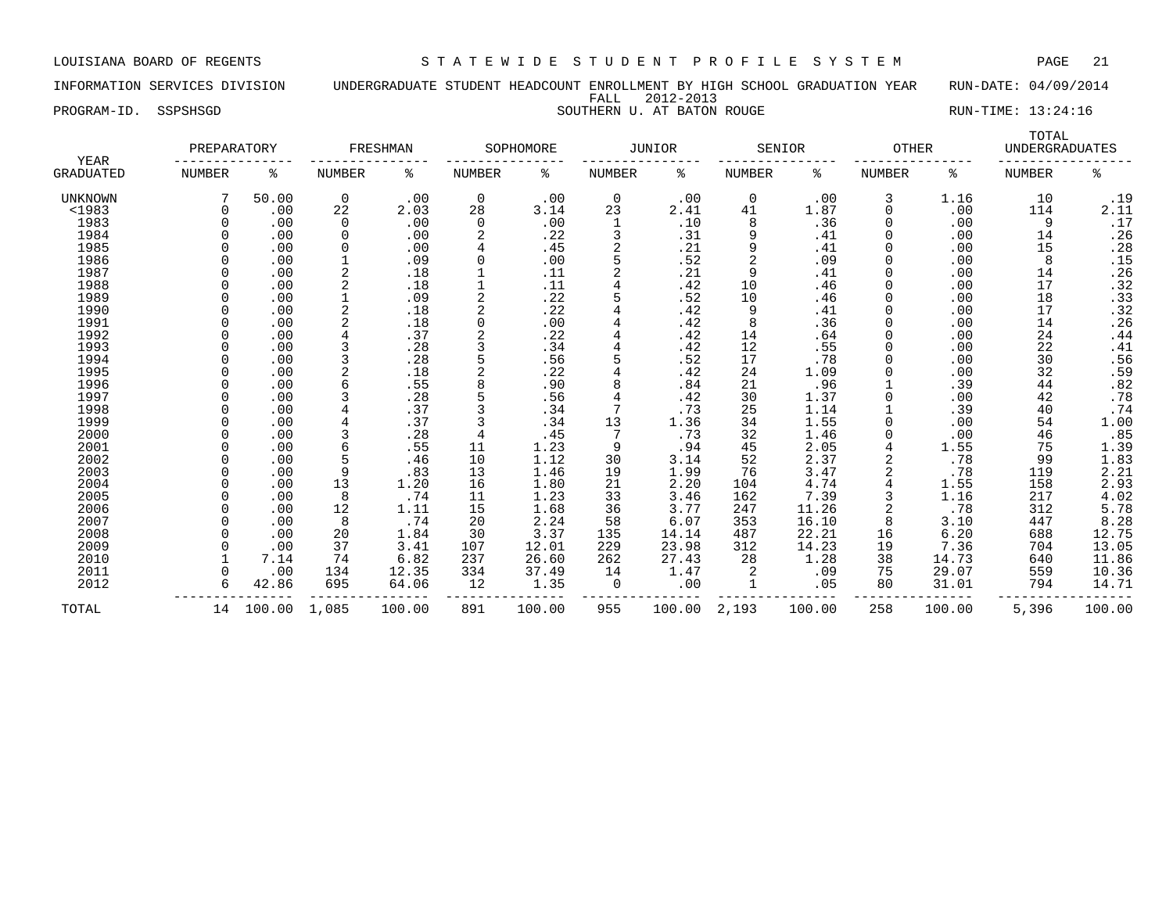INFORMATION SERVICES DIVISION UNDERGRADUATE STUDENT HEADCOUNT ENROLLMENT BY HIGH SCHOOL GRADUATION YEAR RUN-DATE: 04/09/2014 FALL 2012-2013 PROGRAM-ID. SSPSHSGD SOUTHERN U. AT BATON ROUGE SOUTHERN U. AT SATON ROUGE RUN-TIME: 13:24:16

| <b>YEAR</b>      | PREPARATORY   |        |                | FRESHMAN |             | SOPHOMORE |        | <b>JUNIOR</b> |               | SENIOR | <b>OTHER</b> |        | TOTAL<br><b>UNDERGRADUATES</b> |        |
|------------------|---------------|--------|----------------|----------|-------------|-----------|--------|---------------|---------------|--------|--------------|--------|--------------------------------|--------|
| <b>GRADUATED</b> | <b>NUMBER</b> | ႜ      | NUMBER         | ್ಠಿ      | NUMBER      | ႜ         | NUMBER | ႜ             | <b>NUMBER</b> | ႜ      | NUMBER       | ႜ      | NUMBER                         | ە<br>ج |
| UNKNOWN          |               | 50.00  | $\mathbf 0$    | .00      | $\mathbf 0$ | .00       | 0      | .00           | 0             | .00    | 3            | 1.16   | 10                             | .19    |
| <1983            |               | .00    | 22             | 2.03     | 28          | 3.14      | 23     | 2.41          | 41            | 1.87   | $\Omega$     | .00    | 114                            | 2.11   |
| 1983             |               | .00    | 0              | .00      | 0           | .00       | 1      | .10           | 8             | .36    |              | .00    | 9                              | .17    |
| 1984             |               | .00    | 0              | .00      |             | .22       |        | .31           | 9             | .41    |              | .00    | 14                             | .26    |
| 1985             |               | .00    | 0              | .00      |             | .45       | 2      | .21           | 9             | .41    |              | .00    | 15                             | .28    |
| 1986             |               | .00    |                | .09      | $\Omega$    | .00       | 5      | .52           |               | .09    |              | .00    | 8                              | .15    |
| 1987             |               | .00    | $\overline{2}$ | .18      |             | .11       | 2      | .21           | 9             | .41    |              | .00    | 14                             | .26    |
| 1988             |               | .00    | $\overline{2}$ | .18      |             | .11       | 4      | .42           | 10            | .46    |              | .00    | 17                             | .32    |
| 1989             |               | .00    |                | .09      |             | .22       | 5      | .52           | 10            | .46    |              | .00    | 18                             | .33    |
| 1990             |               | .00    | $\overline{2}$ | .18      |             | .22       | 4      | .42           | 9             | .41    |              | .00    | 17                             | .32    |
| 1991             |               | .00    | 2              | .18      |             | .00       |        | .42           | 8             | .36    |              | .00    | 14                             | .26    |
| 1992             |               | .00    |                | .37      |             | .22       |        | .42           | 14            | .64    |              | .00    | 24                             | .44    |
| 1993             |               | .00    |                | .28      |             | .34       |        | .42           | 12            | .55    |              | .00    | 22                             | .41    |
| 1994             |               | .00    |                | .28      |             | .56       | 5      | .52           | 17            | .78    |              | .00    | 30                             | .56    |
| 1995             |               | .00    |                | .18      |             | .22       |        | .42           | 24            | 1.09   |              | .00    | 32                             | .59    |
| 1996             |               | .00    |                | .55      |             | .90       |        | .84           | 21            | .96    |              | .39    | 44                             | .82    |
| 1997             |               | .00    |                | .28      |             | .56       | 4      | .42           | 30            | 1.37   |              | .00    | 42                             | .78    |
| 1998             |               | .00    |                | .37      |             | .34       |        | .73           | 25            | 1.14   |              | .39    | 40                             | .74    |
| 1999             |               | .00    |                | .37      |             | .34       | 13     | 1.36          | 34            | 1.55   |              | .00    | 54                             | 1.00   |
| 2000             |               | .00    |                | .28      | 4           | .45       | 7      | .73           | 32            | 1.46   |              | .00    | 46                             | .85    |
| 2001             |               | .00    | 6              | .55      | 11          | 1.23      | 9      | .94           | 45            | 2.05   |              | 1.55   | 75                             | 1.39   |
| 2002             |               | .00    |                | .46      | 10          | 1.12      | 30     | 3.14          | 52            | 2.37   | 2            | .78    | 99                             | 1.83   |
| 2003             |               | .00    | 9              | .83      | 13          | 1.46      | 19     | 1.99          | 76            | 3.47   |              | .78    | 119                            | 2.21   |
| 2004             |               | .00    | 13             | 1.20     | 16          | 1.80      | 21     | 2.20          | 104           | 4.74   |              | 1.55   | 158                            | 2.93   |
| 2005             |               | .00    | 8              | .74      | 11          | 1.23      | 33     | 3.46          | 162           | 7.39   |              | 1.16   | 217                            | 4.02   |
| 2006             |               | .00    | 12             | 1.11     | 15          | 1.68      | 36     | 3.77          | 247           | 11.26  |              | .78    | 312                            | 5.78   |
| 2007             |               | .00    | 8              | .74      | 20          | 2.24      | 58     | 6.07          | 353           | 16.10  |              | 3.10   | 447                            | 8.28   |
| 2008             |               | .00    | 20             | 1.84     | 30          | 3.37      | 135    | 14.14         | 487           | 22.21  | 16           | 6.20   | 688                            | 12.75  |
| 2009             |               | .00    | 37             | 3.41     | 107         | 12.01     | 229    | 23.98         | 312           | 14.23  | 19           | 7.36   | 704                            | 13.05  |
| 2010             |               | 7.14   | 74             | 6.82     | 237         | 26.60     | 262    | 27.43         | 28            | 1.28   | 38           | 14.73  | 640                            | 11.86  |
| 2011             |               | .00    | 134            | 12.35    | 334         | 37.49     | 14     | 1.47          | 2             | .09    | 75           | 29.07  | 559                            | 10.36  |
| 2012             |               | 42.86  | 695            | 64.06    | 12          | 1.35      | 0      | .00           |               | .05    | 80           | 31.01  | 794                            | 14.71  |
| TOTAL            | 14            | 100.00 | 1,085          | 100.00   | 891         | 100.00    | 955    | 100.00        | 2,193         | 100.00 | 258          | 100.00 | 5,396                          | 100.00 |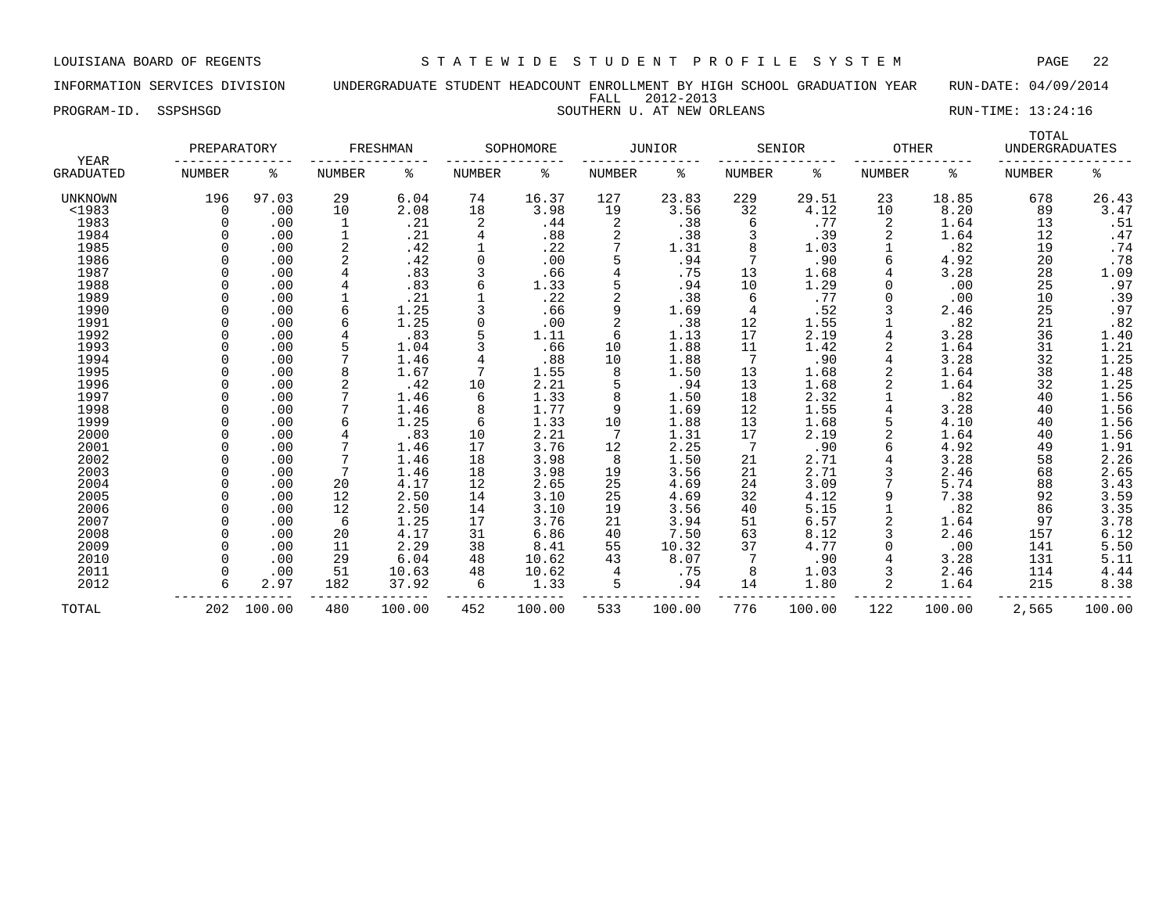INFORMATION SERVICES DIVISION UNDERGRADUATE STUDENT HEADCOUNT ENROLLMENT BY HIGH SCHOOL GRADUATION YEAR RUN-DATE: 04/09/2014 FALL 2012-2013 PROGRAM-ID. SSPSHSGD SOUTHERN U. AT NEW ORLEANS SOUTHERN SOUTHERN SOUTHERN SOUTHERN SOUTHERN SOUTHERN SOUTHERN SOUTHERN SOUTHERN SOUTHERN SOUTHERN SOUTHERN SOUTHERN SOUTHERN SOUTHERN SOUTHERN SOUTHERN SOUTHERN SOUTHERN SOU

| <b>YEAR</b>      | PREPARATORY |        |                | FRESHMAN |               | SOPHOMORE |        | <b>JUNIOR</b> |               | SENIOR | <b>OTHER</b>  |        | TOTAL<br><b>UNDERGRADUATES</b> |        |
|------------------|-------------|--------|----------------|----------|---------------|-----------|--------|---------------|---------------|--------|---------------|--------|--------------------------------|--------|
| <b>GRADUATED</b> | NUMBER      | ႜ      | <b>NUMBER</b>  | ႜ        | <b>NUMBER</b> | ႜ         | NUMBER | ႜ             | <b>NUMBER</b> | ႜ      | <b>NUMBER</b> | ႜ      | <b>NUMBER</b>                  | ႜ      |
| UNKNOWN          | 196         | 97.03  | 29             | 6.04     | 74            | 16.37     | 127    | 23.83         | 229           | 29.51  | 23            | 18.85  | 678                            | 26.43  |
| $1983$           | $\Omega$    | .00    | 10             | 2.08     | 18            | 3.98      | 19     | 3.56          | 32            | 4.12   | 10            | 8.20   | 89                             | 3.47   |
| 1983             |             | .00    |                | .21      | 2             | .44       | 2      | .38           | 6             | .77    | 2             | 1.64   | 13                             | .51    |
| 1984             |             | .00    | 1              | .21      | 4             | .88       | 2      | .38           |               | .39    |               | 1.64   | 12                             | .47    |
| 1985             |             | .00    | $\overline{2}$ | .42      |               | .22       |        | 1.31          |               | 1.03   |               | .82    | 19                             | .74    |
| 1986             |             | .00    | $\overline{2}$ | .42      | 0             | .00       |        | .94           |               | .90    | 6             | 4.92   | 20                             | .78    |
| 1987             |             | .00    |                | .83      |               | .66       |        | .75           | 13            | 1.68   |               | 3.28   | 28                             | 1.09   |
| 1988             |             | .00    |                | .83      | 6             | 1.33      |        | .94           | 10            | 1.29   |               | .00    | 25                             | .97    |
| 1989             |             | .00    |                | .21      |               | .22       | 2      | .38           | 6             | .77    |               | .00    | 10                             | .39    |
| 1990             |             | .00    | 6              | 1.25     |               | .66       | 9      | 1.69          | 4             | .52    |               | 2.46   | 25                             | .97    |
| 1991             |             | .00    | 6              | 1.25     | 0             | .00       | 2      | .38           | 12            | 1.55   |               | .82    | 21                             | .82    |
| 1992             |             | .00    |                | .83      |               | 1.11      | 6      | 1.13          | 17            | 2.19   |               | 3.28   | 36                             | 1.40   |
| 1993             |             | .00    |                | 1.04     |               | .66       | 10     | 1.88          | 11            | 1.42   |               | 1.64   | 31                             | 1.21   |
| 1994             |             | .00    |                | 1.46     |               | .88       | 10     | 1.88          | 7             | .90    |               | 3.28   | 32                             | 1.25   |
| 1995             |             | .00    | 8              | 1.67     |               | 1.55      | 8      | 1.50          | 13            | 1.68   |               | 1.64   | 38                             | 1.48   |
| 1996             |             | .00    |                | .42      | 10            | 2.21      |        | .94           | 13            | 1.68   |               | 1.64   | 32                             | 1.25   |
| 1997             |             | .00    |                | 1.46     | 6             | 1.33      | 8      | 1.50          | 18            | 2.32   |               | .82    | 40                             | 1.56   |
| 1998             |             | .00    |                | 1.46     |               | 1.77      | 9      | 1.69          | 12            | 1.55   |               | 3.28   | 40                             | 1.56   |
| 1999             |             | .00    | 6              | 1.25     | 6             | 1.33      | 10     | 1.88          | 13            | 1.68   |               | 4.10   | 40                             | 1.56   |
| 2000             |             | .00    |                | .83      | 10            | 2.21      |        | 1.31          | 17            | 2.19   |               | 1.64   | 40                             | 1.56   |
| 2001             |             | .00    |                | 1.46     | 17            | 3.76      | 12     | 2.25          |               | .90    |               | 4.92   | 49                             | 1.91   |
| 2002             |             | .00    | 7              | 1.46     | 18            | 3.98      | 8      | 1.50          | 21            | 2.71   |               | 3.28   | 58                             | 2.26   |
| 2003             |             | .00    | 7              | 1.46     | 18            | 3.98      | 19     | 3.56          | 21            | 2.71   |               | 2.46   | 68                             | 2.65   |
| 2004             |             | .00    | 20             | 4.17     | 12            | 2.65      | 25     | 4.69          | 24            | 3.09   |               | 5.74   | 88                             | 3.43   |
| 2005             |             | .00    | 12             | 2.50     | 14            | 3.10      | 25     | 4.69          | 32            | 4.12   |               | 7.38   | 92                             | 3.59   |
| 2006             |             | .00    | 12             | 2.50     | 14            | 3.10      | 19     | 3.56          | 40            | 5.15   |               | .82    | 86                             | 3.35   |
| 2007             |             | .00    | 6              | 1.25     | 17            | 3.76      | 21     | 3.94          | 51            | 6.57   |               | 1.64   | 97                             | 3.78   |
| 2008             |             | .00    | 20             | 4.17     | 31            | 6.86      | 40     | 7.50          | 63            | 8.12   |               | 2.46   | 157                            | 6.12   |
| 2009             |             | .00    | 11             | 2.29     | 38            | 8.41      | 55     | 10.32         | 37            | 4.77   |               | .00    | 141                            | 5.50   |
| 2010             |             | .00    | 29             | 6.04     | 48            | 10.62     | 43     | 8.07          |               | .90    |               | 3.28   | 131                            | 5.11   |
| 2011             |             | .00    | 51             | 10.63    | 48            | 10.62     | 4      | .75           | 8             | 1.03   |               | 2.46   | 114                            | 4.44   |
| 2012             |             | 2.97   | 182            | 37.92    | 6             | 1.33      |        | .94           | 14            | 1.80   |               | 1.64   | 215                            | 8.38   |
|                  |             |        |                |          |               |           |        |               |               |        |               |        |                                |        |
| TOTAL            | 202         | 100.00 | 480            | 100.00   | 452           | 100.00    | 533    | 100.00        | 776           | 100.00 | 122           | 100.00 | 2,565                          | 100.00 |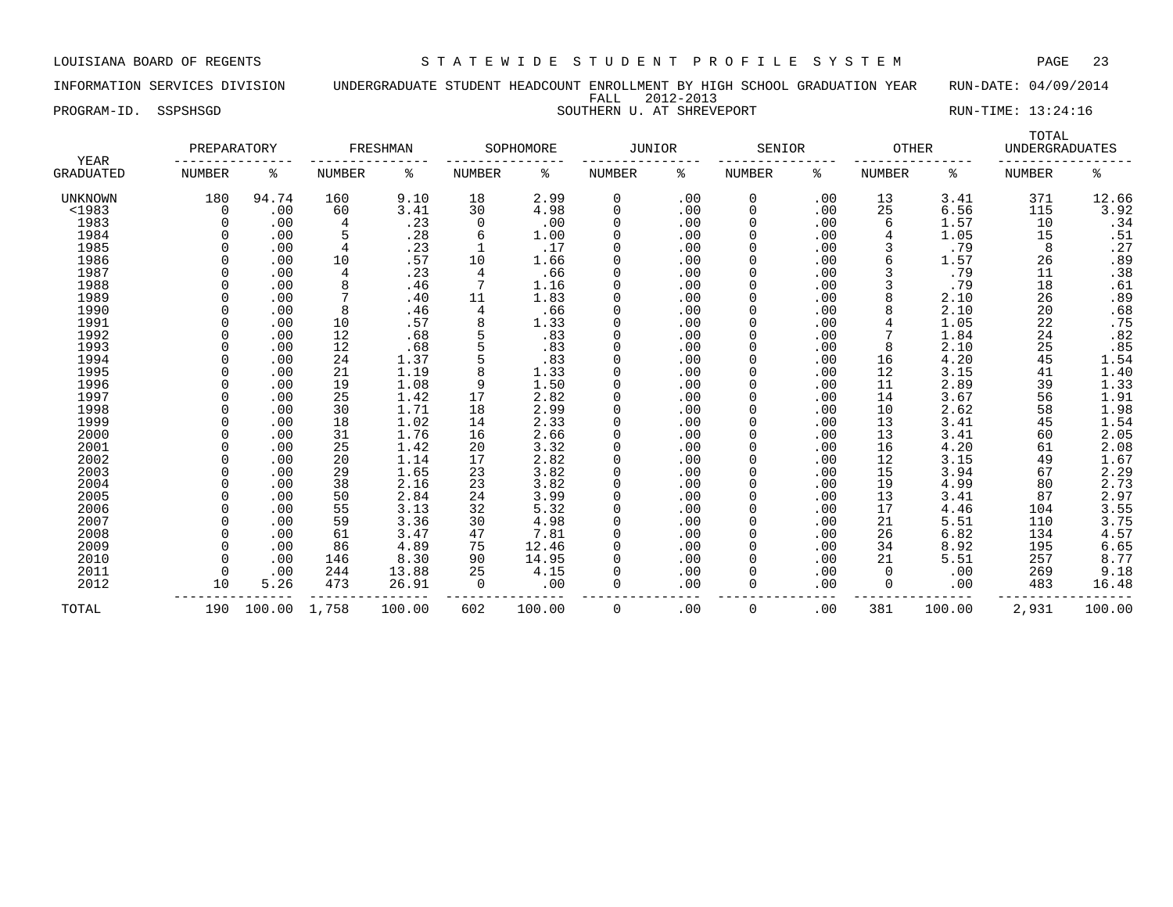### INFORMATION SERVICES DIVISION UNDERGRADUATE STUDENT HEADCOUNT ENROLLMENT BY HIGH SCHOOL GRADUATION YEAR RUN-DATE: 04/09/2014 FALL 2012-2013 PROGRAM-ID. SSPSHSGD SOUTHERN U. AT SHREVEPORT SOUTHERN SOUTHERN SOUTHERN U. AT SHREVEPORT

|                          | PREPARATORY   |              |        | FRESHMAN |                | SOPHOMORE | JUNIOR      |     | SENIOR        |     | <b>OTHER</b>  |        | TOTAL<br><b>UNDERGRADUATES</b> |                  |
|--------------------------|---------------|--------------|--------|----------|----------------|-----------|-------------|-----|---------------|-----|---------------|--------|--------------------------------|------------------|
| YEAR<br><b>GRADUATED</b> | <b>NUMBER</b> | ႜ            | NUMBER | ႜ        | <b>NUMBER</b>  | ႜ         | NUMBER      | နွ  | <b>NUMBER</b> | နွ  | <b>NUMBER</b> | နွ     | <b>NUMBER</b>                  | ႜ                |
| <b>UNKNOWN</b>           | 180           | 94.74        | 160    | 9.10     | 18             | 2.99      | 0           | .00 | 0             | .00 | 13            | 3.41   | 371                            | 12.66            |
| <1983                    | 0             | .00          | 60     | 3.41     | 30             | 4.98      | 0           | .00 | 0             | .00 | 25            | 6.56   | 115                            | 3.92             |
| 1983                     |               | .00          |        | .23      | 0              | .00       | $\Omega$    | .00 | 0             | .00 | 6             | 1.57   | 10                             | .34              |
| 1984                     |               | .00          |        | .28      | 6              | 1.00      | $\Omega$    | .00 | 0             | .00 | 4             | 1.05   | 15                             | .51              |
| 1985                     |               | .00          | 4      | .23      |                | .17       | $\Omega$    | .00 | 0             | .00 | 3             | .79    | 8                              | .27              |
| 1986                     |               | .00          | 10     | .57      | 10             | 1.66      | $\Omega$    | .00 | 0             | .00 | 6             | 1.57   | 26                             | .89              |
| 1987                     |               | .00          | 4      | .23      | 4              | .66       |             | .00 | 0             | .00 | 3             | .79    | 11                             | .38              |
| 1988                     |               | .00          | 8      | .46      |                | 1.16      |             | .00 | 0             | .00 | 3             | .79    | 18                             | .61              |
| 1989                     |               | .00          |        | .40      | 11             | 1.83      | $\Omega$    | .00 | 0             | .00 | 8             | 2.10   | 26                             | .89              |
| 1990                     | U             | .00          | 8      | .46      | $\overline{4}$ | .66       | $\Omega$    | .00 | 0             | .00 | 8             | 2.10   | 20                             | .68              |
| 1991                     | U             | .00          | 10     | .57      | 8              | 1.33      | $\Omega$    | .00 | <sup>0</sup>  | .00 | 4             | 1.05   | 22                             | .75              |
| 1992                     |               | .00          | 12     | .68      |                | .83       | $\Omega$    | .00 | 0             | .00 |               | 1.84   | 24                             | .82              |
| 1993                     |               | .00          | 12     | .68      |                | .83       | $\Omega$    | .00 | 0             | .00 | 8             | 2.10   | 25                             | .85              |
| 1994                     |               | .00          | 24     | 1.37     |                | .83       | $\Omega$    | .00 | 0             | .00 | 16            | 4.20   | 45                             | 1.54             |
| 1995                     |               | .00          | 21     | 1.19     | 8              | 1.33      | $\Omega$    | .00 | 0             | .00 | 12            | 3.15   | 41                             | 1.40             |
| 1996                     |               | .00          | 19     | 1.08     | 9              | 1.50      | $\Omega$    | .00 | 0             | .00 | 11            | 2.89   | 39                             | 1.33             |
| 1997                     |               | .00          | 25     | 1.42     | 17             | 2.82      |             | .00 | 0             | .00 | 14            | 3.67   | 56                             | 1.91             |
| 1998                     |               | .00          | 30     | 1.71     | 18             | 2.99      |             | .00 | 0             | .00 | 10            | 2.62   | 58                             | 1.98             |
| 1999                     |               | .00          | 18     | 1.02     | 14             | 2.33      |             | .00 | 0             | .00 | 13            | 3.41   | 45                             | 1.54             |
| 2000                     |               | .00          | 31     | 1.76     | 16             | 2.66      | $\Omega$    | .00 | 0             | .00 | 13            | 3.41   | 60                             | 2.05             |
| 2001                     |               | .00          | 25     | 1.42     | 20             | 3.32      | $\Omega$    | .00 | <sup>0</sup>  | .00 | 16            | 4.20   | 61                             | 2.08             |
| 2002                     |               | .00          | 20     | 1.14     | 17             | 2.82      | $\Omega$    | .00 | 0             | .00 | 12            | 3.15   | 49                             | 1.67             |
| 2003                     |               | .00          | 29     | 1.65     | 23             | 3.82      | $\mathbf 0$ | .00 | 0             | .00 | 15            | 3.94   | 67                             | 2.29             |
| 2004                     |               | .00          | 38     | 2.16     | 23             | 3.82      | $\Omega$    | .00 | 0             | .00 | 19            | 4.99   | 80                             |                  |
| 2005                     |               | .00          | 50     | 2.84     | 24             | 3.99      | $\Omega$    | .00 | 0             | .00 | 13            | 3.41   | 87                             | $2.73$<br>$2.97$ |
| 2006                     |               | .00          | 55     | 3.13     | 32             | 5.32      | $\Omega$    | .00 | 0             | .00 | 17            | 4.46   | 104                            | 3.55             |
| 2007                     |               | .00          | 59     | 3.36     | 30             | 4.98      | $\Omega$    | .00 | 0             | .00 | 21            | 5.51   | 110                            | 3.75             |
| 2008                     |               | .00          | 61     | 3.47     | 47             | 7.81      | $\Omega$    | .00 | 0             | .00 | 26            | 6.82   | 134                            | 4.57             |
| 2009                     |               | .00          | 86     | 4.89     | 75             | 12.46     |             | .00 | 0             | .00 | 34            | 8.92   | 195                            | 6.65             |
| 2010                     |               | .00          | 146    | 8.30     | 90             | 14.95     | $\Omega$    | .00 | 0             | .00 | 21            | 5.51   | 257                            | 8.77             |
| 2011                     | $\Omega$      | .00          | 244    | 13.88    | 25             | 4.15      | $\Omega$    | .00 | 0             | .00 | 0             | .00    | 269                            | 9.18             |
| 2012                     | 10            | 5.26         | 473    | 26.91    | 0              | .00       | $\Omega$    | .00 | 0             | .00 | $\Omega$      | .00    | 483                            | 16.48            |
| TOTAL                    | 190           | 100.00 1,758 |        | 100.00   | 602            | 100.00    | 0           | .00 | 0             | .00 | 381           | 100.00 | 2,931                          | 100.00           |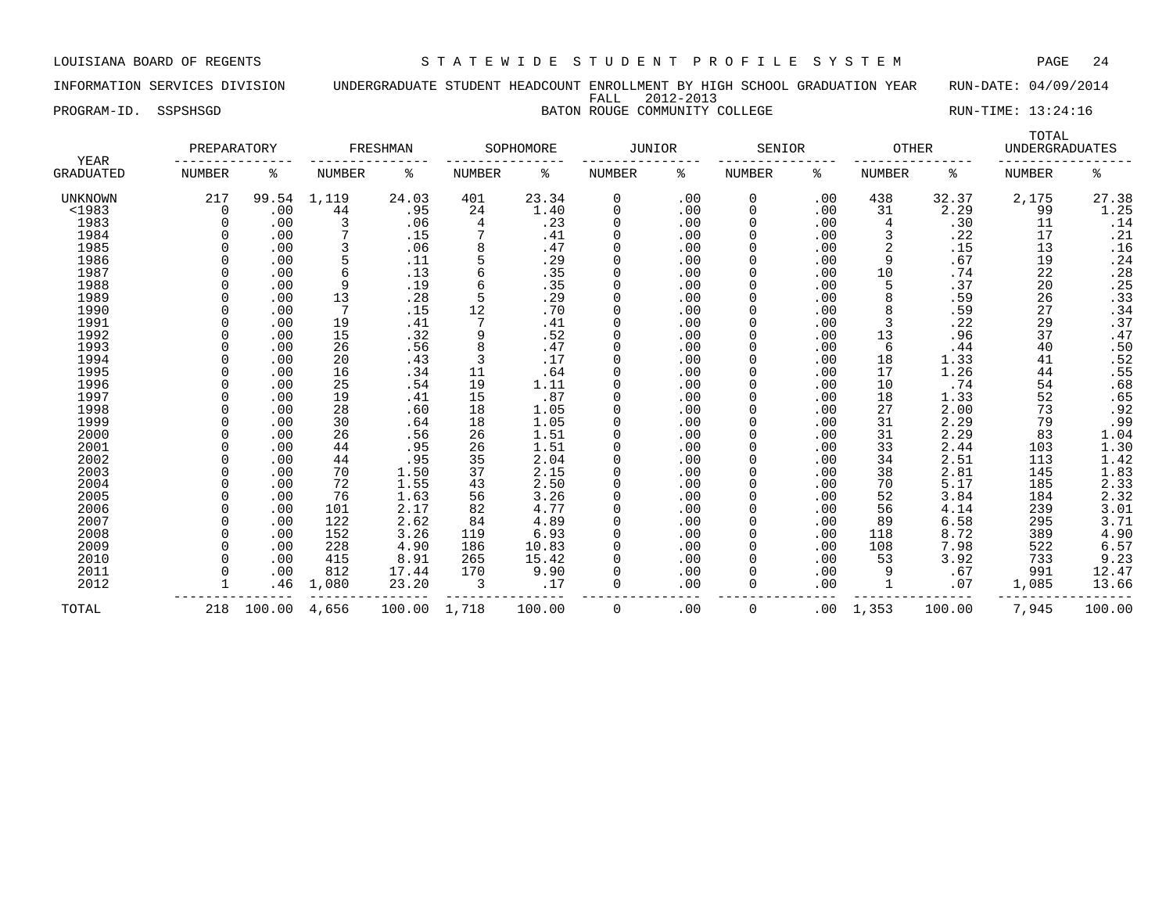INFORMATION SERVICES DIVISION UNDERGRADUATE STUDENT HEADCOUNT ENROLLMENT BY HIGH SCHOOL GRADUATION YEAR RUN-DATE: 04/09/2014 FALL 2012-2013

PROGRAM-ID. SSPSHSGD **BATON ROUGE COMMUNITY COLLEGE** RUN-TIME: 13:24:16

| <b>YEAR</b>      | PREPARATORY |        |               | FRESHMAN |               | SOPHOMORE | <b>JUNIOR</b> |     | SENIOR        |     | <b>OTHER</b>  |        | TOTAL<br><b>UNDERGRADUATES</b> |                            |
|------------------|-------------|--------|---------------|----------|---------------|-----------|---------------|-----|---------------|-----|---------------|--------|--------------------------------|----------------------------|
| <b>GRADUATED</b> | NUMBER      | ႜ      | <b>NUMBER</b> | ႜ        | <b>NUMBER</b> | ್ಠಿ       | NUMBER        | ႜ   | <b>NUMBER</b> | နွ  | <b>NUMBER</b> | နွ     | <b>NUMBER</b>                  | နွ                         |
| UNKNOWN          | 217         | 99.54  | 1,119         | 24.03    | 401           | 23.34     | $\Omega$      | .00 | 0             | .00 | 438           | 32.37  | 2,175                          | 27.38                      |
| <1983            | $\Omega$    | .00    | 44            | .95      | 24            | 1.40      | 0             | .00 | 0             | .00 | 31            | 2.29   | 99                             | 1.25                       |
| 1983             |             | .00    |               | .06      | 4             | .23       | $\Omega$      | .00 | O             | .00 | 4             | .30    | 11                             | .14                        |
| 1984             |             | .00    |               | .15      |               | .41       | $\Omega$      | .00 |               | .00 | 3             | .22    | 17                             | .21                        |
| 1985             |             | .00    |               | .06      |               | .47       | $\Omega$      | .00 |               | .00 | 2             | .15    | 13                             | .16                        |
| 1986             |             | .00    |               | .11      |               | .29       | $\Omega$      | .00 | 0             | .00 | 9             | .67    | 19                             | .24                        |
| 1987             |             | .00    | 6             | .13      |               | .35       | $\Omega$      | .00 | 0             | .00 | 10            | .74    | 22                             | .28                        |
| 1988             |             | .00    | 9             | .19      |               | .35       | $\Omega$      | .00 | 0             | .00 | 5             | .37    | 20                             | .25                        |
| 1989             |             | .00    | 13            | .28      |               | .29       | $\Omega$      | .00 | O             | .00 | 8             | .59    | 26                             | .33                        |
| 1990             |             | .00    | 7             | .15      | 12            | .70       | $\Omega$      | .00 |               | .00 | 8             | .59    | 27                             | .34                        |
| 1991             |             | .00    | 19            | .41      |               | .41       | $\Omega$      | .00 |               | .00 | 3             | .22    | 29                             | .37                        |
| 1992             |             | .00    | 15            | .32      | 9             | .52       | $\Omega$      | .00 | 0             | .00 | 13            | .96    | 37                             | .47                        |
| 1993             |             | .00    | 26            | .56      |               | .47       | $\Omega$      | .00 |               | .00 | 6             | .44    | 40                             | .50                        |
| 1994             |             | .00    | 20            | .43      | 3             | .17       | $\Omega$      | .00 |               | .00 | 18            | 1.33   | 41                             | .52                        |
| 1995             |             | .00    | 16            | .34      | 11            | .64       | $\Omega$      | .00 |               | .00 | 17            | 1.26   | 44                             | .55                        |
| 1996             |             | .00    | 25            | .54      | 19            | 1.11      | $\Omega$      | .00 |               | .00 | 10            | .74    | 54                             | .68                        |
| 1997             |             | .00    | 19            | .41      | 15            | .87       | $\Omega$      | .00 |               | .00 | 18            | 1.33   | 52                             | .65                        |
| 1998             |             | .00    | 28            | .60      | 18            | 1.05      | $\Omega$      | .00 |               | .00 | 27            | 2.00   | 73                             | .92                        |
| 1999             |             | .00    | 30            | .64      | 18            | 1.05      | $\Omega$      | .00 |               | .00 | 31            | 2.29   | 79                             | .99                        |
| 2000             |             | .00    | 26            | .56      | 26            | 1.51      | $\Omega$      | .00 |               | .00 | 31            | 2.29   | 83                             | 1.04                       |
| 2001             |             | .00    | 44            | .95      | 26            | 1.51      | $\Omega$      | .00 |               | .00 | 33            | 2.44   | 103                            |                            |
| 2002             |             | .00    | 44            | .95      | 35            | 2.04      | 0             | .00 | 0             | .00 | 34            | 2.51   | 113                            | $1.30$<br>$1.42$           |
| 2003             |             | .00    | 70            | 1.50     | 37            | 2.15      | $\Omega$      | .00 | 0             | .00 | 38            | 2.81   | 145                            |                            |
| 2004             |             | .00    | 72            | 1.55     | 43            | 2.50      | $\Omega$      | .00 | 0             | .00 | 70            | 5.17   | 185                            |                            |
| 2005             |             | .00    | 76            | 1.63     | 56            | 3.26      | $\Omega$      | .00 |               | .00 | 52            | 3.84   | 184                            | $1.83$<br>$2.33$<br>$2.32$ |
| 2006             |             | .00    | 101           | 2.17     | 82            | 4.77      | $\Omega$      | .00 |               | .00 | 56            | 4.14   | 239                            | 3.01                       |
| 2007             |             | .00    | 122           | 2.62     | 84            | 4.89      | $\Omega$      | .00 |               | .00 | 89            | 6.58   | 295                            | 3.71                       |
| 2008             |             | .00    | 152           | 3.26     | 119           | 6.93      | $\Omega$      | .00 |               | .00 | 118           | 8.72   | 389                            | 4.90                       |
| 2009             |             | .00    | 228           | 4.90     | 186           | 10.83     | $\Omega$      | .00 |               | .00 | 108           | 7.98   | 522                            | 6.57                       |
| 2010             |             | .00    | 415           | 8.91     | 265           | 15.42     | $\Omega$      | .00 |               | .00 | 53            | 3.92   | 733                            | 9.23                       |
| 2011             |             | .00    | 812           | 17.44    | 170           | 9.90      | $\Omega$      | .00 | 0             | .00 | 9             | .67    | 991                            | 12.47                      |
| 2012             |             | .46    | 1,080         | 23.20    | 3             | .17       | $\Omega$      | .00 | 0             | .00 |               | .07    | 1,085                          | 13.66                      |
| TOTAL            | 218         | 100.00 | 4,656         | 100.00   | 1,718         | 100.00    | 0             | .00 | 0             | .00 | 1,353         | 100.00 | 7,945                          | 100.00                     |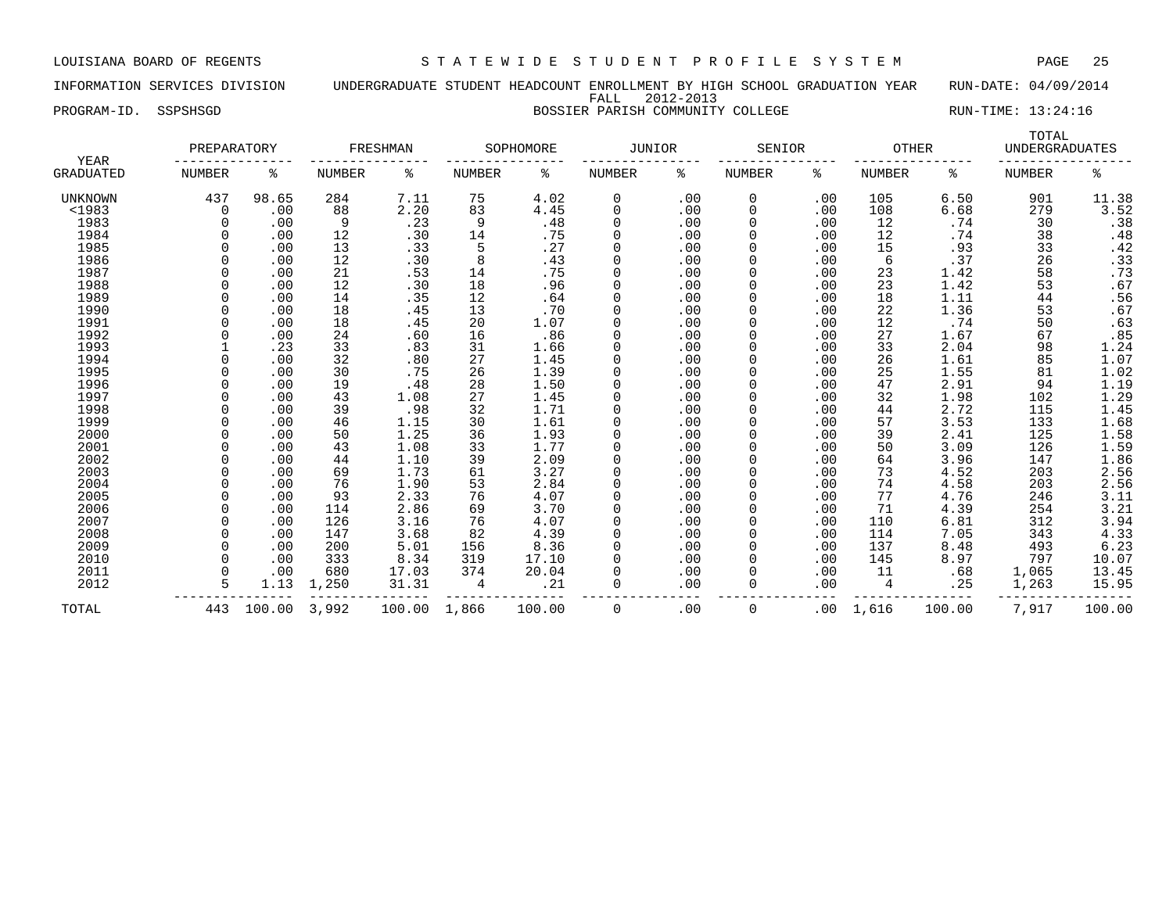### INFORMATION SERVICES DIVISION UNDERGRADUATE STUDENT HEADCOUNT ENROLLMENT BY HIGH SCHOOL GRADUATION YEAR RUN-DATE: 04/09/2014 FALL 2012-2013 PROGRAM-ID. SSPSHSGD BOSSIER PARISH COMMUNITY COLLEGE RUN-TIME: 13:24:16

|                          | PREPARATORY   |        |               | FRESHMAN |               | SOPHOMORE | <b>JUNIOR</b> |     | SENIOR        |     | <b>OTHER</b>  |        | TOTAL<br><b>UNDERGRADUATES</b> |                         |
|--------------------------|---------------|--------|---------------|----------|---------------|-----------|---------------|-----|---------------|-----|---------------|--------|--------------------------------|-------------------------|
| YEAR<br><b>GRADUATED</b> | <b>NUMBER</b> | ి      | <b>NUMBER</b> | နွ       | <b>NUMBER</b> | ႜ         | <b>NUMBER</b> | ిక  | <b>NUMBER</b> | နွ  | <b>NUMBER</b> | နွ     | <b>NUMBER</b>                  | နွ                      |
| UNKNOWN                  | 437           | 98.65  | 284           | 7.11     | 75            | 4.02      | 0             | .00 | 0             | .00 | 105           | 6.50   | 901                            | 11.38                   |
| <1983                    | 0             | .00    | 88            | 2.20     | 83            | 4.45      | 0             | .00 | 0             | .00 | 108           | 6.68   | 279                            | 3.52                    |
| 1983                     |               | .00    | 9             | .23      | 9             | .48       | $\Omega$      | .00 | 0             | .00 | 12            | .74    | 30                             | $.38$<br>$.48$<br>$.42$ |
| 1984                     |               | .00    | 12            | .30      | 14            | .75       | $\Omega$      | .00 | 0             | .00 | 12            | .74    | 38                             |                         |
| 1985                     |               | .00    | 13            | .33      | 5             | .27       | $\Omega$      | .00 | 0             | .00 | 15            | .93    | 33                             |                         |
| 1986                     |               | .00    | 12            | .30      | 8             | .43       | $\Omega$      | .00 | 0             | .00 | 6             | .37    | 26                             | .33                     |
| 1987                     |               | .00    | 21            | .53      | 14            | .75       | $\Omega$      | .00 | 0             | .00 | 23            | 1.42   | 58                             | .73                     |
| 1988                     |               | .00    | 12            | .30      | 18            | .96       | $\Omega$      | .00 | 0             | .00 | 23            | 1.42   | 53                             | .67                     |
| 1989                     |               | .00    | 14            | .35      | 12            | .64       | $\Omega$      | .00 | 0             | .00 | 18            | 1.11   | 44                             | .56                     |
| 1990                     |               | .00    | 18            | .45      | 13            | .70       | $\Omega$      | .00 | 0             | .00 | 22            | 1.36   | 53                             | .67                     |
| 1991                     |               | .00    | 18            | .45      | 20            | 1.07      | $\Omega$      | .00 | 0             | .00 | 12            | .74    | 50                             | .63                     |
| 1992                     |               | .00    | 24            | .60      | 16            | .86       | $\Omega$      | .00 | 0             | .00 | 27            | 1.67   | 67                             | .85                     |
| 1993                     |               | .23    | 33            | .83      | 31            | 1.66      | $\Omega$      | .00 | 0             | .00 | 33            | 2.04   | 98                             |                         |
| 1994                     |               | .00    | 32            | .80      | 27            | 1.45      | $\Omega$      | .00 | 0             | .00 | 26            | 1.61   | 85                             | $1.24$<br>$1.07$        |
| 1995                     |               | .00    | 30            | .75      | 26            | 1.39      | $\Omega$      | .00 | 0             | .00 | 25            | 1.55   | 81                             | 1.02                    |
| 1996                     |               | .00    | 19            | .48      | 28            | 1.50      | $\Omega$      | .00 | 0             | .00 | 47            | 2.91   | 94                             | 1.19                    |
| 1997                     |               | .00    | 43            | 1.08     | 27            | 1.45      | $\Omega$      | .00 | $\Omega$      | .00 | 32            | 1.98   | 102                            | 1.29                    |
| 1998                     |               | .00    | 39            | .98      | 32            | 1.71      | $\Omega$      | .00 | 0             | .00 | 44            | 2.72   | 115                            | 1.45                    |
| 1999                     |               | .00    | 46            | 1.15     | 30            | 1.61      | $\Omega$      | .00 | 0             | .00 | 57            | 3.53   | 133                            | 1.68                    |
| 2000                     |               | .00    | 50            | 1.25     | 36            | 1.93      | $\Omega$      | .00 | <sup>0</sup>  | .00 | 39            | 2.41   | 125                            | 1.58                    |
| 2001                     |               | .00    | 43            | 1.08     | 33            | 1.77      | 0             | .00 | 0             | .00 | 50            | 3.09   | 126                            |                         |
| 2002                     |               | .00    | 44            | 1.10     | 39            | 2.09      | 0             | .00 | 0             | .00 | 64            | 3.96   | 147                            | $\frac{1.59}{1.86}$     |
| 2003                     |               | .00    | 69            | 1.73     | 61            | 3.27      | 0             | .00 | 0             | .00 | 73            | 4.52   | 203                            |                         |
| 2004                     |               | .00    | 76            | 1.90     | 53            | 2.84      | 0             | .00 | 0             | .00 | 74            | 4.58   | 203                            |                         |
| 2005                     |               | .00    | 93            | 2.33     | 76            | 4.07      | $\Omega$      | .00 | 0             | .00 | 77            | 4.76   | 246                            | 2.56<br>2.56<br>3.11    |
| 2006                     |               | .00    | 114           | 2.86     | 69            | 3.70      | $\Omega$      | .00 | 0             | .00 | 71            | 4.39   | 254                            | 3.21                    |
| 2007                     |               | .00    | 126           | 3.16     | 76            | 4.07      | O             | .00 | 0             | .00 | 110           | 6.81   | 312                            | 3.94                    |
| 2008                     |               | .00    | 147           | 3.68     | 82            | 4.39      | $\Omega$      | .00 | 0             | .00 | 114           | 7.05   | 343                            | 4.33                    |
| 2009                     |               | .00    | 200           | 5.01     | 156           | 8.36      | $\Omega$      | .00 | 0             | .00 | 137           | 8.48   | 493                            | 6.23                    |
| 2010                     |               | .00    | 333           | 8.34     | 319           | 17.10     | $\Omega$      | .00 | <sup>0</sup>  | .00 | 145           | 8.97   | 797                            | 10.07                   |
| 2011                     |               | .00    | 680           | 17.03    | 374           | 20.04     | $\Omega$      | .00 | 0             | .00 | 11            | .68    | 1,065                          | 13.45                   |
| 2012                     |               | 1.13   | 1,250         | 31.31    | 4             | .21       | $\Omega$      | .00 | 0             | .00 | 4             | .25    | 1,263                          | 15.95                   |
| TOTAL                    | 443           | 100.00 | 3,992         | 100.00   | 1,866         | 100.00    | 0             | .00 | 0             | .00 | 1,616         | 100.00 | 7,917                          | 100.00                  |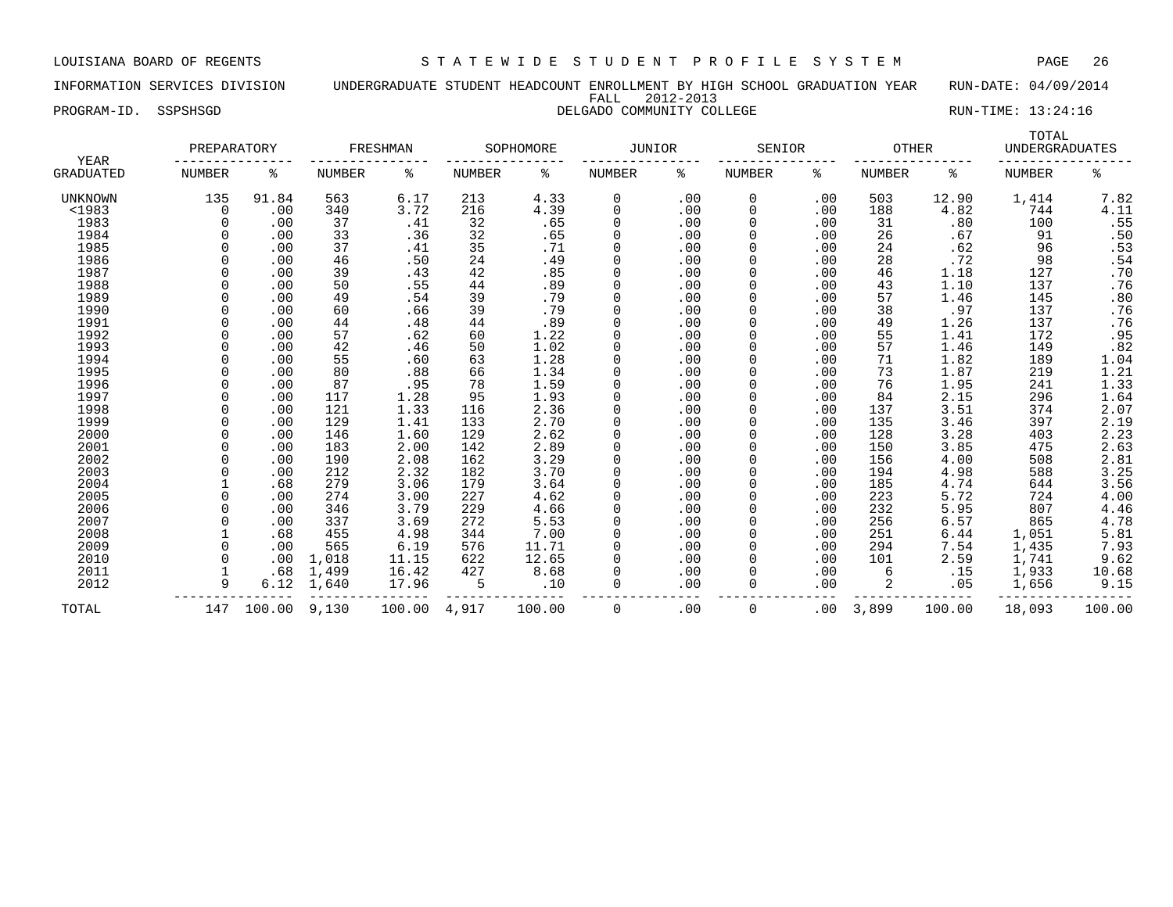INFORMATION SERVICES DIVISION UNDERGRADUATE STUDENT HEADCOUNT ENROLLMENT BY HIGH SCHOOL GRADUATION YEAR RUN-DATE: 04/09/2014 FALL 2012-2013

| YEAR      | PREPARATORY |        |        | FRESHMAN |        | SOPHOMORE | <b>JUNIOR</b> |     | SENIOR   |     | <b>OTHER</b>  |        | TOTAL<br><b>UNDERGRADUATES</b> |        |
|-----------|-------------|--------|--------|----------|--------|-----------|---------------|-----|----------|-----|---------------|--------|--------------------------------|--------|
| GRADUATED | NUMBER      | ႜ      | NUMBER | ႜ        | NUMBER | ႜ         | NUMBER        | ႜ   | NUMBER   | ႜ   | <b>NUMBER</b> | နွ     | <b>NUMBER</b>                  | ៖      |
| UNKNOWN   | 135         | 91.84  | 563    | 6.17     | 213    | 4.33      | 0             | .00 | 0        | .00 | 503           | 12.90  | 1,414                          | 7.82   |
| $<$ 1983  | 0           | .00    | 340    | 3.72     | 216    | 4.39      | 0             | .00 | 0        | .00 | 188           | 4.82   | 744                            | 4.11   |
| 1983      | $\Omega$    | .00    | 37     | .41      | 32     | .65       | 0             | .00 |          | .00 | 31            | .80    | 100                            | .55    |
| 1984      |             | .00    | 33     | .36      | 32     | .65       | 0             | .00 |          | .00 | 26            | .67    | 91                             | .50    |
| 1985      |             | .00    | 37     | .41      | 35     | .71       | 0             | .00 |          | .00 | 24            | .62    | 96                             | .53    |
| 1986      |             | .00    | 46     | .50      | 24     | .49       | $\mathbf 0$   | .00 |          | .00 | 28            | .72    | 98                             | .54    |
| 1987      |             | .00    | 39     | .43      | 42     | .85       | $\Omega$      | .00 |          | .00 | 46            | 1.18   | 127                            | .70    |
| 1988      |             | .00    | 50     | .55      | 44     | .89       | 0             | .00 |          | .00 | 43            | 1.10   | 137                            | .76    |
| 1989      |             | .00    | 49     | .54      | 39     | .79       | $\Omega$      | .00 |          | .00 | 57            | 1.46   | 145                            | .80    |
| 1990      |             | .00    | 60     | .66      | 39     | .79       | $\Omega$      | .00 |          | .00 | 38            | .97    | 137                            | .76    |
| 1991      |             | .00    | 44     | .48      | 44     | .89       | $\mathbf 0$   | .00 |          | .00 | 49            | 1.26   | 137                            | .76    |
| 1992      |             | .00    | 57     | .62      | 60     | 1.22      | $\Omega$      | .00 |          | .00 | 55            | 1.41   | 172                            | .95    |
| 1993      |             | .00    | 42     | .46      | 50     | 1.02      | $\Omega$      | .00 |          | .00 | 57            | 1.46   | 149                            | .82    |
| 1994      |             | .00    | 55     | .60      | 63     | 1.28      | 0             | .00 |          | .00 | 71            | 1.82   | 189                            | 1.04   |
| 1995      |             | .00    | 80     | .88      | 66     | 1.34      | 0             | .00 |          | .00 | 73            | 1.87   | 219                            | 1.21   |
| 1996      |             | .00    | 87     | .95      | 78     | 1.59      | 0             | .00 |          | .00 | 76            | 1.95   | 241                            | 1.33   |
| 1997      |             | .00    | 117    | 1.28     | 95     | 1.93      | 0             | .00 |          | .00 | 84            | 2.15   | 296                            | 1.64   |
| 1998      |             | .00    | 121    | 1.33     | 116    | 2.36      | 0             | .00 |          | .00 | 137           | 3.51   | 374                            | 2.07   |
| 1999      | $\Omega$    | .00    | 129    | 1.41     | 133    | 2.70      | $\mathbf 0$   | .00 |          | .00 | 135           | 3.46   | 397                            | 2.19   |
| 2000      |             | .00    | 146    | 1.60     | 129    | 2.62      | 0             | .00 |          | .00 | 128           | 3.28   | 403                            | 2.23   |
| 2001      |             | .00    | 183    | 2.00     | 142    | 2.89      | 0             | .00 |          | .00 | 150           | 3.85   | 475                            | 2.63   |
| 2002      |             | .00    | 190    | 2.08     | 162    | 3.29      | $\Omega$      | .00 |          | .00 | 156           | 4.00   | 508                            | 2.81   |
| 2003      |             | .00    | 212    | 2.32     | 182    | 3.70      |               | .00 |          | .00 | 194           | 4.98   | 588                            | 3.25   |
| 2004      |             | .68    | 279    | 3.06     | 179    | 3.64      | $\Omega$      | .00 |          | .00 | 185           | 4.74   | 644                            | 3.56   |
| 2005      |             | .00    | 274    | 3.00     | 227    | 4.62      | $\Omega$      | .00 |          | .00 | 223           | 5.72   | 724                            | 4.00   |
| 2006      |             | .00    | 346    | 3.79     | 229    | 4.66      | $\Omega$      | .00 |          | .00 | 232           | 5.95   | 807                            | 4.46   |
| 2007      |             | .00    | 337    | 3.69     | 272    | 5.53      | $\Omega$      | .00 |          | .00 | 256           | 6.57   | 865                            | 4.78   |
| 2008      |             | .68    | 455    | 4.98     | 344    | 7.00      | $\Omega$      | .00 |          | .00 | 251           | 6.44   | 1,051                          | 5.81   |
| 2009      |             | .00    | 565    | 6.19     | 576    | 11.71     |               | .00 |          | .00 | 294           | 7.54   | 1,435                          | 7.93   |
| 2010      |             | .00    | 1,018  | 11.15    | 622    | 12.65     | 0             | .00 |          | .00 | 101           | 2.59   | 1,741                          | 9.62   |
| 2011      |             | .68    | 1,499  | 16.42    | 427    | 8.68      | $\Omega$      | .00 |          | .00 | 6             | .15    | 1,933                          | 10.68  |
| 2012      | 9           | 6.12   | 1,640  | 17.96    | 5      | .10       | $\Omega$      | .00 | 0        | .00 |               | .05    | 1,656                          | 9.15   |
| TOTAL     | 147         | 100.00 | 9,130  | 100.00   | 4,917  | 100.00    | $\Omega$      | .00 | $\Omega$ | .00 | 3,899         | 100.00 | 18,093                         | 100.00 |

PROGRAM-ID. SSPSHSGD **DELGADO COMMUNITY COLLEGE** RUN-TIME: 13:24:16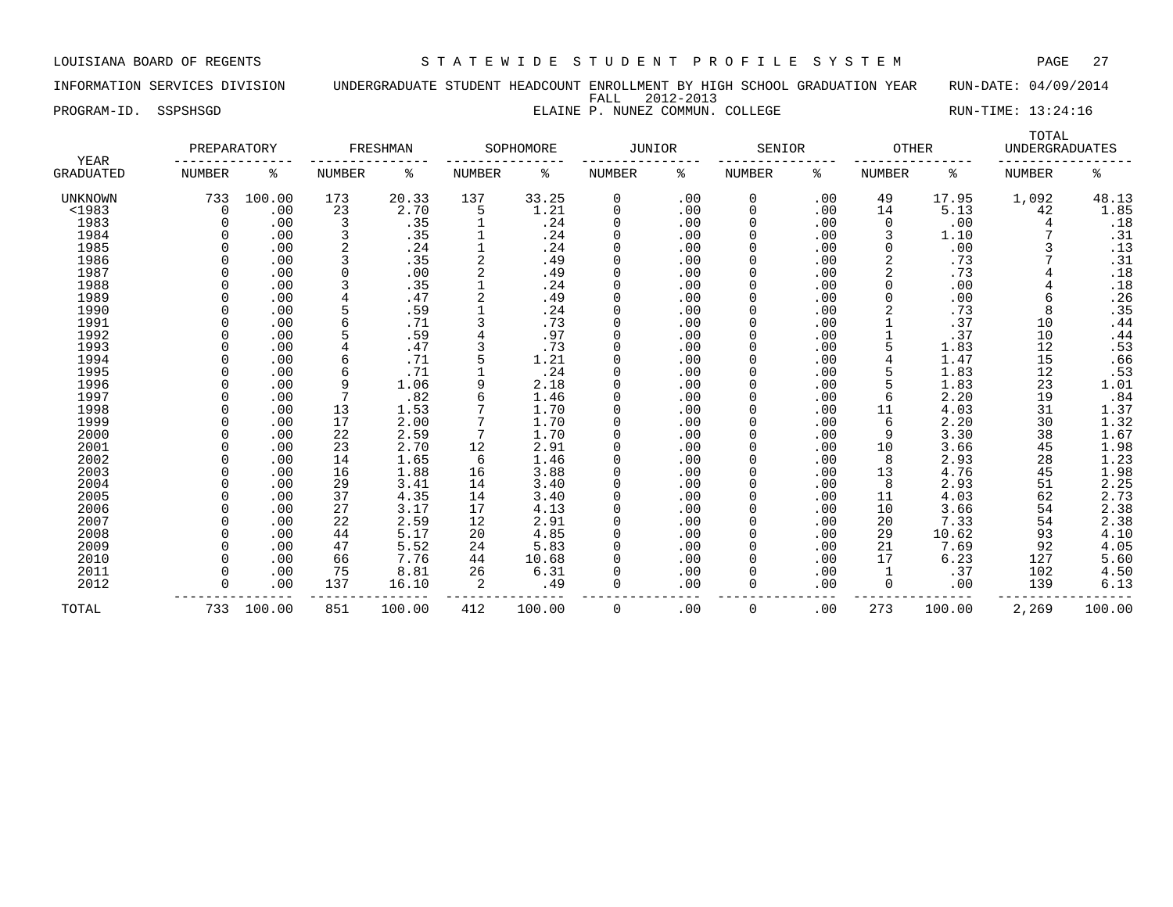INFORMATION SERVICES DIVISION UNDERGRADUATE STUDENT HEADCOUNT ENROLLMENT BY HIGH SCHOOL GRADUATION YEAR RUN-DATE: 04/09/2014 FALL 2012-2013

PROGRAM-ID. SSPSHSGD **ELAINE P. NUNEZ COMMUN. COLLEGE** RUN-TIME: 13:24:16

| <b>YEAR</b>      | PREPARATORY |        |               | FRESHMAN |                | SOPHOMORE | JUNIOR   |     | SENIOR        |     | <b>OTHER</b>  |        | TOTAL<br><b>UNDERGRADUATES</b> |        |
|------------------|-------------|--------|---------------|----------|----------------|-----------|----------|-----|---------------|-----|---------------|--------|--------------------------------|--------|
| <b>GRADUATED</b> | NUMBER      | ႜ      | <b>NUMBER</b> | ႜ        | <b>NUMBER</b>  | နွ        | NUMBER   | ႜ   | <b>NUMBER</b> | ႜ   | <b>NUMBER</b> | ႜ      | <b>NUMBER</b>                  | ႜ      |
| UNKNOWN          | 733         | 100.00 | 173           | 20.33    | 137            | 33.25     | 0        | .00 | 0             | .00 | 49            | 17.95  | 1,092                          | 48.13  |
| <1983            | $\Omega$    | .00    | 23            | 2.70     | 5              | 1.21      | $\Omega$ | .00 | 0             | .00 | 14            | 5.13   | 42                             | 1.85   |
| 1983             |             | .00    | 3             | .35      |                | .24       | $\Omega$ | .00 | O             | .00 | $\Omega$      | .00    | 4                              | .18    |
| 1984             |             | .00    |               | .35      |                | .24       | $\Omega$ | .00 |               | .00 | 3             | 1.10   |                                | .31    |
| 1985             |             | .00    | 2             | .24      |                | .24       | $\Omega$ | .00 |               | .00 | 0             | .00    | 3                              | .13    |
| 1986             |             | .00    |               | .35      | $\overline{c}$ | .49       | $\Omega$ | .00 |               | .00 | 2             | .73    |                                | .31    |
| 1987             |             | .00    |               | .00      |                | .49       | $\Omega$ | .00 | 0             | .00 | 2             | .73    |                                | .18    |
| 1988             |             | .00    |               | .35      |                | .24       | $\Omega$ | .00 | 0             | .00 | 0             | .00    |                                | .18    |
| 1989             |             | .00    |               | .47      |                | .49       | $\Omega$ | .00 | O             | .00 | 0             | .00    | 6                              | .26    |
| 1990             |             | .00    |               | .59      |                | .24       | $\Omega$ | .00 |               | .00 |               | .73    | 8                              | .35    |
| 1991             |             | .00    |               | .71      |                | .73       | $\Omega$ | .00 |               | .00 |               | .37    | 10                             | .44    |
| 1992             |             | .00    |               | .59      |                | .97       | $\Omega$ | .00 |               | .00 |               | .37    | 10                             | .44    |
| 1993             |             | .00    |               | .47      |                | .73       | $\Omega$ | .00 |               | .00 |               | 1.83   | 12                             | .53    |
| 1994             |             | .00    |               | .71      |                | 1.21      | $\Omega$ | .00 |               | .00 |               | 1.47   | 15                             | .66    |
| 1995             |             | .00    | 6             | .71      |                | .24       | $\Omega$ | .00 |               | .00 | 5             | 1.83   | 12                             | .53    |
| 1996             |             | .00    | 9             | 1.06     |                | 2.18      | $\Omega$ | .00 |               | .00 |               | 1.83   | 23                             | 1.01   |
| 1997             |             | .00    |               | .82      |                | 1.46      | $\Omega$ | .00 |               | .00 | 6             | 2.20   | 19                             | .84    |
| 1998             |             | .00    | 13            | 1.53     |                | 1.70      | $\Omega$ | .00 |               | .00 | 11            | 4.03   | 31                             | 1.37   |
| 1999             |             | .00    | 17            | 2.00     |                | 1.70      | $\Omega$ | .00 |               | .00 | 6             | 2.20   | 30                             | 1.32   |
| 2000             |             | .00    | 22            | 2.59     |                | 1.70      | $\Omega$ | .00 |               | .00 | 9             | 3.30   | 38                             | 1.67   |
| 2001             |             | .00    | 23            | 2.70     | 12             | 2.91      | $\Omega$ | .00 |               | .00 | 10            | 3.66   | 45                             | 1.98   |
| 2002             |             | .00    | 14            | 1.65     | 6              | 1.46      | 0        | .00 | 0             | .00 | 8             | 2.93   | 28                             | 1.23   |
| 2003             |             | .00    | 16            | 1.88     | 16             | 3.88      | $\Omega$ | .00 | 0             | .00 | 13            | 4.76   | 45                             | 1.98   |
| 2004             |             | .00    | 29            | 3.41     | 14             | 3.40      | $\Omega$ | .00 | O             | .00 | 8             | 2.93   | 51                             | 2.25   |
| 2005             |             | .00    | 37            | 4.35     | 14             | 3.40      | $\Omega$ | .00 |               | .00 | 11            | 4.03   | 62                             | 2.73   |
| 2006             |             | .00    | 27            | 3.17     | 17             | 4.13      | $\Omega$ | .00 |               | .00 | 10            | 3.66   | 54                             | 2.38   |
| 2007             |             | .00    | 22            | 2.59     | 12             | 2.91      | $\Omega$ | .00 |               | .00 | 20            | 7.33   | 54                             | 2.38   |
| 2008             |             | .00    | 44            | 5.17     | 20             | 4.85      | $\Omega$ | .00 |               | .00 | 29            | 10.62  | 93                             | 4.10   |
| 2009             |             | .00    | 47            | 5.52     | 24             | 5.83      | $\Omega$ | .00 |               | .00 | 21            | 7.69   | 92                             | 4.05   |
| 2010             |             | .00    | 66            | 7.76     | 44             | 10.68     | $\Omega$ | .00 |               | .00 | 17            | 6.23   | 127                            | 5.60   |
| 2011             |             | .00    | 75            | 8.81     | 26             | 6.31      | $\Omega$ | .00 | O             | .00 |               | .37    | 102                            | 4.50   |
| 2012             |             | .00    | 137           | 16.10    | 2              | .49       | $\Omega$ | .00 | $\Omega$      | .00 | 0             | .00    | 139                            | 6.13   |
| TOTAL            | 733         | 100.00 | 851           | 100.00   | 412            | 100.00    | 0        | .00 | 0             | .00 | 273           | 100.00 | 2,269                          | 100.00 |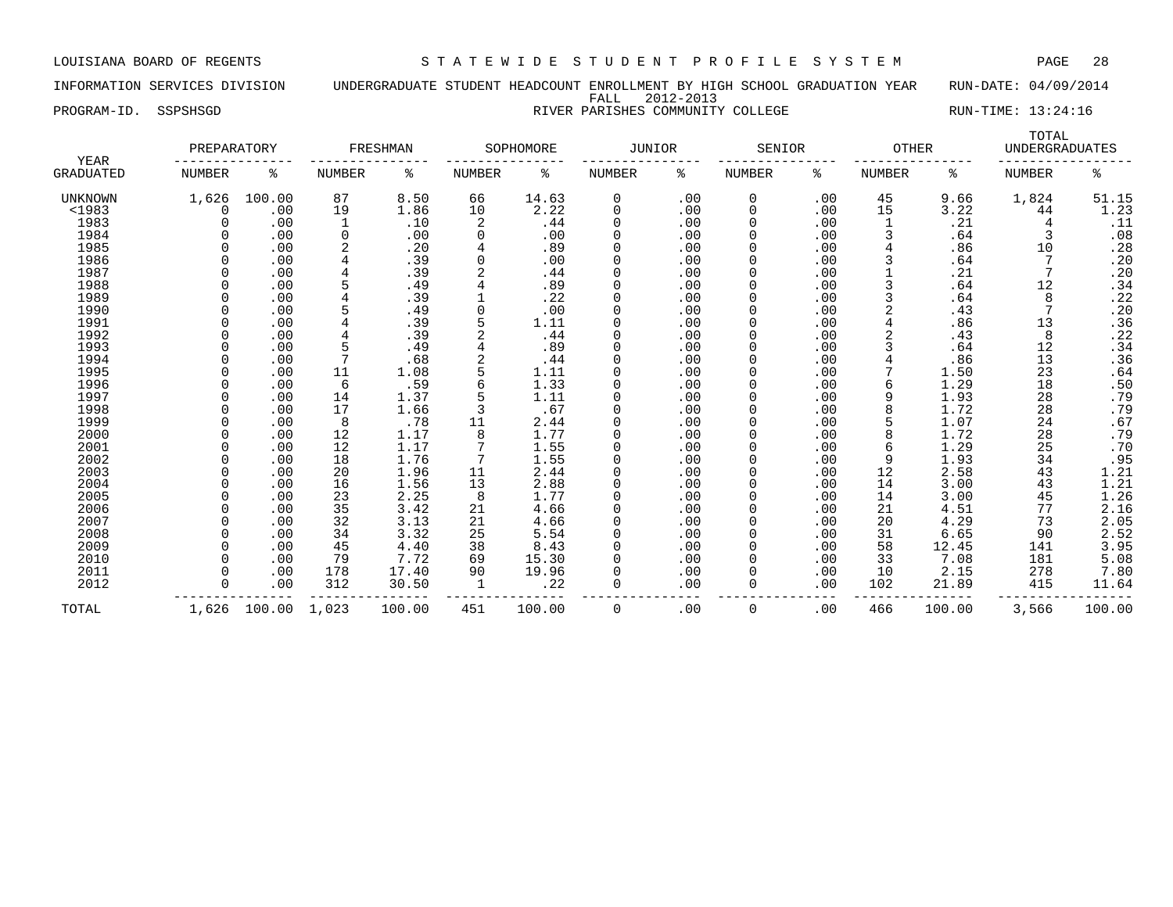INFORMATION SERVICES DIVISION UNDERGRADUATE STUDENT HEADCOUNT ENROLLMENT BY HIGH SCHOOL GRADUATION YEAR RUN-DATE: 04/09/2014 FALL 2012-2013 PROGRAM-ID. SSPSHSGD **RIVER PARISHES COMMUNITY COLLEGE** RUN-TIME: 13:24:16

|                          | PREPARATORY |        |        | FRESHMAN |        | SOPHOMORE | JUNIOR |     | SENIOR |     | OTHER  |      | TOTAL<br><b>UNDERGRADUATES</b> |        |
|--------------------------|-------------|--------|--------|----------|--------|-----------|--------|-----|--------|-----|--------|------|--------------------------------|--------|
| <b>YEAR</b><br>GRADUATED | NUMBER      |        | NUMBER | ⋇        | NUMBER | ⋇         | NUMBER | °   | NUMBER |     | NUMBER | °≈   | NUMBER                         |        |
| UNKNOWN                  | 1,626       | 100.00 | 87     | 8.50     | 66     | 14.63     |        | .00 |        | .00 | 45     | 9.66 | 1,824                          | 51.15  |
| $<$ 1983                 |             | .00    | 19     | ⊥.86     | 10     | 2.22      |        | .00 |        | .00 | 15     | 3.22 | 44                             | . . 23 |
| 1983                     |             | .00    |        | .10      |        | . 44      |        | .00 |        | .00 |        | . 21 |                                | .⊥⊥    |
| 1984                     |             | .00    |        | .00      |        | .00       |        | .00 |        | .00 |        | .64  |                                | .08    |
| 1985                     |             | .00    |        | .20      |        | .89       |        | .00 |        | .00 |        | .86  | 10                             | . 28   |
| 1986                     |             | .00    |        | .39      |        | .00       |        | .00 |        | .00 |        | .64  |                                | . 20   |
| 1987                     |             | .00    |        | .39      |        | . 44      |        | .00 |        | .00 |        | .21  |                                | . 20   |

| <1983 |       | . 00   | エソ             | 1.86   | ΤO       | 2.22   |   | . 00 |          | .00 | ᆚ   | 3.22   | 44    | 1.23   |
|-------|-------|--------|----------------|--------|----------|--------|---|------|----------|-----|-----|--------|-------|--------|
| 1983  |       | .00    |                | .10    | 2        | .44    |   | .00  |          | .00 |     | .21    | 4     | .11    |
| 1984  |       | .00    | 0              | .00    | $\Omega$ | .00    |   | .00  |          | .00 |     | .64    |       | .08    |
| 1985  |       | .00    |                | .20    |          | .89    |   | .00  |          | .00 |     | .86    | 10    | .28    |
| 1986  |       | .00    |                | .39    |          | .00    |   | .00  |          | .00 |     | .64    |       | .20    |
| 1987  |       | .00    |                | .39    |          | .44    |   | .00  |          | .00 |     | .21    |       | .20    |
| 1988  |       | .00    |                | .49    |          | .89    |   | .00  |          | .00 |     | .64    | 12    | .34    |
| 1989  |       | .00    |                | .39    |          | .22    |   | .00  |          | .00 |     | .64    |       | .22    |
| 1990  |       | .00    |                | .49    |          | .00    |   | .00  |          | .00 |     | .43    |       | .20    |
| 1991  |       | .00    |                | .39    | 5        | 1.11   |   | .00  |          | .00 |     | .86    | 13    | .36    |
| 1992  |       | .00    |                | .39    |          | .44    |   | .00  |          | .00 |     | .43    | 8     | .22    |
| 1993  |       | .00    |                | .49    |          | .89    |   | .00  |          | .00 |     | .64    | 12    | .34    |
| 1994  |       | .00    | $\overline{7}$ | .68    |          | .44    |   | .00  |          | .00 |     | .86    | 13    | .36    |
| 1995  |       | .00    | 11             | 1.08   |          | 1.11   |   | .00  |          | .00 |     | 1.50   | 23    | .64    |
| 1996  |       | .00    | 6              | .59    |          | 1.33   |   | .00  |          | .00 |     | 1.29   | 18    | .50    |
| 1997  |       | .00    | 14             | 1.37   |          | 1.11   |   | .00  |          | .00 |     | 1.93   | 28    | .79    |
| 1998  |       | .00    | 17             | 1.66   |          | .67    |   | .00  |          | .00 |     | 1.72   | 28    | .79    |
| 1999  |       | .00    | 8              | .78    | 11       | 2.44   |   | .00  |          | .00 |     | 1.07   | 24    | .67    |
| 2000  |       | .00    | 12             | 1.17   | 8        | 1.77   |   | .00  |          | .00 |     | 1.72   | 28    | .79    |
| 2001  |       | .00    | 12             | 1.17   |          | 1.55   |   | .00  |          | .00 |     | 1.29   | 25    | .70    |
| 2002  |       | .00    | 18             | 1.76   |          | 1.55   |   | .00  |          | .00 |     | 1.93   | 34    | .95    |
| 2003  |       | .00    | 20             | 1.96   | 11       | 2.44   |   | .00  |          | .00 | 12  | 2.58   | 43    | 1.21   |
| 2004  |       | .00    | 16             | 1.56   | 13       | 2.88   |   | .00  |          | .00 | 14  | 3.00   | 43    | 1.21   |
| 2005  |       | .00    | 23             | 2.25   | 8        | 1.77   |   | .00  |          | .00 | 14  | 3.00   | 45    | 1.26   |
| 2006  |       | .00    | 35             | 3.42   | 21       | 4.66   |   | .00  |          | .00 | 21  | 4.51   | 77    | 2.16   |
| 2007  |       | .00    | 32             | 3.13   | 21       | 4.66   |   | .00  |          | .00 | 20  | 4.29   | 73    | 2.05   |
| 2008  |       | .00    | 34             | 3.32   | 25       | 5.54   |   | .00  |          | .00 | 31  | 6.65   | 90    | 2.52   |
| 2009  |       | .00    | 45             | 4.40   | 38       | 8.43   |   | .00  |          | .00 | 58  | 12.45  | 141   | 3.95   |
| 2010  |       | .00    | 79             | 7.72   | 69       | 15.30  |   | .00  |          | .00 | 33  | 7.08   | 181   | 5.08   |
| 2011  |       | .00    | 178            | 17.40  | 90       | 19.96  |   | .00  |          | .00 | 10  | 2.15   | 278   | 7.80   |
| 2012  |       | .00    | 312            | 30.50  |          | .22    |   | .00  | $\Omega$ | .00 | 102 | 21.89  | 415   | 11.64  |
| TOTAL | 1,626 | 100.00 | 1,023          | 100.00 | 451      | 100.00 | 0 | .00  | 0        | .00 | 466 | 100.00 | 3,566 | 100.00 |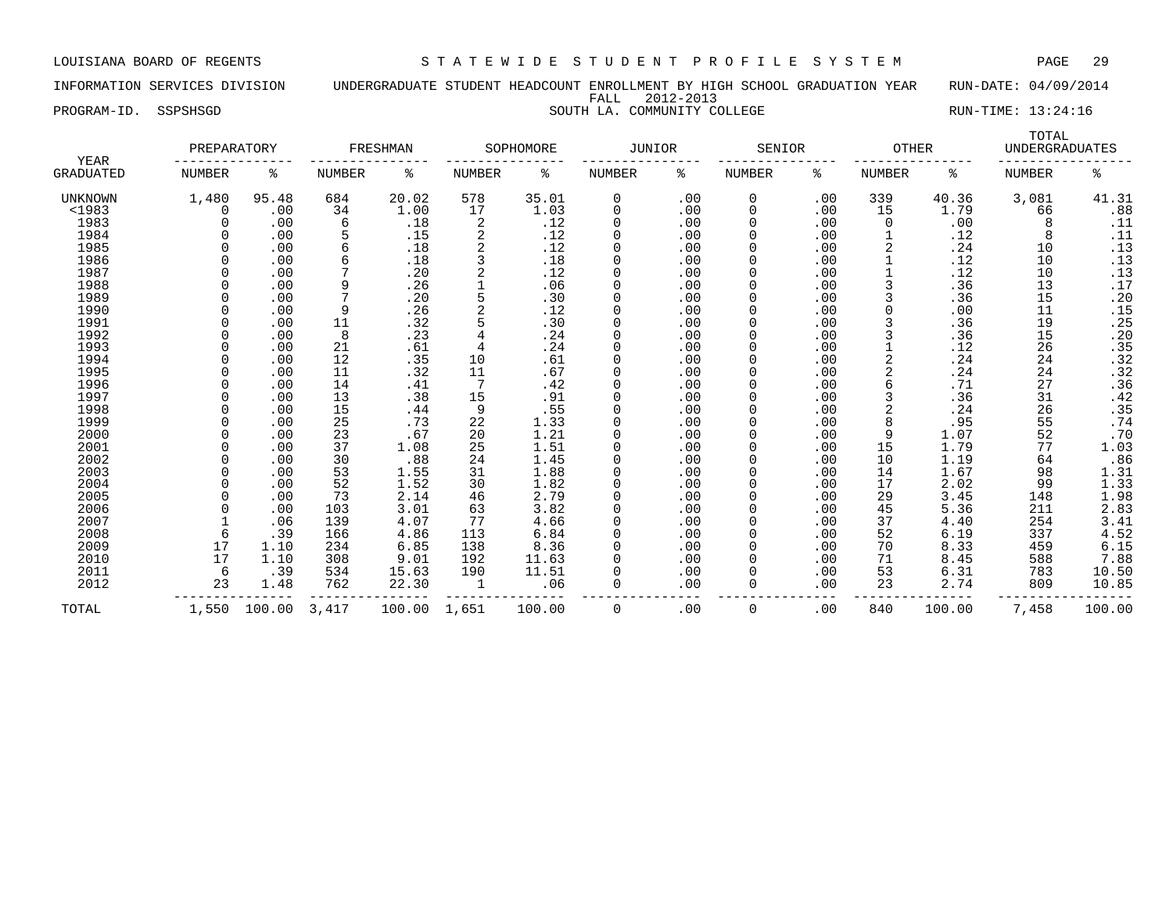INFORMATION SERVICES DIVISION UNDERGRADUATE STUDENT HEADCOUNT ENROLLMENT BY HIGH SCHOOL GRADUATION YEAR RUN-DATE: 04/09/2014 FALL 2012-2013

## PROGRAM-ID. SSPSHSGD SOUTH LA. COMMUNITY COLLEGE RUN-TIME: 13:24:16

| YEAR             | PREPARATORY |        |               | FRESHMAN |        | SOPHOMORE | <b>JUNIOR</b> |     | SENIOR        |     | <b>OTHER</b>   |        | TOTAL<br><b>UNDERGRADUATES</b> |                  |
|------------------|-------------|--------|---------------|----------|--------|-----------|---------------|-----|---------------|-----|----------------|--------|--------------------------------|------------------|
| <b>GRADUATED</b> | NUMBER      | ႜ      | <b>NUMBER</b> | ႜ        | NUMBER | ႜ         | NUMBER        | ႜ   | <b>NUMBER</b> | ႜ   | NUMBER         | ႜ      | <b>NUMBER</b>                  | ႜ                |
| <b>UNKNOWN</b>   | 1,480       | 95.48  | 684           | 20.02    | 578    | 35.01     | 0             | .00 | 0             | .00 | 339            | 40.36  | 3,081                          | 41.31            |
| <1983            | Ω           | .00    | 34            | 1.00     | 17     | 1.03      | $\Omega$      | .00 | $\Omega$      | .00 | 15             | 1.79   | 66                             | .88              |
| 1983             |             | .00    | 6             | .18      | 2      | .12       | $\Omega$      | .00 | $\Omega$      | .00 | $\Omega$       | .00    | 8                              | .11              |
| 1984             |             | .00    |               | .15      |        | .12       | $\Omega$      | .00 | $\Omega$      | .00 |                | .12    | 8                              | .11              |
| 1985             |             | .00    |               | .18      | 2      | .12       | 0             | .00 | 0             | .00 | 2              | .24    | 10                             | .13              |
| 1986             |             | .00    |               | .18      |        | .18       | 0             | .00 | $\Omega$      | .00 |                | .12    | 10                             | .13              |
| 1987             |             | .00    |               | .20      |        | .12       | 0             | .00 | 0             | .00 |                | .12    | 10                             | .13              |
| 1988             |             | .00    |               | .26      |        | .06       | 0             | .00 | 0             | .00 |                | .36    | 13                             | .17              |
| 1989             |             | .00    |               | .20      |        | .30       | $\Omega$      | .00 | $\Omega$      | .00 |                | .36    | 15                             | .20              |
| 1990             |             | .00    | 9             | .26      |        | .12       | 0             | .00 | $\Omega$      | .00 |                | .00    | 11                             | .15              |
| 1991             |             | .00    | 11            | .32      |        | .30       |               | .00 | $\Omega$      | .00 | 3              | .36    | 19                             | .25              |
| 1992             |             | .00    | 8             | .23      |        | .24       | $\cap$        | .00 | $\Omega$      | .00 |                | .36    | 15                             | .20              |
| 1993             |             | .00    | 21            | .61      |        | .24       | $\Omega$      | .00 | $\Omega$      | .00 |                | .12    | 26                             | .35              |
| 1994             |             | .00    | 12            | .35      | 10     | .61       | $\Omega$      | .00 | 0             | .00 | 2              | .24    | 24                             | .32              |
| 1995             |             | .00    | 11            | .32      | 11     | .67       | $\Omega$      | .00 | $\Omega$      | .00 | 2              | .24    | 24                             | .32              |
| 1996             |             | .00    | 14            | .41      | -7     | .42       | $\Omega$      | .00 | O             | .00 | 6              | .71    | 27                             | .36              |
| 1997             |             | .00    | 13            | .38      | 15     | .91       | $\Omega$      | .00 | $\Omega$      | .00 | 3              | .36    | 31                             | .42              |
| 1998             |             | .00    | 15            | .44      | 9      | .55       | $\Omega$      | .00 | 0             | .00 | $\overline{a}$ | .24    | 26                             | $.35$<br>.74     |
| 1999             |             | .00    | 25            | .73      | 22     | 1.33      | $\Omega$      | .00 | $\Omega$      | .00 | 8              | .95    | 55                             |                  |
| 2000             |             | .00    | 23            | .67      | 20     | 1.21      | 0             | .00 | 0             | .00 | 9              | 1.07   | 52                             | .70              |
| 2001             |             | .00    | 37            | 1.08     | 25     | 1.51      | 0             | .00 | $\Omega$      | .00 | 15             | 1.79   | 77                             | 1.03             |
| 2002             |             | .00    | 30            | .88      | 24     | 1.45      | 0             | .00 | $\Omega$      | .00 | 10             | 1.19   | 64                             | .86              |
| 2003             |             | .00    | 53            | 1.55     | 31     | 1.88      | 0             | .00 | $\Omega$      | .00 | 14             | 1.67   | 98                             |                  |
| 2004             |             | .00    | 52            | 1.52     | 30     | 1.82      | 0             | .00 | $\Omega$      | .00 | 17             | 2.02   | 99                             | $1.31$<br>$1.33$ |
| 2005             |             | .00    | 73            | 2.14     | 46     | 2.79      | 0             | .00 | 0             | .00 | 29             | 3.45   | 148                            | 1.98             |
| 2006             |             | .00    | 103           | 3.01     | 63     | 3.82      |               | .00 | $\Omega$      | .00 | 45             | 5.36   | 211                            | 2.83             |
| 2007             |             | .06    | 139           | 4.07     | 77     | 4.66      | $\Omega$      | .00 | 0             | .00 | 37             | 4.40   | 254                            | 3.41             |
| 2008             | 6           | .39    | 166           | 4.86     | 113    | 6.84      | $\Omega$      | .00 | $\Omega$      | .00 | 52             | 6.19   | 337                            | 4.52             |
| 2009             | 17          | 1.10   | 234           | 6.85     | 138    | 8.36      | $\Omega$      | .00 | O             | .00 | 70             | 8.33   | 459                            | 6.15             |
| 2010             | 17          | 1.10   | 308           | 9.01     | 192    | 11.63     | $\Omega$      | .00 | O             | .00 | 71             | 8.45   | 588                            | 7.88             |
| 2011             | 6           | .39    | 534           | 15.63    | 190    | 11.51     | O             | .00 |               | .00 | 53             | 6.31   | 783                            | 10.50            |
| 2012             | 23          | 1.48   | 762           | 22.30    | -1     | .06       | $\Omega$      | .00 | $\Omega$      | .00 | 23             | 2.74   | 809                            | 10.85            |
| TOTAL            | 1,550       | 100.00 | 3,417         | 100.00   | 1,651  | 100.00    | 0             | .00 | $\Omega$      | .00 | 840            | 100.00 | 7,458                          | 100.00           |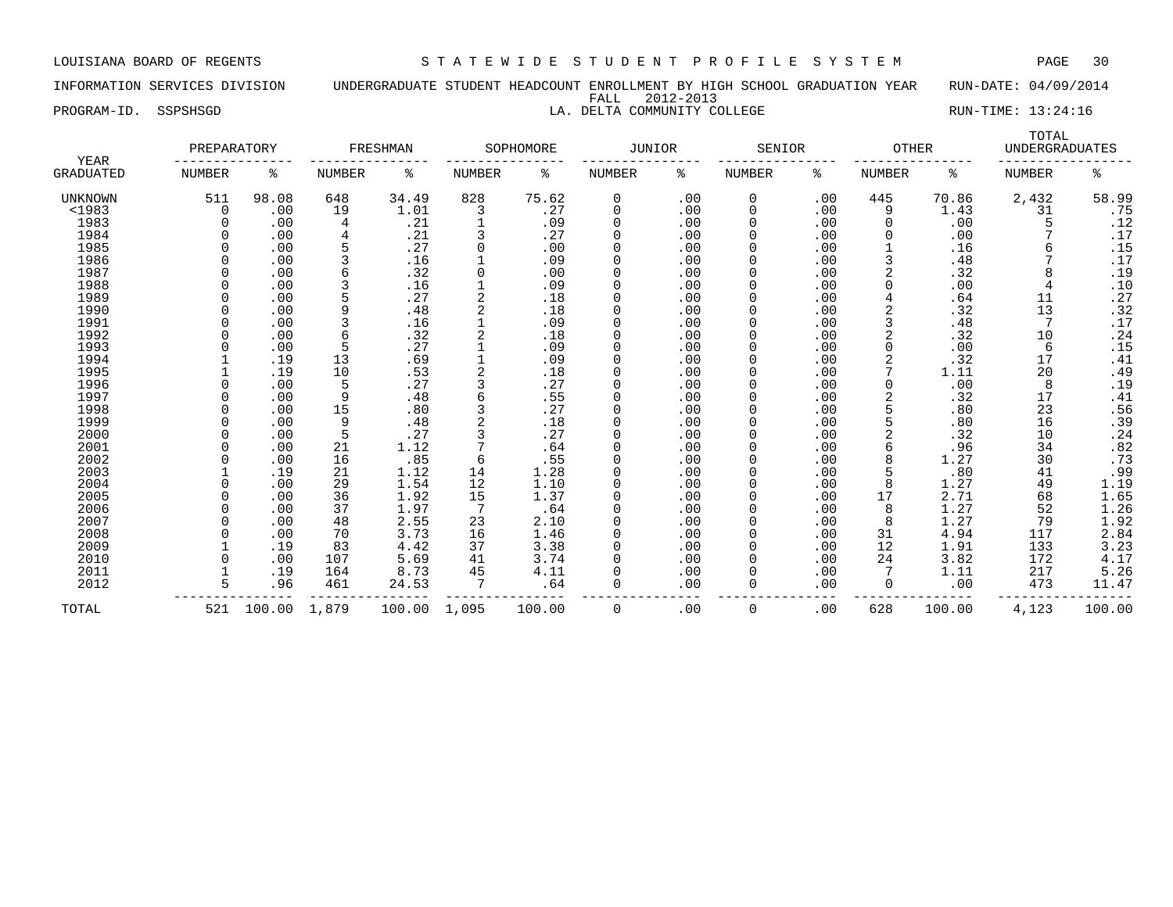LOUISIANA BOARD OF REGENTS S T A T E W I D E S T U D E N T P R O F I L E S Y S T E M PAGE 30

INFORMATION SERVICES DIVISION UNDERGRADUATE STUDENT HEADCOUNT ENROLLMENT BY HIGH SCHOOL GRADUATION YEAR RUN-DATE: 04/09/2014 FALL 2012-2013

TOTAL

PROGRAM-ID. SSPSHSGD LA. DELTA COMMUNITY COLLEGE RUN-TIME: 13:24:16

| <b>YEAR</b>    | PREPARATORY |       |        | FRESHMAN |        | SOPHOMORE | JUNIOR |     | SENIOR      |     | OTHER        |       | <b>UNDERGRADUATES</b> |                |
|----------------|-------------|-------|--------|----------|--------|-----------|--------|-----|-------------|-----|--------------|-------|-----------------------|----------------|
| GRADUATED      | NUMBER      | ႜ     | NUMBER | ႜ        | NUMBER | ႜ         | NUMBER | ႜ   | NUMBER      | ႜ   | NUMBER       | ႜ     | NUMBER                | ి              |
| <b>UNKNOWN</b> | 511         | 98.08 | 648    | 34.49    | 828    | 75.62     | 0      | .00 | 0           | .00 | 445          | 70.86 | 2,432                 | 58.99          |
| $1983$         | 0           | .00   | 19     | 1.01     | 3      | .27       |        | .00 | $\mathbf 0$ | .00 | 9            | 1.43  | 31                    | .75            |
| 1983           |             | .00   | 4      | .21      |        | .09       |        | .00 | $\Omega$    | .00 | 0            | .00   |                       | .12            |
| 1984           |             | .00   |        | .21      |        | .27       |        | .00 |             | .00 |              | .00   |                       | .17            |
| 1985           |             | .00   |        | .27      |        | .00       |        | .00 | 0           | .00 |              | .16   |                       | .15            |
| 1986           |             | .00   |        | .16      |        | .09       |        | .00 | $\Omega$    | .00 |              | .48   |                       | .17            |
| 1987           |             | .00   | 6      | .32      | O      | .00       |        | .00 | $\Omega$    | .00 |              | .32   | 8                     | .19            |
| 1988           |             | .00   |        | .16      |        | .09       |        | .00 | $\Omega$    | .00 | <sup>0</sup> | .00   | 4                     | .10            |
| 1989           |             | .00   |        | .27      |        | .18       |        | .00 |             | .00 |              | .64   | 11                    | .27            |
| 1990           |             | .00   | 9      | .48      |        | .18       |        | .00 | 0           | .00 |              | .32   | 13                    | .32            |
| 1991           |             | .00   |        | .16      |        | .09       |        | .00 | $\Omega$    | .00 |              | .48   |                       | .17            |
| 1992           |             | .00   | 6      | .32      |        | .18       |        | .00 | $\Omega$    | .00 |              | .32   | 10                    | .24            |
| 1993           |             | .00   |        | .27      |        | .09       |        | .00 | O           | .00 | $\Omega$     | .00   | 6                     | .15            |
| 1994           |             | .19   | 13     | .69      |        | .09       |        | .00 |             | .00 |              | .32   | 17                    | .41            |
| 1995           |             | .19   | 10     | .53      |        | .18       |        | .00 | O           | .00 |              | 1.11  | 20                    | .49            |
| 1996           |             | .00   | 5      | .27      |        | .27       |        | .00 | 0           | .00 | 0            | .00   | 8                     | .19            |
| 1997           |             | .00   | 9      | .48      | 6      | .55       |        | .00 | $\Omega$    | .00 | 2            | .32   | 17                    | .41            |
| 1998           |             | .00   | 15     | .80      |        | .27       |        | .00 | $\Omega$    | .00 |              | .80   | 23                    | $.56$<br>$.39$ |
| 1999           |             | .00   | 9      | .48      |        | .18       |        | .00 |             | .00 |              | .80   | 16                    |                |
| 2000           |             | .00   |        | .27      |        | .27       |        | .00 | $\Omega$    | .00 |              | .32   | 10                    | .24            |
| 2001           |             | .00   | 21     | 1.12     |        | .64       |        | .00 | 0           | .00 | 6            | .96   | 34                    | .82            |
| 2002           |             | .00   | 16     | .85      | 6      | .55       |        | .00 | 0           | .00 | 8            | 1.27  | 30                    | .73            |
| 2003           |             | .19   | 21     | 1.12     | 14     | 1.28      |        | .00 | O           | .00 |              | .80   | 41                    | .99            |
| 2004           |             | .00   | 29     | 1.54     | 12     | 1.10      |        | .00 |             | .00 | 8            | 1.27  | 49                    | 1.19           |
| 2005           |             | .00   | 36     | 1.92     | 15     | 1.37      |        | .00 | O           | .00 | 17           | 2.71  | 68                    | 1.65           |
| 2006           |             | .00   | 37     | 1.97     |        | .64       |        | .00 | 0           | .00 | 8            | 1.27  | 52                    | 1.26           |
| 2007           |             | .00   | 48     | 2.55     | 23     | 2.10      |        | .00 | $\Omega$    | .00 | 8            | 1.27  | 79                    | 1.92           |
| 2008           |             | .00   | 70     | 3.73     | 16     | 1.46      |        | .00 | O           | .00 | 31           | 4.94  | 117                   | 2.84           |
| 2009           |             | .19   | 83     | 4.42     | 37     | 3.38      |        | .00 |             | .00 | 12           | 1.91  | 133                   | 3.23           |
| 2010           | $\Omega$    | .00   | 107    | 5.69     | 41     | 3.74      |        | .00 |             | .00 | 24           | 3.82  | 172                   | 4.17           |

 2011 1 .19 164 8.73 45 4.11 0 .00 0 .00 7 1.11 217 5.26  $2012$   $\overline{5}$   $\overline{96}$   $461$   $24.53$   $\overline{7}$   $\overline{64}$   $\overline{0}$   $\overline{00}$   $\overline{0}$   $\overline{00}$   $\overline{0}$   $\overline{00}$   $\overline{473}$   $11.47$ 

TOTAL 521 100.00 1,879 100.00 1,095 100.00 0 .00 0 .00 628 100.00 4,123 100.00

--------------- --------------- --------------- --------------- --------------- --------------- -----------------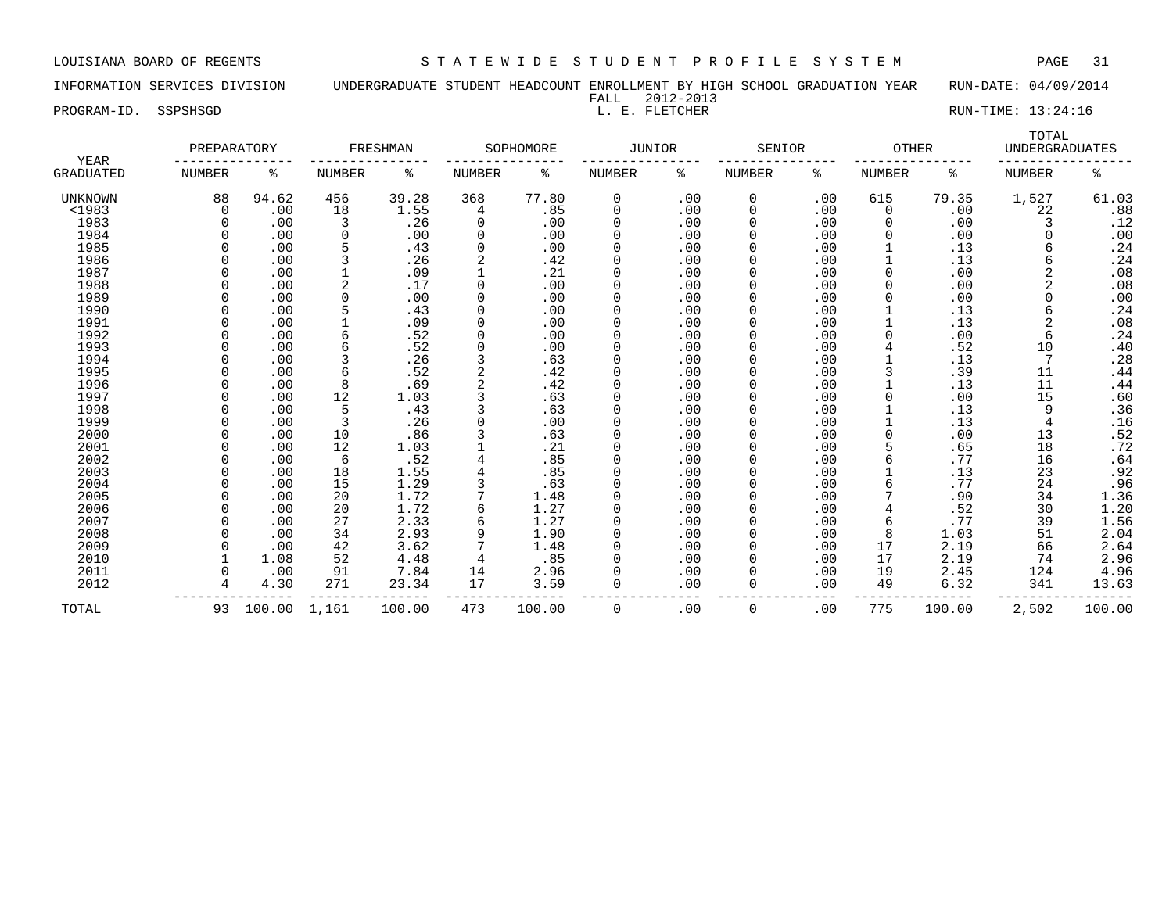INFORMATION SERVICES DIVISION UNDERGRADUATE STUDENT HEADCOUNT ENROLLMENT BY HIGH SCHOOL GRADUATION YEAR RUN-DATE: 04/09/2014 FALL 2012-2013<br>L. E. FLETCHER

PROGRAM-ID. SSPSHSGD L. E. FLETCHER RUN-TIME: 13:24:16

| YEAR             | PREPARATORY   |        |               | FRESHMAN |               | SOPHOMORE | <b>JUNIOR</b> |     | SENIOR        |     | <b>OTHER</b>  |        | TOTAL<br><b>UNDERGRADUATES</b> |        |
|------------------|---------------|--------|---------------|----------|---------------|-----------|---------------|-----|---------------|-----|---------------|--------|--------------------------------|--------|
| <b>GRADUATED</b> | <b>NUMBER</b> | ႜ      | <b>NUMBER</b> | နွ       | <b>NUMBER</b> | ి         | NUMBER        | နွ  | <b>NUMBER</b> | ႜ   | <b>NUMBER</b> | ႜ      | <b>NUMBER</b>                  | ە<br>ج |
| UNKNOWN          | 88            | 94.62  | 456           | 39.28    | 368           | 77.80     | 0             | .00 | 0             | .00 | 615           | 79.35  | 1,527                          | 61.03  |
| $<$ 1983         | $\Omega$      | .00    | 18            | 1.55     | 4             | .85       | 0             | .00 | 0             | .00 | $\Omega$      | .00    | 22                             | .88    |
| 1983             | $\Omega$      | .00    | 3             | .26      | 0             | .00       | 0             | .00 | 0             | .00 |               | .00    | 3                              | .12    |
| 1984             |               | .00    | $\Omega$      | .00      | 0             | .00       | 0             | .00 | 0             | .00 |               | .00    | O                              | .00    |
| 1985             |               | .00    |               | .43      | $\Omega$      | .00       |               | .00 | 0             | .00 |               | .13    | 6                              | .24    |
| 1986             |               | .00    |               | .26      |               | .42       |               | .00 |               | .00 |               | .13    | 6                              | .24    |
| 1987             |               | .00    |               | .09      |               | .21       | 0             | .00 | O             | .00 |               | .00    | 2                              | .08    |
| 1988             |               | .00    | 2             | .17      | $\Omega$      | .00       | 0             | .00 | 0             | .00 |               | .00    | $\overline{2}$                 | .08    |
| 1989             |               | .00    | n             | .00      | $\Omega$      | .00       | 0             | .00 | 0             | .00 |               | .00    | 0                              | .00    |
| 1990             |               | .00    |               | .43      | $\Omega$      | .00       | 0             | .00 | 0             | .00 |               | .13    | 6                              | .24    |
| 1991             |               | .00    |               | .09      | $\Omega$      | .00       | 0             | .00 |               | .00 |               | .13    | 2                              | .08    |
| 1992             |               | .00    |               | .52      | 0             | .00       | 0             | .00 |               | .00 |               | .00    | 6                              | .24    |
| 1993             |               | .00    |               | .52      | 0             | .00       | 0             | .00 | 0             | .00 |               | .52    | 10                             | .40    |
| 1994             |               | .00    |               | .26      |               | .63       | 0             | .00 | 0             | .00 |               | .13    | 7                              | .28    |
| 1995             |               | .00    |               | .52      |               | .42       | 0             | .00 | 0             | .00 |               | .39    | 11                             | .44    |
| 1996             |               | .00    |               | .69      |               | .42       | 0             | .00 | 0             | .00 |               | .13    | 11                             | .44    |
| 1997             |               | .00    | 12            | 1.03     |               | .63       | 0             | .00 |               | .00 |               | .00    | 15                             | .60    |
| 1998             |               | .00    |               | .43      |               | .63       | 0             | .00 |               | .00 |               | .13    | 9                              | .36    |
| 1999             |               | .00    | 3             | .26      | $\Omega$      | .00       | 0             | .00 | 0             | .00 |               | .13    | 4                              | .16    |
| 2000             |               | .00    | 10            | .86      |               | .63       | 0             | .00 | 0             | .00 |               | .00    | 13                             | .52    |
| 2001             |               | .00    | 12            | 1.03     |               | .21       | 0             | .00 | 0             | .00 |               | .65    | 18                             | .72    |
| 2002             |               | .00    | 6             | .52      |               | .85       | 0             | .00 | 0             | .00 |               | .77    | 16                             | .64    |
| 2003             |               | .00    | 18            | 1.55     |               | .85       | 0             | .00 |               | .00 |               | .13    | 23                             | .92    |
| 2004             |               | .00    | 15            | 1.29     |               | .63       | 0             | .00 | 0             | .00 |               | .77    | 24                             | .96    |
| 2005             |               | .00    | 20            | 1.72     |               | 1.48      | 0             | .00 | 0             | .00 |               | .90    | 34                             | 1.36   |
| 2006             |               | .00    | 20            | 1.72     | 6             | 1.27      | 0             | .00 | 0             | .00 |               | .52    | 30                             | 1.20   |
| 2007             |               | .00    | 27            | 2.33     | 6             | 1.27      | 0             | .00 | 0             | .00 |               | .77    | 39                             | 1.56   |
| 2008             |               | .00    | 34            | 2.93     | 9             | 1.90      |               | .00 | 0             | .00 |               | 1.03   | 51                             | 2.04   |
| 2009             |               | .00    | 42            | 3.62     |               | 1.48      | O             | .00 | 0             | .00 | 17            | 2.19   | 66                             | 2.64   |
| 2010             |               | 1.08   | 52            | 4.48     | 4             | .85       | 0             | .00 | 0             | .00 | 17            | 2.19   | 74                             | 2.96   |
| 2011             |               | .00    | 91            | 7.84     | 14            | 2.96      | 0             | .00 | 0             | .00 | 19            | 2.45   | 124                            | 4.96   |
| 2012             | 4             | 4.30   | 271           | 23.34    | 17            | 3.59      | 0             | .00 | 0             | .00 | 49            | 6.32   | 341                            | 13.63  |
| TOTAL            | 93            | 100.00 | 1,161         | 100.00   | 473           | 100.00    | 0             | .00 | 0             | .00 | 775           | 100.00 | 2,502                          | 100.00 |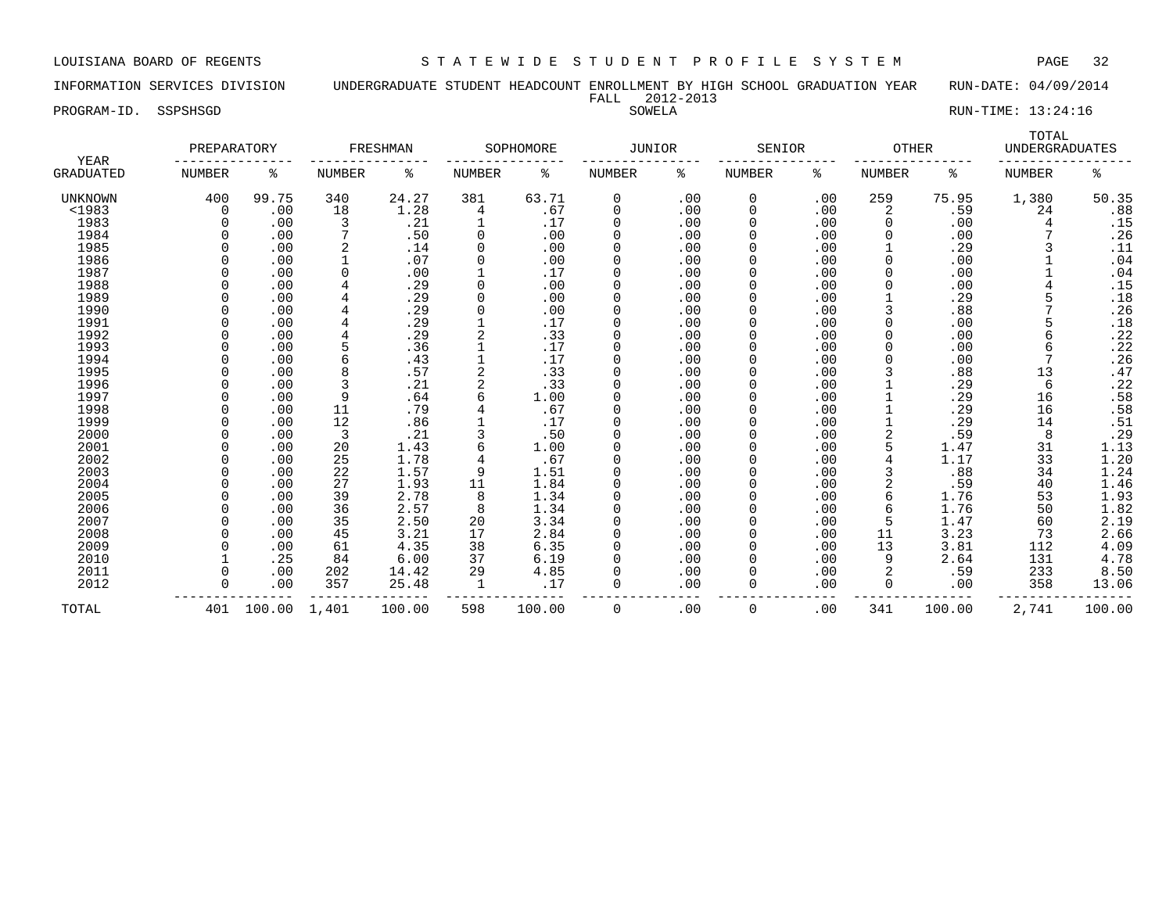INFORMATION SERVICES DIVISION UNDERGRADUATE STUDENT HEADCOUNT ENROLLMENT BY HIGH SCHOOL GRADUATION YEAR RUN-DATE: 04/09/2014 FALL 2012-2013

PROGRAM-ID. SSPSHSGD SOWELA RUN-TIME: 13:24:16

|                                 | PREPARATORY   |        |                | FRESHMAN |               | SOPHOMORE | <b>JUNIOR</b> |     | SENIOR        |     | <b>OTHER</b>  |        | TOTAL<br><b>UNDERGRADUATES</b> |        |
|---------------------------------|---------------|--------|----------------|----------|---------------|-----------|---------------|-----|---------------|-----|---------------|--------|--------------------------------|--------|
| <b>YEAR</b><br><b>GRADUATED</b> | <b>NUMBER</b> | ి      | <b>NUMBER</b>  | နွ       | <b>NUMBER</b> | ႜ         | NUMBER        | ႜ   | <b>NUMBER</b> | ి   | <b>NUMBER</b> | ႜ      | <b>NUMBER</b>                  | နွ     |
| UNKNOWN                         | 400           | 99.75  | 340            | 24.27    | 381           | 63.71     | 0             | .00 | 0             | .00 | 259           | 75.95  | 1,380                          | 50.35  |
| $1983$                          | $\Omega$      | .00    | 18             | 1.28     | 4             | .67       | 0             | .00 | 0             | .00 | 2             | .59    | 24                             | .88    |
| 1983                            |               | .00    | 3              | .21      |               | .17       | 0             | .00 | $\Omega$      | .00 |               | .00    | 4                              | .15    |
| 1984                            |               | .00    | 7              | .50      | 0             | .00       | 0             | .00 | $\Omega$      | .00 |               | .00    |                                | .26    |
| 1985                            |               | .00    |                | .14      | 0             | .00       | $\Omega$      | .00 | $\Omega$      | .00 |               | .29    |                                | .11    |
| 1986                            |               | .00    |                | .07      | 0             | .00       | $\Omega$      | .00 | $\Omega$      | .00 |               | .00    |                                | .04    |
| 1987                            |               | .00    | $\Omega$       | .00      |               | .17       | $\Omega$      | .00 |               | .00 | $\Omega$      | .00    |                                | .04    |
| 1988                            |               | .00    |                | .29      | 0             | .00       | $\mathbf 0$   | .00 |               | .00 |               | .00    |                                | .15    |
| 1989                            |               | .00    |                | .29      | $\Omega$      | .00       | $\mathbf 0$   | .00 |               | .00 |               | .29    |                                | .18    |
| 1990                            |               | .00    |                | .29      | $\Omega$      | .00       | $\Omega$      | .00 | $\Omega$      | .00 |               | .88    |                                | .26    |
| 1991                            |               | .00    | $\overline{4}$ | .29      |               | .17       | $\mathbf 0$   | .00 | 0             | .00 |               | .00    |                                | .18    |
| 1992                            |               | .00    | $\overline{4}$ | .29      | 2             | .33       | $\mathbf 0$   | .00 | 0             | .00 |               | .00    | 6                              | .22    |
| 1993                            |               | .00    |                | .36      |               | .17       | 0             | .00 |               | .00 |               | .00    |                                | .22    |
| 1994                            | 0             | .00    | 6              | .43      |               | .17       | $\mathbf 0$   | .00 |               | .00 |               | .00    |                                | .26    |
| 1995                            |               | .00    | 8              | .57      |               | .33       | 0             | .00 | $\Omega$      | .00 |               | .88    | 13                             | .47    |
| 1996                            |               | .00    | 3              | .21      |               | .33       | $\Omega$      | .00 | $\Omega$      | .00 |               | .29    | 6                              | .22    |
| 1997                            |               | .00    | 9              | .64      | 6             | 1.00      | $\Omega$      | .00 |               | .00 |               | .29    | 16                             | .58    |
| 1998                            |               | .00    | 11             | .79      |               | .67       | $\Omega$      | .00 |               | .00 |               | .29    | 16                             | .58    |
| 1999                            |               | .00    | 12             | .86      |               | .17       | $\Omega$      | .00 |               | .00 |               | .29    | 14                             | .51    |
| 2000                            |               | .00    | 3              | .21      |               | .50       | $\Omega$      | .00 |               | .00 |               | .59    | 8                              | .29    |
| 2001                            |               | .00    | 20             | 1.43     | 6             | 1.00      | $\mathbf 0$   | .00 |               | .00 |               | 1.47   | 31                             | 1.13   |
| 2002                            |               | .00    | 25             | 1.78     | 4             | .67       | 0             | .00 | 0             | .00 |               | 1.17   | 33                             | 1.20   |
| 2003                            |               | .00    | 22             | 1.57     | 9             | 1.51      | $\mathbf 0$   | .00 | 0             | .00 |               | .88    | 34                             | 1.24   |
| 2004                            |               | .00    | 27             | 1.93     | 11            | 1.84      | $\mathbf 0$   | .00 |               | .00 |               | .59    | 40                             | 1.46   |
| 2005                            |               | .00    | 39             | 2.78     | 8             | 1.34      | $\mathbf 0$   | .00 | 0             | .00 |               | 1.76   | 53                             | 1.93   |
| 2006                            |               | .00    | 36             | 2.57     | 8             | 1.34      | $\Omega$      | .00 | $\Omega$      | .00 | 6             | 1.76   | 50                             | 1.82   |
| 2007                            |               | .00    | 35             | 2.50     | 20            | 3.34      | $\Omega$      | .00 | 0             | .00 | 5             | 1.47   | 60                             | 2.19   |
| 2008                            |               | .00    | 45             | 3.21     | 17            | 2.84      | $\Omega$      | .00 |               | .00 | 11            | 3.23   | 73                             | 2.66   |
| 2009                            |               | .00    | 61             | 4.35     | 38            | 6.35      | $\Omega$      | .00 |               | .00 | 13            | 3.81   | 112                            | 4.09   |
| 2010                            |               | .25    | 84             | 6.00     | 37            | 6.19      | $\Omega$      | .00 | $\Omega$      | .00 | 9             | 2.64   | 131                            | 4.78   |
| 2011                            |               | .00    | 202            | 14.42    | 29            | 4.85      | $\Omega$      | .00 | $\Omega$      | .00 |               | .59    | 233                            | 8.50   |
| 2012                            | U             | .00    | 357            | 25.48    | 1             | .17       | $\Omega$      | .00 | 0             | .00 | $\Omega$      | .00    | 358                            | 13.06  |
| TOTAL                           | 401           | 100.00 | 1,401          | 100.00   | 598           | 100.00    | $\mathbf 0$   | .00 | 0             | .00 | 341           | 100.00 | 2,741                          | 100.00 |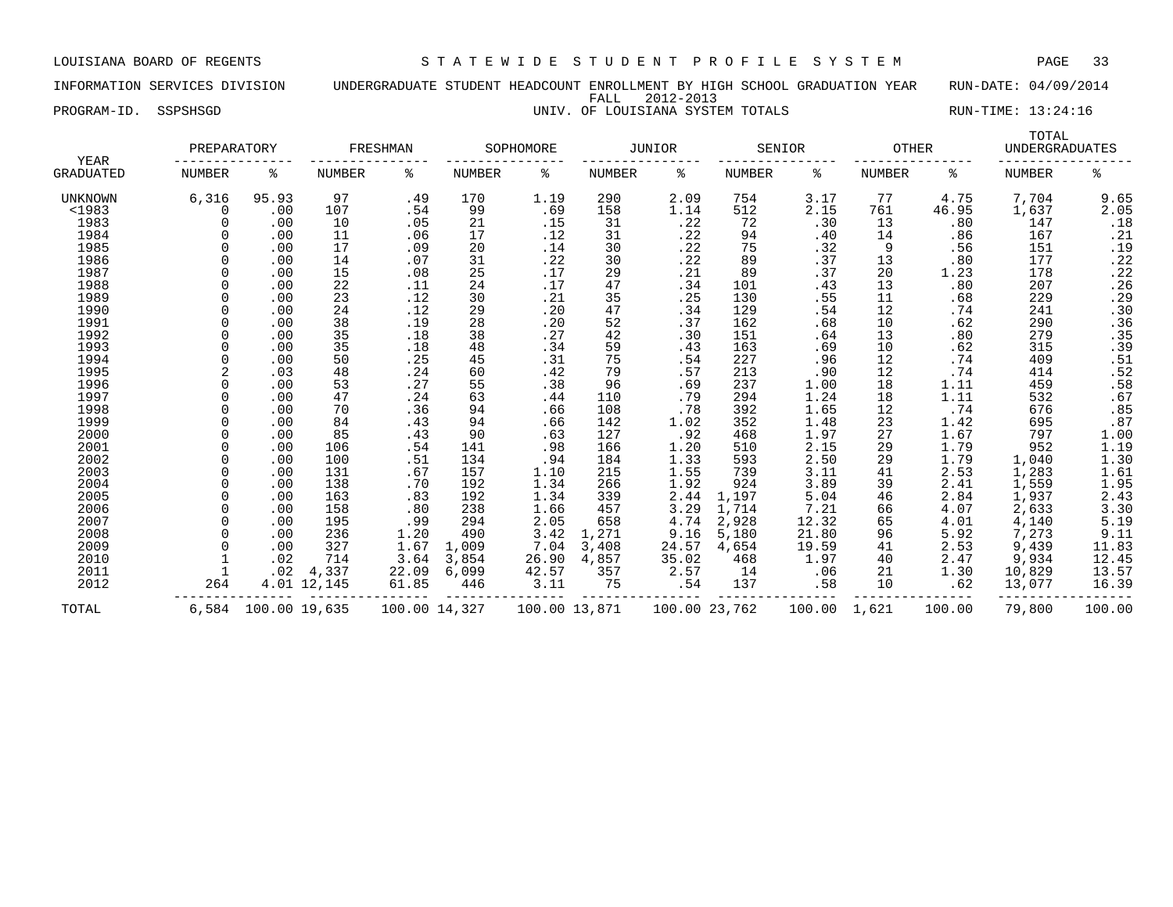INFORMATION SERVICES DIVISION UNDERGRADUATE STUDENT HEADCOUNT ENROLLMENT BY HIGH SCHOOL GRADUATION YEAR RUN-DATE: 04/09/2014 FALL 2012-2013 PROGRAM-ID. SSPSHSGD **EXECUTE:** 13:24:16 UNIV. OF LOUISIANA SYSTEM TOTALS RUN-TIME: 13:24:16

| YEAR             | PREPARATORY    |               |             | FRESHMAN      |        | SOPHOMORE     |        | JUNIOR |               | SENIOR | <b>OTHER</b>  |        | TOTAL<br><b>UNDERGRADUATES</b> |                                                          |
|------------------|----------------|---------------|-------------|---------------|--------|---------------|--------|--------|---------------|--------|---------------|--------|--------------------------------|----------------------------------------------------------|
| <b>GRADUATED</b> | <b>NUMBER</b>  | ႜ             | NUMBER      | ႜ             | NUMBER | ႜ             | NUMBER | ႜ      | <b>NUMBER</b> | ႜ      | <b>NUMBER</b> | ႜ      | <b>NUMBER</b>                  | ႜ                                                        |
| <b>UNKNOWN</b>   | 6,316          | 95.93         | 97          | .49           | 170    | 1.19          | 290    | 2.09   | 754           | 3.17   | 77            | 4.75   | 7,704                          | 9.65                                                     |
| $1983$           | <sup>0</sup>   | .00           | 107         | .54           | 99     | .69           | 158    | 1.14   | 512           | 2.15   | 761           | 46.95  | 1,637                          | 2.05                                                     |
| 1983             | <sup>n</sup>   | .00           | 10          | .05           | 21     | .15           | 31     | .22    | 72            | .30    | 13            | .80    | 147                            | .18                                                      |
| 1984             |                | .00           | 11          | .06           | 17     | .12           | 31     | .22    | 94            | .40    | 14            | .86    | 167                            | .21                                                      |
| 1985             |                | .00           | 17          | .09           | 20     | .14           | 30     | .22    | 75            | .32    | 9             | .56    | 151                            | .19                                                      |
| 1986             |                | .00           | 14          | .07           | 31     | .22           | 30     | .22    | 89            | .37    | 13            | .80    | 177                            |                                                          |
| 1987             | $\Omega$       | .00           | 15          | .08           | 25     | .17           | 29     | .21    | 89            | .37    | 20            | 1.23   | 178                            | $\frac{.22}{.22}$                                        |
| 1988             | $\Omega$       | .00           | 22          | .11           | 24     | .17           | 47     | .34    | 101           | .43    | 13            | .80    | 207                            | .26                                                      |
| 1989             | <sup>n</sup>   | .00           | 23          | .12           | 30     | .21           | 35     | .25    | 130           | .55    | 11            | .68    | 229                            | .29                                                      |
| 1990             |                | .00           | 24          | .12           | 29     | .20           | 47     | .34    | 129           | .54    | 12            | .74    | 241                            | .30                                                      |
| 1991             |                | .00           | 38          | .19           | 28     | .20           | 52     | .37    | 162           | .68    | 10            | .62    | 290                            | .36                                                      |
| 1992             |                | .00           | 35          | .18           | 38     | .27           | 42     | .30    | 151           | .64    | 13            | .80    | 279                            | .35                                                      |
| 1993             |                | .00           | 35          | .18           | 48     | .34           | 59     | .43    | 163           | .69    | 10            | .62    | 315                            | .39                                                      |
| 1994             |                | .00           | 50          | .25           | 45     | .31           | 75     | .54    | 227           | .96    | 12            | .74    | 409                            |                                                          |
| 1995             | $\overline{a}$ | .03           | 48          | .24           | 60     | .42           | 79     | .57    | 213           | .90    | 12            | .74    | 414                            |                                                          |
| 1996             | U              | .00           | 53          | .27           | 55     | .38           | 96     | .69    | 237           | 1.00   | 18            | 1.11   | 459                            | $.51$<br>$.52$<br>$.58$<br>$.67$                         |
| 1997             | <sup>n</sup>   | .00           | 47          | .24           | 63     | .44           | 110    | .79    | 294           | 1.24   | 18            | 1.11   | 532                            |                                                          |
| 1998             | <sup>n</sup>   | .00           | 70          | .36           | 94     | .66           | 108    | .78    | 392           | 1.65   | 12            | .74    | 676                            | $.85$<br>$.87$                                           |
| 1999             |                | .00           | 84          | .43           | 94     | .66           | 142    | 1.02   | 352           | 1.48   | 23            | 1.42   | 695                            |                                                          |
| 2000             |                | .00           | 85          | .43           | 90     | .63           | 127    | .92    | 468           | 1.97   | 27            | 1.67   | 797                            |                                                          |
| 2001             | $\Omega$       | .00           | 106         | .54           | 141    | .98           | 166    | 1.20   | 510           | 2.15   | 29            | 1.79   | 952                            | $1.00$<br>$1.19$<br>$1.30$<br>$1.61$<br>$1.95$<br>$2.43$ |
| 2002             | $\Omega$       | .00           | 100         | .51           | 134    | .94           | 184    | 1.33   | 593           | 2.50   | 29            | 1.79   | 1,040                          |                                                          |
| 2003             | $\Omega$       | .00           | 131         | .67           | 157    | 1.10          | 215    | 1.55   | 739           | 3.11   | 41            | 2.53   | 1,283                          |                                                          |
| 2004             | <sup>n</sup>   | .00           | 138         | .70           | 192    | 1.34          | 266    | 1.92   | 924           | 3.89   | 39            | 2.41   | 1,559                          |                                                          |
| 2005             |                | .00           | 163         | .83           | 192    | 1.34          | 339    | 2.44   | 1,197         | 5.04   | 46            | 2.84   | 1,937                          |                                                          |
| 2006             |                | .00           | 158         | .80           | 238    | 1.66          | 457    | 3.29   | 1,714         | 7.21   | 66            | 4.07   | 2,633                          | 3.30                                                     |
| 2007             |                | .00           | 195         | .99           | 294    | 2.05          | 658    | 4.74   | 2,928         | 12.32  | 65            | 4.01   | 4,140                          | 5.19                                                     |
| 2008             | $\Omega$       | .00           | 236         | 1.20          | 490    | 3.42          | 1,271  | 9.16   | 5,180         | 21.80  | 96            | 5.92   | 7,273                          | 9.11                                                     |
| 2009             |                | .00           | 327         | 1.67          | 1,009  | 7.04          | 3,408  | 24.57  | 4,654         | 19.59  | 41            | 2.53   | 9,439                          | 11.83                                                    |
| 2010             |                | .02           | 714         | 3.64          | 3,854  | 26.90         | 4,857  | 35.02  | 468           | 1.97   | 40            | 2.47   | 9,934                          | 12.45                                                    |
| 2011             |                | .02           | 4,337       | 22.09         | 6,099  | 42.57         | 357    | 2.57   | 14            | .06    | 21            | 1.30   | 10,829                         | 13.57                                                    |
| 2012             | 264            |               | 4.01 12,145 | 61.85         | 446    | 3.11          | 75     | .54    | 137           | .58    | 10            | .62    | 13,077                         | 16.39                                                    |
| TOTAL            | 6,584          | 100.00 19,635 |             | 100.00 14,327 |        | 100.00 13,871 |        |        | 100.00 23,762 | 100.00 | 1,621         | 100.00 | 79,800                         | 100.00                                                   |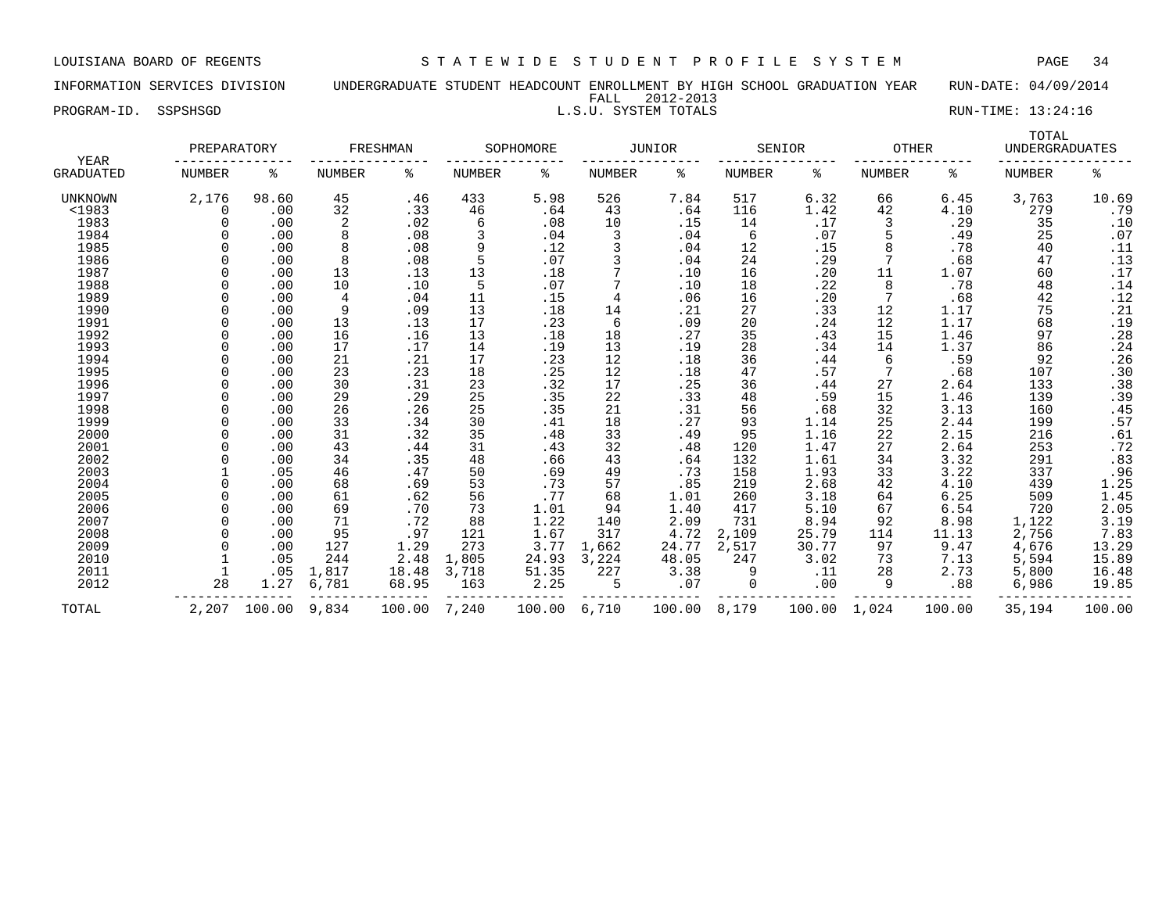INFORMATION SERVICES DIVISION UNDERGRADUATE STUDENT HEADCOUNT ENROLLMENT BY HIGH SCHOOL GRADUATION YEAR RUN-DATE: 04/09/2014 FALL 2012-2013 PROGRAM-ID. SSPSHSGD L.S.U. SYSTEM TOTALS RUN-TIME: 13:24:16

| <b>YEAR</b>      | PREPARATORY   |        |               | FRESHMAN |        | SOPHOMORE |        | <b>JUNIOR</b> |               | SENIOR | <b>OTHER</b>  |        | TOTAL<br><b>UNDERGRADUATES</b> |                       |
|------------------|---------------|--------|---------------|----------|--------|-----------|--------|---------------|---------------|--------|---------------|--------|--------------------------------|-----------------------|
| <b>GRADUATED</b> | <b>NUMBER</b> | ႜ      | <b>NUMBER</b> | ႜ        | NUMBER | ႜ         | NUMBER | ႜ             | <b>NUMBER</b> | ႜ      | <b>NUMBER</b> | ႜ      | <b>NUMBER</b>                  | နွ                    |
| UNKNOWN          | 2,176         | 98.60  | 45            | .46      | 433    | 5.98      | 526    | 7.84          | 517           | 6.32   | 66            | 6.45   | 3,763                          | 10.69                 |
| <1983            |               | .00    | 32            | .33      | 46     | .64       | 43     | .64           | 116           | 1.42   | 42            | 4.10   | 279                            | .79                   |
| 1983             |               | .00    | 2             | .02      | 6      | .08       | 10     | .15           | 14            | .17    | 3             | .29    | 35                             | .10                   |
| 1984             |               | .00    | 8             | .08      | 3      | .04       | 3      | .04           | 6             | .07    | 5             | .49    | 25                             | .07                   |
| 1985             |               | .00    | 8             | .08      | 9      | .12       |        | .04           | 12            | .15    |               | .78    | 40                             | .11                   |
| 1986             |               | .00    | 8             | .08      |        | .07       |        | .04           | 24            | .29    |               | .68    | 47                             | .13                   |
| 1987             |               | .00    | 13            | .13      | 13     | .18       |        | .10           | 16            | .20    | 11            | 1.07   | 60                             | .17                   |
| 1988             |               | .00    | 10            | .10      | 5      | .07       |        | .10           | 18            | .22    | 8             | .78    | 48                             | .14                   |
| 1989             |               | .00    | 4             | .04      | 11     | .15       | 4      | .06           | 16            | .20    |               | .68    | 42                             | .12                   |
| 1990             |               | .00    | 9             | .09      | 13     | .18       | 14     | .21           | 27            | .33    | 12            | 1.17   | 75                             | .21                   |
| 1991             |               | .00    | 13            | .13      | 17     | .23       | 6      | .09           | 20            | .24    | 12            | 1.17   | 68                             | .19                   |
| 1992             |               | .00    | 16            | .16      | 13     | .18       | 18     | .27           | 35            | .43    | 15            | 1.46   | 97                             | .28                   |
| 1993             |               | .00    | 17            | .17      | 14     | .19       | 13     | .19           | 28            | .34    | 14            | 1.37   | 86                             | .24                   |
| 1994             |               | .00    | 21            | .21      | 17     | . 23      | 12     | .18           | 36            | .44    | 6             | .59    | 92                             | .26                   |
| 1995             |               | .00    | 23            | .23      | 18     | .25       | 12     | .18           | 47            | .57    |               | .68    | 107                            | .30                   |
| 1996             |               | .00    | 30            | .31      | 23     | .32       | 17     | .25           | 36            | .44    | 27            | 2.64   | 133                            | .38                   |
| 1997             |               | .00    | 29            | .29      | 25     | .35       | 22     | .33           | 48            | .59    | 15            | 1.46   | 139                            | .39                   |
| 1998             |               | .00    | 26            | .26      | 25     | .35       | 21     | .31           | 56            | .68    | 32            | 3.13   | 160                            | .45                   |
| 1999             |               | .00    | 33            | .34      | 30     | .41       | 18     | .27           | 93            | 1.14   | 25            | 2.44   | 199                            | .57                   |
| 2000             |               | .00    | 31            | .32      | 35     | .48       | 33     | .49           | 95            | 1.16   | 22            | 2.15   | 216                            | .61                   |
| 2001             |               | .00    | 43            | .44      | 31     | .43       | 32     | .48           | 120           | 1.47   | 27            | 2.64   | 253                            |                       |
| 2002             |               | .00    | 34            | .35      | 48     | .66       | 43     | .64           | 132           | 1.61   | 34            | 3.32   | 291                            | $\frac{72}{83}$       |
| 2003             |               | .05    | 46            | .47      | 50     | .69       | 49     | .73           | 158           | 1.93   | 33            | 3.22   | 337                            |                       |
| 2004             |               | .00    | 68            | .69      | 53     | .73       | 57     | .85           | 219           | 2.68   | 42            | 4.10   | 439                            | $.96$<br>1.25<br>1.45 |
| 2005             |               | .00    | 61            | .62      | 56     | .77       | 68     | 1.01          | 260           | 3.18   | 64            | 6.25   | 509                            |                       |
| 2006             |               | .00    | 69            | .70      | 73     | 1.01      | 94     | 1.40          | 417           | 5.10   | 67            | 6.54   | 720                            | 2.05                  |
| 2007             |               | .00    | 71            | .72      | 88     | 1.22      | 140    | 2.09          | 731           | 8.94   | 92            | 8.98   | 1,122                          | 3.19                  |
| 2008             |               | .00    | 95            | .97      | 121    | 1.67      | 317    | 4.72          | 2,109         | 25.79  | 114           | 11.13  | 2,756                          | 7.83                  |
| 2009             |               | .00    | 127           | 1.29     | 273    | 3.77      | 1,662  | 24.77         | 2,517         | 30.77  | 97            | 9.47   | 4,676                          | 13.29                 |
| 2010             |               | .05    | 244           | 2.48     | 1,805  | 24.93     | 3,224  | 48.05         | 247           | 3.02   | 73            | 7.13   | 5,594                          | 15.89                 |
| 2011             |               | .05    | 1,817         | 18.48    | 3,718  | 51.35     | 227    | 3.38          | 9             | .11    | 28            | 2.73   | 5,800                          | 16.48                 |
| 2012             | 28            | 1.27   | 6,781         | 68.95    | 163    | 2.25      | 5      | .07           | 0             | .00    | 9             | .88    | 6,986                          | 19.85                 |
| TOTAL            | 2,207         | 100.00 | 9,834         | 100.00   | 7,240  | 100.00    | 6,710  | 100.00        | 8,179         | 100.00 | 1,024         | 100.00 | 35,194                         | 100.00                |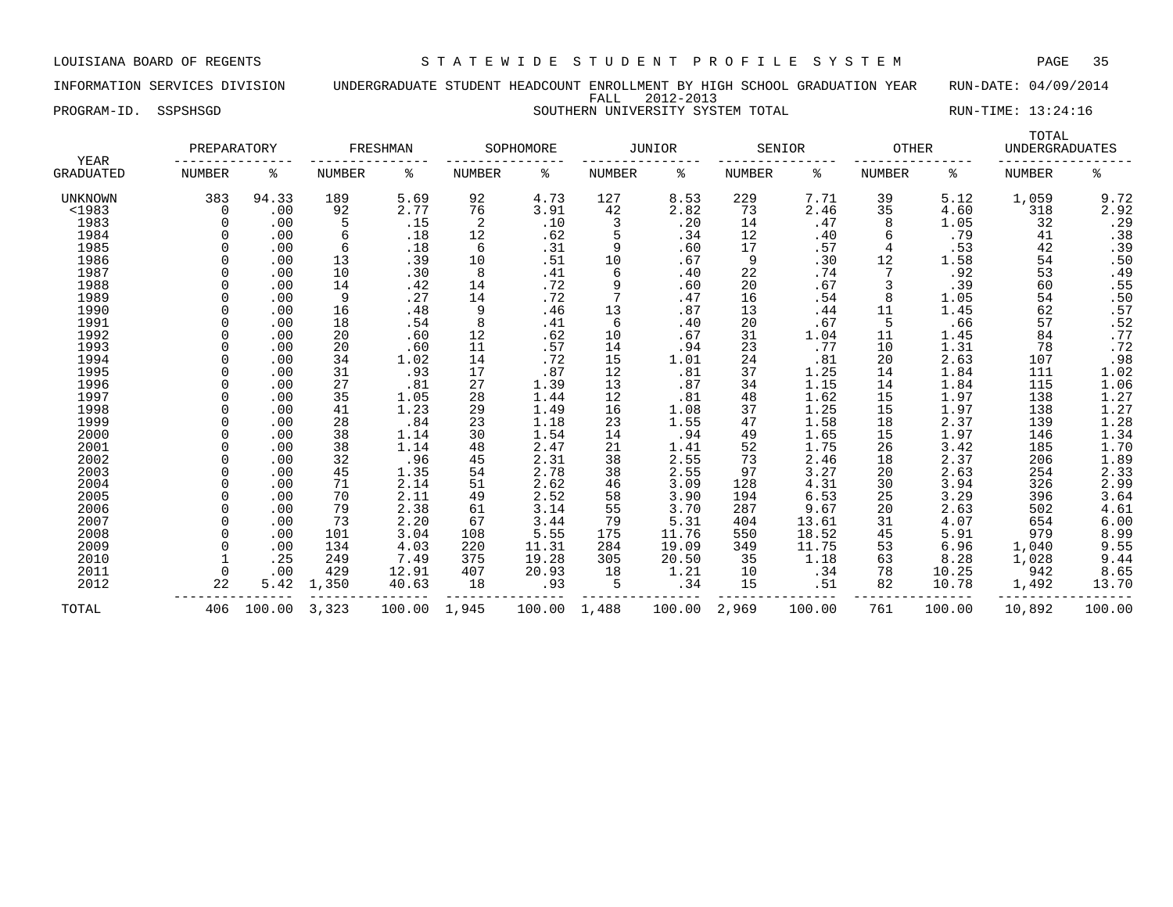INFORMATION SERVICES DIVISION UNDERGRADUATE STUDENT HEADCOUNT ENROLLMENT BY HIGH SCHOOL GRADUATION YEAR RUN-DATE: 04/09/2014 FALL 2012-2013 PROGRAM-ID. SSPSHSGD SOUTHERN UNIVERSITY SYSTEM TOTAL RUN-TIME: 13:24:16

|                          | PREPARATORY |        |               | FRESHMAN |               | SOPHOMORE |               | <b>JUNIOR</b> |               | SENIOR | <b>OTHER</b>  |        | TOTAL<br>UNDERGRADUATES |              |
|--------------------------|-------------|--------|---------------|----------|---------------|-----------|---------------|---------------|---------------|--------|---------------|--------|-------------------------|--------------|
| YEAR<br><b>GRADUATED</b> | NUMBER      | ి      | <b>NUMBER</b> | နွ       | <b>NUMBER</b> | ႜ         | <b>NUMBER</b> | နွ            | <b>NUMBER</b> | နွ     | <b>NUMBER</b> | ႜ      | <b>NUMBER</b>           | ి            |
| UNKNOWN                  | 383         | 94.33  | 189           | 5.69     | 92            | 4.73      | 127           | 8.53          | 229           | 7.71   | 39            | 5.12   | 1,059                   | 9.72         |
| <1983                    | 0           | .00    | 92            | 2.77     | 76            | 3.91      | 42            | 2.82          | 73            | 2.46   | 35            | 4.60   | 318                     | 2.92         |
| 1983                     |             | .00    | 5             | .15      | 2             | .10       | 3             | .20           | 14            | .47    | 8             | 1.05   | 32                      | .29          |
| 1984                     |             | .00    | 6             | .18      | 12            | .62       | 5             | .34           | 12            | .40    | 6             | .79    | 41                      | .38          |
| 1985                     |             | .00    | 6             | .18      | 6             | .31       | 9             | .60           | 17            | .57    | 4             | .53    | 42                      | .39          |
| 1986                     |             | .00    | 13            | .39      | 10            | .51       | 10            | .67           | 9             | .30    | 12            | 1.58   | 54                      | .50          |
| 1987                     |             | .00    | 10            | .30      | 8             | .41       | 6             | .40           | 22            | .74    |               | .92    | 53                      | .49          |
| 1988                     |             | .00    | 14            | .42      | 14            | .72       | 9             | .60           | 20            | .67    |               | .39    | 60                      | .55          |
| 1989                     | U           | .00    | 9             | .27      | 14            | .72       | 7             | .47           | 16            | .54    | 8             | 1.05   | 54                      | .50          |
| 1990                     | U           | .00    | 16            | .48      | 9             | .46       | 13            | .87           | 13            | .44    | 11            | 1.45   | 62                      | .57          |
| 1991                     | U           | .00    | 18            | .54      | 8             | .41       | 6             | .40           | 20            | .67    |               | .66    | 57                      | .52          |
| 1992                     |             | .00    | 20            | .60      | 12            | .62       | 10            | .67           | 31            | 1.04   | 11            | 1.45   | 84                      | .77          |
| 1993                     |             | .00    | 20            | .60      | 11            | .57       | 14            | .94           | 23            | .77    | 10            | 1.31   | 78                      | .72          |
| 1994                     |             | .00    | 34            | 1.02     | 14            | .72       | 15            | 1.01          | 24            | .81    | 20            | 2.63   | 107                     | .98          |
| 1995                     |             | .00    | 31            | .93      | 17            | .87       | 12            | .81           | 37            | 1.25   | 14            | 1.84   | 111                     | 1.02         |
| 1996                     |             | .00    | 27            | .81      | 27            | 1.39      | 13            | .87           | 34            | 1.15   | 14            | 1.84   | 115                     | 1.06         |
| 1997                     |             | .00    | 35            | 1.05     | 28            | 1.44      | 12            | .81           | 48            | 1.62   | 15            | 1.97   | 138                     | 1.27         |
| 1998                     |             | .00    | 41            | 1.23     | 29            | 1.49      | 16            | 1.08          | 37            | 1.25   | 15            | 1.97   | 138                     | 1.27         |
| 1999                     |             | .00    | 28            | .84      | 23            | 1.18      | 23            | 1.55          | 47            | 1.58   | 18            | 2.37   | 139                     | 1.28         |
| 2000                     | U           | .00    | 38            | 1.14     | 30            | 1.54      | 14            | .94           | 49            | 1.65   | 15            | 1.97   | 146                     | 1.34         |
| 2001                     | U           | .00    | 38            | 1.14     | 48            | 2.47      | 21            | 1.41          | 52            | 1.75   | 26            | 3.42   | 185                     | 1.70         |
| 2002                     | O           | .00    | 32            | .96      | 45            | 2.31      | 38            | 2.55          | 73            | 2.46   | 18            | 2.37   | 206                     | 1.89         |
| 2003                     |             | .00    | 45            | 1.35     | 54            | 2.78      | 38            | 2.55          | 97            | 3.27   | 20            | 2.63   | 254                     |              |
| 2004                     |             | .00    | 71            | 2.14     | 51            | 2.62      | 46            | 3.09          | 128           | 4.31   | 30            | 3.94   | 326                     | 2.33<br>2.99 |
| 2005                     | U           | .00    | 70            | 2.11     | 49            | 2.52      | 58            | 3.90          | 194           | 6.53   | 25            | 3.29   | 396                     | 3.64         |
| 2006                     |             | .00    | 79            | 2.38     | 61            | 3.14      | 55            | 3.70          | 287           | 9.67   | 20            | 2.63   | 502                     | 4.61         |
| 2007                     |             | .00    | 73            | 2.20     | 67            | 3.44      | 79            | 5.31          | 404           | 13.61  | 31            | 4.07   | 654                     | 6.00         |
| 2008                     |             | .00    | 101           | 3.04     | 108           | 5.55      | 175           | 11.76         | 550           | 18.52  | 45            | 5.91   | 979                     | 8.99         |
| 2009                     |             | .00    | 134           | 4.03     | 220           | 11.31     | 284           | 19.09         | 349           | 11.75  | 53            | 6.96   | 1,040                   | 9.55         |
| 2010                     |             | .25    | 249           | 7.49     | 375           | 19.28     | 305           | 20.50         | 35            | 1.18   | 63            | 8.28   | 1,028                   | 9.44         |
| 2011                     | $\Omega$    | .00    | 429           | 12.91    | 407           | 20.93     | 18            | 1.21          | 10            | .34    | 78            | 10.25  | 942                     | 8.65         |
| 2012                     | 22          | 5.42   | 1,350         | 40.63    | 18            | .93       | 5             | .34           | 15            | .51    | 82            | 10.78  | 1,492                   | 13.70        |
| TOTAL                    | 406         | 100.00 | 3,323         | 100.00   | 1,945         | 100.00    | 1,488         | 100.00        | 2,969         | 100.00 | 761           | 100.00 | 10,892                  | 100.00       |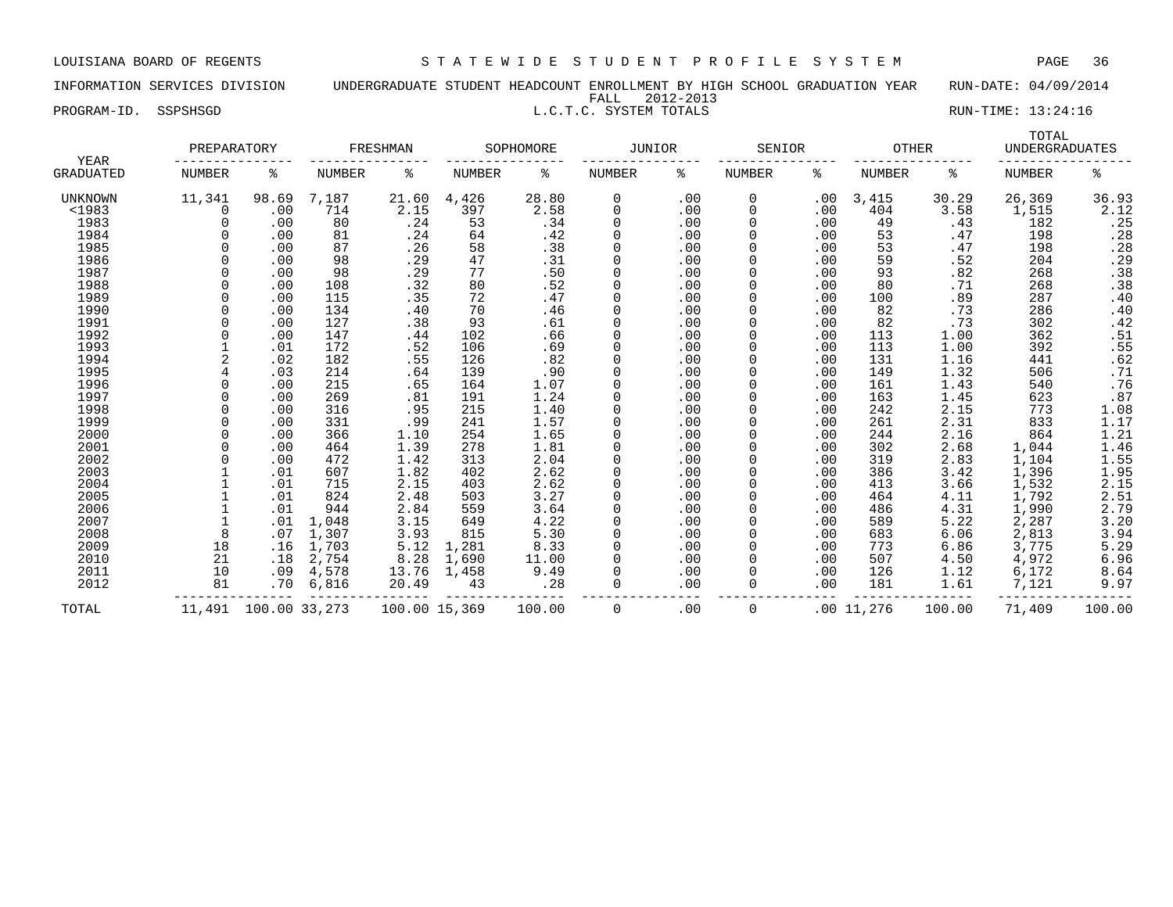INFORMATION SERVICES DIVISION UNDERGRADUATE STUDENT HEADCOUNT ENROLLMENT BY HIGH SCHOOL GRADUATION YEAR RUN-DATE: 04/09/2014 FALL 2012-2013

|                      | -----<br>--------                            |  |
|----------------------|----------------------------------------------|--|
| PROGRAM-ID. SSPSHSGD | RUN-TIME: 13:24:16<br>L.C.T.C. SYSTEM TOTALS |  |

| YEAR<br>GRADUATED | PREPARATORY |               | FRESHMAN |               | SOPHOMORE     |        | <b>JUNIOR</b> |     | SENIOR   |     | <b>OTHER</b> |        | TOTAL<br><b>UNDERGRADUATES</b> |                |
|-------------------|-------------|---------------|----------|---------------|---------------|--------|---------------|-----|----------|-----|--------------|--------|--------------------------------|----------------|
|                   | NUMBER      | ႜ             | NUMBER   | ి             | <b>NUMBER</b> | ႜ      | NUMBER        | ిక  | NUMBER   | ి   | NUMBER       | ႜ      | <b>NUMBER</b>                  | ి              |
| UNKNOWN           | 11,341      | 98.69         | 7,187    | 21.60         | 4,426         | 28.80  | 0             | .00 | 0        | .00 | 3,415        | 30.29  | 26,369                         | 36.93          |
| $<$ 1983          | $\Omega$    | .00           | 714      | 2.15          | 397           | 2.58   | $\Omega$      | .00 | $\Omega$ | .00 | 404          | 3.58   | 1,515                          | 2.12           |
| 1983              |             | .00           | 80       | .24           | 53            | .34    | $\Omega$      | .00 | $\Omega$ | .00 | 49           | .43    | 182                            | .25            |
| 1984              |             | .00           | 81       | .24           | 64            | .42    | $\Omega$      | .00 | $\Omega$ | .00 | 53           | .47    | 198                            | .28            |
| 1985              |             | .00           | 87       | .26           | 58            | .38    |               | .00 | 0        | .00 | 53           | .47    | 198                            | .28            |
| 1986              |             | .00           | 98       | .29           | 47            | .31    |               | .00 |          | .00 | 59           | .52    | 204                            | .29            |
| 1987              |             | .00           | 98       | .29           | 77            | .50    |               | .00 |          | .00 | 93           | .82    | 268                            | .38            |
| 1988              |             | .00           | 108      | .32           | 80            | .52    |               | .00 |          | .00 | 80           | .71    | 268                            | $.38$<br>$.40$ |
| 1989              |             | .00           | 115      | .35           | 72            | .47    |               | .00 |          | .00 | 100          | .89    | 287                            |                |
| 1990              |             | .00           | 134      | .40           | 70            | .46    |               | .00 | 0        | .00 | 82           | .73    | 286                            | .40            |
| 1991              |             | .00           | 127      | .38           | 93            | .61    |               | .00 |          | .00 | 82           | .73    | 302                            | .42            |
| 1992              |             | .00           | 147      | .44           | 102           | .66    |               | .00 |          | .00 | 113          | 1.00   | 362                            | .51            |
| 1993              |             | .01           | 172      | .52           | 106           | .69    |               | .00 |          | .00 | 113          | 1.00   | 392                            | $.55$<br>$.62$ |
| 1994              |             | .02           | 182      | .55           | 126           | .82    |               | .00 |          | .00 | 131          | 1.16   | 441                            |                |
| 1995              |             | .03           | 214      | .64           | 139           | .90    |               | .00 |          | .00 | 149          | 1.32   | 506                            | .71            |
| 1996              |             | .00           | 215      | .65           | 164           | 1.07   |               | .00 |          | .00 | 161          | 1.43   | 540                            | .76            |
| 1997              |             | .00           | 269      | .81           | 191           | 1.24   |               | .00 |          | .00 | 163          | 1.45   | 623                            | .87            |
| 1998              |             | .00           | 316      | .95           | 215           | 1.40   |               | .00 |          | .00 | 242          | 2.15   | 773                            | 1.08           |
| 1999              |             | .00           | 331      | .99           | 241           | 1.57   |               | .00 |          | .00 | 261          | 2.31   | 833                            | 1.17           |
| 2000              |             | .00           | 366      | 1.10          | 254           | 1.65   |               | .00 |          | .00 | 244          | 2.16   | 864                            | 1.21           |
| 2001              |             | .00           | 464      | 1.39          | 278           | 1.81   |               | .00 |          | .00 | 302          | 2.68   | 1,044                          | 1.46           |
| 2002              |             | .00           | 472      | 1.42          | 313           | 2.04   | $\Omega$      | .00 | O        | .00 | 319          | 2.83   | 1,104                          | 1.55           |
| 2003              |             | .01           | 607      | 1.82          | 402           | 2.62   |               | .00 |          | .00 | 386          | 3.42   | 1,396                          | 1.95           |
| 2004              |             | .01           | 715      | 2.15          | 403           | 2.62   |               | .00 |          | .00 | 413          | 3.66   | 1,532                          | 2.15           |
| 2005              |             | .01           | 824      | 2.48          | 503           | 3.27   |               | .00 |          | .00 | 464          | 4.11   | 1,792                          | 2.51           |
| 2006              |             | .01           | 944      | 2.84          | 559           | 3.64   |               | .00 |          | .00 | 486          | 4.31   | 1,990                          | 2.79           |
| 2007              |             | .01           | 1,048    | 3.15          | 649           | 4.22   | $\Omega$      | .00 | $\Omega$ | .00 | 589          | 5.22   | 2,287                          | 3.20           |
| 2008              | 8           | .07           | 1,307    | 3.93          | 815           | 5.30   |               | .00 | 0        | .00 | 683          | 6.06   | 2,813                          | 3.94           |
| 2009              | 18          | .16           | 1,703    | 5.12          | 1,281         | 8.33   |               | .00 |          | .00 | 773          | 6.86   | 3,775                          | 5.29           |
| 2010              | 21          | .18           | 2,754    | 8.28          | 1,690         | 11.00  |               | .00 |          | .00 | 507          | 4.50   | 4,972                          | 6.96           |
| 2011              | 10          | .09           | 4,578    | 13.76         | 1,458         | 9.49   |               | .00 | 0        | .00 | 126          | 1.12   | 6,172                          | 8.64           |
| 2012              | 81          | .70           | 6,816    | 20.49         | 43            | .28    |               | .00 | $\Omega$ | .00 | 181          | 1.61   | 7,121                          | 9.97           |
| TOTAL             | 11,491      | 100.00 33,273 |          | 100.00 15,369 |               | 100.00 | 0             | .00 | 0        |     | .0011,276    | 100.00 | 71,409                         | 100.00         |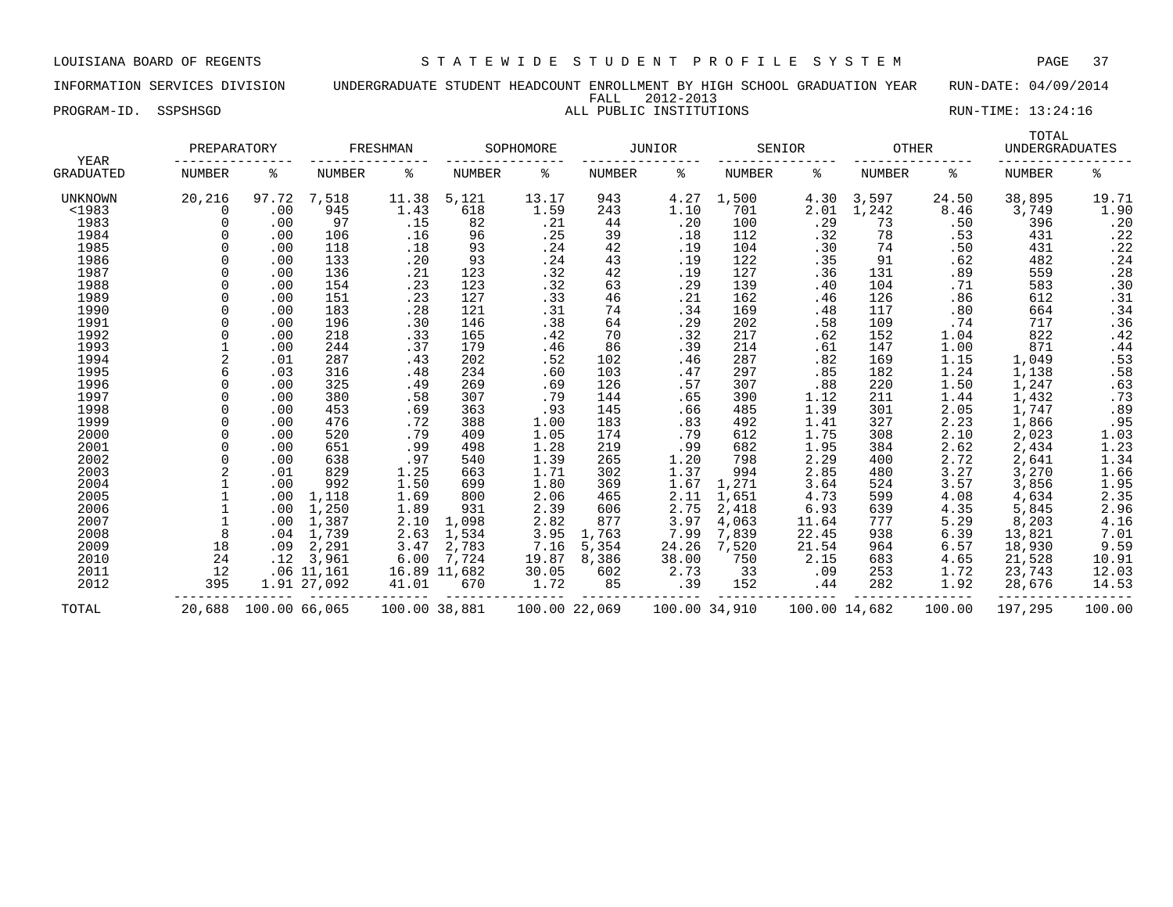INFORMATION SERVICES DIVISION UNDERGRADUATE STUDENT HEADCOUNT ENROLLMENT BY HIGH SCHOOL GRADUATION YEAR RUN-DATE: 04/09/2014 FALL 2012-2013 PROGRAM-ID. SSPSHSGD **ALL PUBLIC INSTITUTIONS** ALL PUBLIC INSTITUTIONS RUN-TIME: 13:24:16

| YEAR<br>GRADUATED |               | PREPARATORY   |             | FRESHMAN      |               | SOPHOMORE     |               | <b>JUNIOR</b> |        | SENIOR        |        | <b>OTHER</b> |               | TOTAL<br><b>UNDERGRADUATES</b> |  |
|-------------------|---------------|---------------|-------------|---------------|---------------|---------------|---------------|---------------|--------|---------------|--------|--------------|---------------|--------------------------------|--|
|                   | <b>NUMBER</b> | ႜ             | NUMBER      | ႜ             | <b>NUMBER</b> | ి             | <b>NUMBER</b> | ႜ             | NUMBER | ႜ             | NUMBER | ႜ            | <b>NUMBER</b> | နွ                             |  |
| UNKNOWN           | 20,216        | 97.72         | 7,518       | 11.38         | 5,121         | 13.17         | 943           | 4.27          | 1,500  | 4.30          | 3,597  | 24.50        | 38,895        | 19.71                          |  |
| $1983$            | $\Omega$      | .00           | 945         | 1.43          | 618           | 1.59          | 243           | 1.10          | 701    | 2.01          | 1,242  | 8.46         | 3,749         | 1.90                           |  |
| 1983              |               | .00           | 97          | .15           | 82            | .21           | 44            | .20           | 100    | .29           | 73     | .50          | 396           | .20                            |  |
| 1984              |               | .00           | 106         | .16           | 96            | .25           | 39            | .18           | 112    | .32           | 78     | .53          | 431           | .22                            |  |
| 1985              |               | .00           | 118         | .18           | 93            | .24           | 42            | .19           | 104    | .30           | 74     | .50          | 431           | .22                            |  |
| 1986              |               | .00           | 133         | .20           | 93            | .24           | 43            | .19           | 122    | .35           | 91     | .62          | 482           | .24                            |  |
| 1987              |               | .00           | 136         | .21           | 123           | .32           | 42            | .19           | 127    | .36           | 131    | .89          | 559           | .28                            |  |
| 1988              |               | .00           | 154         | .23           | 123           | .32           | 63            | .29           | 139    | .40           | 104    | .71          | 583           | .30                            |  |
| 1989              |               | .00           | 151         | .23           | 127           | .33           | 46            | .21           | 162    | .46           | 126    | .86          | 612           | .31                            |  |
| 1990              | $\Omega$      | .00           | 183         | .28           | 121           | .31           | 74            | .34           | 169    | .48           | 117    | .80          | 664           | .34                            |  |
| 1991              |               | .00           | 196         | .30           | 146           | .38           | 64            | .29           | 202    | .58           | 109    | .74          | 717           | .36                            |  |
| 1992              |               | .00           | 218         | .33           | 165           | .42           | 70            | .32           | 217    | .62           | 152    | 1.04         | 822           | .42                            |  |
| 1993              |               | .00           | 244         | .37           | 179           | .46           | 86            | .39           | 214    | .61           | 147    | 1.00         | 871           | .44                            |  |
| 1994              |               | .01           | 287         | .43           | 202           | .52           | 102           | .46           | 287    | .82           | 169    | 1.15         | 1,049         | .53                            |  |
| 1995              |               | .03           | 316         | .48           | 234           | .60           | 103           | .47           | 297    | .85           | 182    | 1.24         | 1,138         | .58                            |  |
| 1996              |               | .00           | 325         | .49           | 269           | .69           | 126           | .57           | 307    | .88           | 220    | 1.50         | 1,247         | .63                            |  |
| 1997              |               | .00           | 380         | .58           | 307           | .79           | 144           | .65           | 390    | 1.12          | 211    | 1.44         | 1,432         | .73                            |  |
| 1998              |               | .00           | 453         | .69           | 363           | .93           | 145           | .66           | 485    | 1.39          | 301    | 2.05         | 1,747         | .89                            |  |
| 1999              |               | .00           | 476         | .72           | 388           | 1.00          | 183           | .83           | 492    | 1.41          | 327    | 2.23         | 1,866         |                                |  |
| 2000              |               | .00           | 520         | .79           | 409           | 1.05          | 174           | .79           | 612    | 1.75          | 308    | 2.10         | 2,023         | $: 95$<br>1.03                 |  |
| 2001              |               | .00           | 651         | .99           | 498           | 1.28          | 219           | .99           | 682    | 1.95          | 384    | 2.62         | 2,434         | $1.23$<br>$1.34$               |  |
| 2002              |               | .00           | 638         | .97           | 540           | 1.39          | 265           | 1.20          | 798    | 2.29          | 400    | 2.72         | 2,641         |                                |  |
| 2003              |               | .01           | 829         | 1.25          | 663           | 1.71          | 302           | 1.37          | 994    | 2.85          | 480    | 3.27         | 3,270         | 1.66                           |  |
| 2004              |               | .00           | 992         | 1.50          | 699           | 1.80          | 369           | 1.67          | 1,271  | 3.64          | 524    | 3.57         | 3,856         | $1.95$<br>$2.35$<br>$2.96$     |  |
| 2005              |               | .00           | 1,118       | 1.69          | 800           | 2.06          | 465           | 2.11          | 1,651  | 4.73          | 599    | 4.08         | 4,634         |                                |  |
| 2006              |               | .00           | 1,250       | 1.89          | 931           | 2.39          | 606           | 2.75          | 2,418  | 6.93          | 639    | 4.35         | 5,845         |                                |  |
| 2007              |               | .00           | 1,387       | 2.10          | 1,098         | 2.82          | 877           | 3.97          | 4,063  | 11.64         | 777    | 5.29         | 8,203         | 4.16                           |  |
| 2008              | 8             | .04           | 1,739       | 2.63          | 1,534         | 3.95          | 1,763         | 7.99          | 7,839  | 22.45         | 938    | 6.39         | 13,821        | 7.01                           |  |
| 2009              | 18            | .09           | 2,291       | 3.47          | 2,783         | 7.16          | 5,354         | 24.26         | 7,520  | 21.54         | 964    | 6.57         | 18,930        | 9.59                           |  |
| 2010              | 24            | .12           | 3,961       | 6.00          | 7,724         | 19.87         | 8,386         | 38.00         | 750    | 2.15          | 683    | 4.65         | 21,528        | 10.91                          |  |
| 2011              | 12            |               | .0611,161   |               | 16.89 11,682  | 30.05         | 602           | 2.73          | 33     | .09           | 253    | 1.72         | 23,743        | 12.03                          |  |
| 2012              | 395           |               | 1.91 27,092 | 41.01         | 670           | 1.72          | 85            | .39           | 152    | .44           | 282    | 1.92         | 28,676        | 14.53                          |  |
| TOTAL             | 20,688        | 100.00 66,065 |             | 100.00 38,881 |               | 100.00 22,069 |               | 100.00 34,910 |        | 100.00 14,682 |        | 100.00       | 197,295       | 100.00                         |  |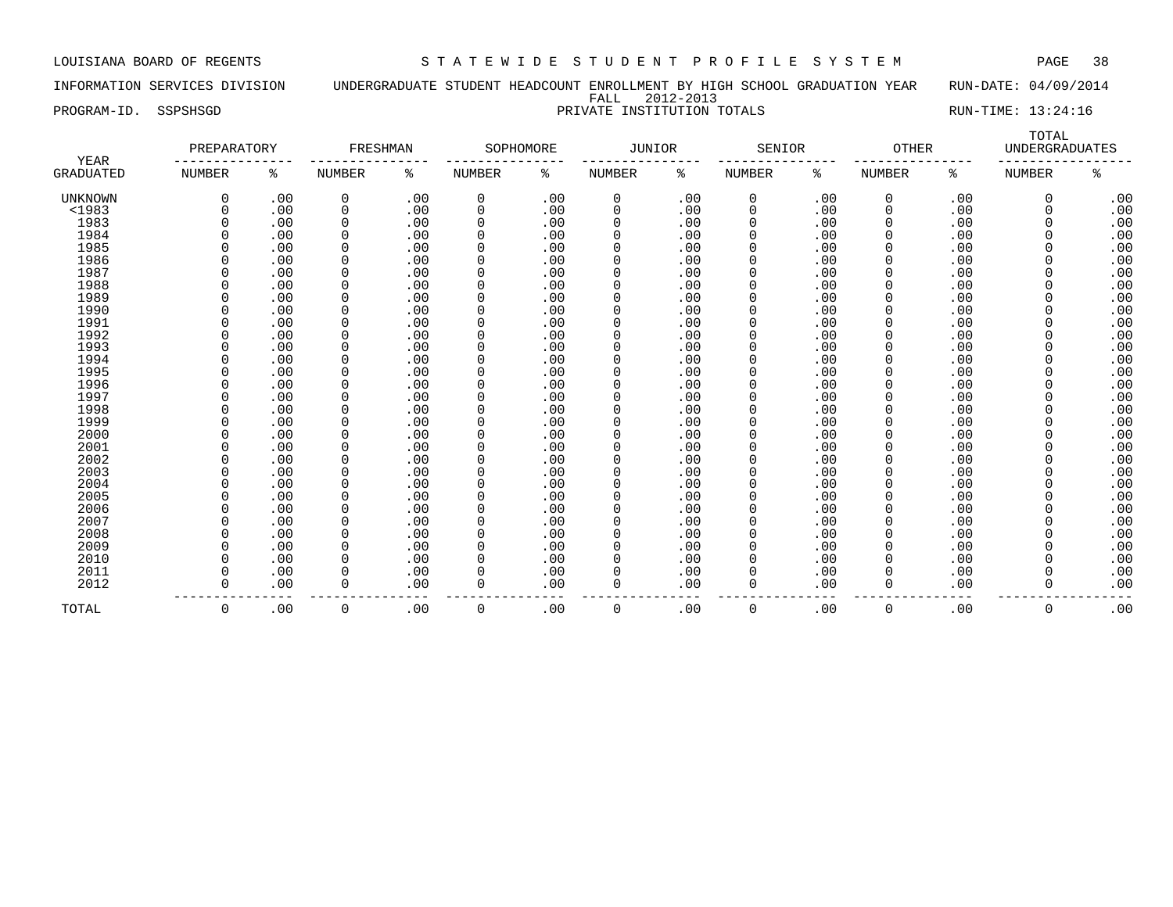INFORMATION SERVICES DIVISION UNDERGRADUATE STUDENT HEADCOUNT ENROLLMENT BY HIGH SCHOOL GRADUATION YEAR RUN-DATE: 04/09/2014 FALL 2012-2013

PROGRAM-ID. SSPSHSGD **PRIVATE INSTITUTION TOTALS** RUN-TIME: 13:24:16

| YEAR<br>GRADUATED | PREPARATORY |     | FRESHMAN      |     | SOPHOMORE     |     | JUNIOR   |     | SENIOR   |     | <b>OTHER</b>  |     | TOTAL<br><b>UNDERGRADUATES</b> |     |
|-------------------|-------------|-----|---------------|-----|---------------|-----|----------|-----|----------|-----|---------------|-----|--------------------------------|-----|
|                   | NUMBER      | ႜ   | <b>NUMBER</b> | ి   | <b>NUMBER</b> | ႜ   | NUMBER   | ႜ   | NUMBER   | ి   | <b>NUMBER</b> | ႜ   | <b>NUMBER</b>                  | နွ  |
| <b>UNKNOWN</b>    | $\mathbf 0$ | .00 | 0             | .00 | 0             | .00 | 0        | .00 | 0        | .00 | 0             | .00 | $\mathbf 0$                    | .00 |
| $<$ 1983          | $\Omega$    | .00 | 0             | .00 | 0             | .00 | 0        | .00 | 0        | .00 | 0             | .00 | $\Omega$                       | .00 |
| 1983              |             | .00 | 0             | .00 | 0             | .00 | 0        | .00 | 0        | .00 | $\mathbf 0$   | .00 |                                | .00 |
| 1984              |             | .00 | 0             | .00 | 0             | .00 | $\Omega$ | .00 | 0        | .00 | 0             | .00 |                                | .00 |
| 1985              | O           | .00 | 0             | .00 | 0             | .00 | $\Omega$ | .00 | 0        | .00 | 0             | .00 |                                | .00 |
| 1986              | 0           | .00 | 0             | .00 | 0             | .00 | 0        | .00 | $\Omega$ | .00 | $\Omega$      | .00 |                                | .00 |
| 1987              |             | .00 | 0             | .00 | 0             | .00 |          | .00 | $\Omega$ | .00 |               | .00 |                                | .00 |
| 1988              |             | .00 | 0             | .00 | 0             | .00 |          | .00 | $\Omega$ | .00 |               | .00 |                                | .00 |
| 1989              | $\Omega$    | .00 | 0             | .00 | 0             | .00 |          | .00 | $\Omega$ | .00 |               | .00 |                                | .00 |
| 1990              | $\Omega$    | .00 | 0             | .00 | 0             | .00 | $\Omega$ | .00 | $\Omega$ | .00 | $\Omega$      | .00 |                                | .00 |
| 1991              | n           | .00 | 0             | .00 | 0             | .00 | $\Omega$ | .00 | 0        | .00 | $\Omega$      | .00 |                                | .00 |
| 1992              | $\Omega$    | .00 | 0             | .00 | 0             | .00 | $\Omega$ | .00 | 0        | .00 | $\Omega$      | .00 |                                | .00 |
| 1993              | $\Omega$    | .00 | 0             | .00 | 0             | .00 |          | .00 | $\Omega$ | .00 | $\Omega$      | .00 |                                | .00 |
| 1994              | $\Omega$    | .00 | 0             | .00 | 0             | .00 |          | .00 | $\Omega$ | .00 |               | .00 |                                | .00 |
| 1995              | $\Omega$    | .00 | 0             | .00 | 0             | .00 | 0        | .00 | 0        | .00 |               | .00 |                                | .00 |
| 1996              | $\Omega$    | .00 | 0             | .00 | 0             | .00 | $\Omega$ | .00 | 0        | .00 |               | .00 |                                | .00 |
| 1997              | U           | .00 | 0             | .00 | 0             | .00 | $\Omega$ | .00 | $\Omega$ | .00 |               | .00 |                                | .00 |
| 1998              |             | .00 | 0             | .00 | 0             | .00 |          | .00 | $\Omega$ | .00 |               | .00 |                                | .00 |
| 1999              |             | .00 | 0             | .00 | 0             | .00 |          | .00 | $\Omega$ | .00 |               | .00 |                                | .00 |
| 2000              |             | .00 | 0             | .00 | 0             | .00 | $\Omega$ | .00 | $\Omega$ | .00 |               | .00 |                                | .00 |
| 2001              |             | .00 | 0             | .00 | 0             | .00 | $\Omega$ | .00 | $\Omega$ | .00 |               | .00 | $\Omega$                       | .00 |
| 2002              | $\Omega$    | .00 | <sup>0</sup>  | .00 | 0             | .00 | $\Omega$ | .00 | 0        | .00 |               | .00 | $\Omega$                       | .00 |
| 2003              |             | .00 | 0             | .00 | 0             | .00 | $\Omega$ | .00 | $\Omega$ | .00 |               | .00 | O                              | .00 |
| 2004              | $\Omega$    | .00 | 0             | .00 | 0             | .00 | $\Omega$ | .00 | 0        | .00 | $\Omega$      | .00 |                                | .00 |
| 2005              | $\Omega$    | .00 | 0             | .00 | 0             | .00 |          | .00 | 0        | .00 |               | .00 |                                | .00 |
| 2006              | $\Omega$    | .00 | 0             | .00 | 0             | .00 | $\Omega$ | .00 | $\Omega$ | .00 | $\Omega$      | .00 |                                | .00 |
| 2007              | $\Omega$    | .00 | 0             | .00 | 0             | .00 | $\Omega$ | .00 | $\Omega$ | .00 | $\Omega$      | .00 |                                | .00 |
| 2008              |             | .00 | 0             | .00 | 0             | .00 | $\Omega$ | .00 | 0        | .00 | $\Omega$      | .00 |                                | .00 |
| 2009              |             | .00 | 0             | .00 | 0             | .00 |          | .00 | $\Omega$ | .00 |               | .00 |                                | .00 |
| 2010              |             | .00 | 0             | .00 | 0             | .00 |          | .00 | $\Omega$ | .00 |               | .00 |                                | .00 |
| 2011              |             | .00 | 0             | .00 | 0             | .00 |          | .00 | 0        | .00 |               | .00 |                                | .00 |
| 2012              | $\Omega$    | .00 | $\mathbf 0$   | .00 | 0             | .00 | $\Omega$ | .00 | 0        | .00 | $\Omega$      | .00 | $\Omega$                       | .00 |
| TOTAL             | 0           | .00 | 0             | .00 | 0             | .00 | 0        | .00 | 0        | .00 | 0             | .00 | 0                              | .00 |